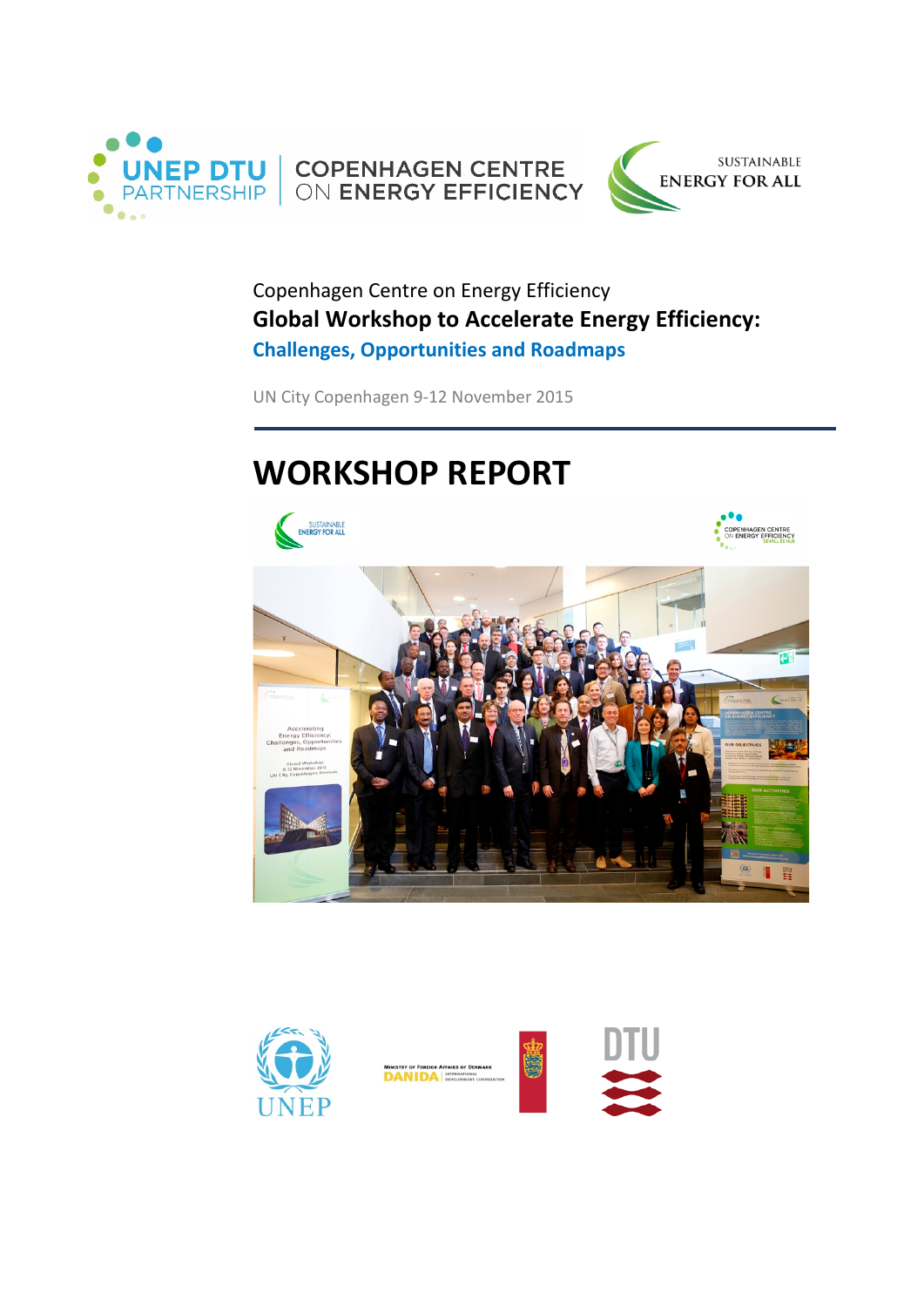



Copenhagen Centre on Energy Efficiency **Global Workshop to Accelerate Energy Efficiency: Challenges, Opportunities and Roadmaps**

UN City Copenhagen 9-12 November 2015

# **WORKSHOP REPORT**







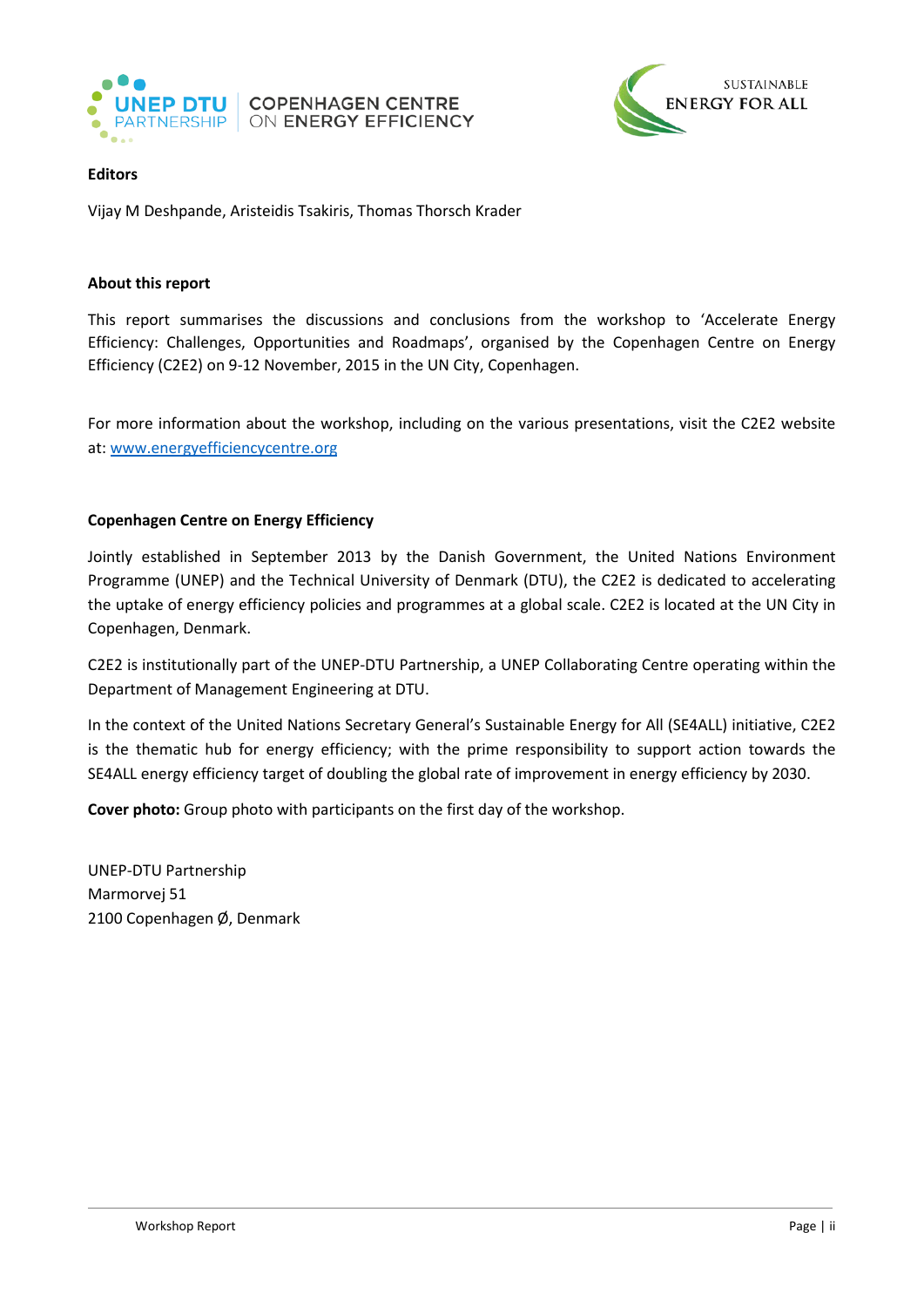



# **Editors**

Vijay M Deshpande, Aristeidis Tsakiris, Thomas Thorsch Krader

### **About this report**

This report summarises the discussions and conclusions from the workshop to 'Accelerate Energy Efficiency: Challenges, Opportunities and Roadmaps', organised by the Copenhagen Centre on Energy Efficiency (C2E2) on 9-12 November, 2015 in the UN City, Copenhagen.

For more information about the workshop, including on the various presentations, visit the C2E2 website at: [www.energyefficiencycentre.org](http://www.energyefficiencycentre.org/)

### **Copenhagen Centre on Energy Efficiency**

Jointly established in September 2013 by the Danish Government, the United Nations Environment Programme (UNEP) and the Technical University of Denmark (DTU), the C2E2 is dedicated to accelerating the uptake of energy efficiency policies and programmes at a global scale. C2E2 is located at the UN City in Copenhagen, Denmark.

C2E2 is institutionally part of the UNEP-DTU Partnership, a UNEP Collaborating Centre operating within the Department of Management Engineering at DTU.

In the context of the United Nations Secretary General's Sustainable Energy for All (SE4ALL) initiative, C2E2 is the thematic hub for energy efficiency; with the prime responsibility to support action towards the SE4ALL energy efficiency target of doubling the global rate of improvement in energy efficiency by 2030.

**Cover photo:** Group photo with participants on the first day of the workshop.

UNEP-DTU Partnership Marmorvej 51 2100 Copenhagen Ø, Denmark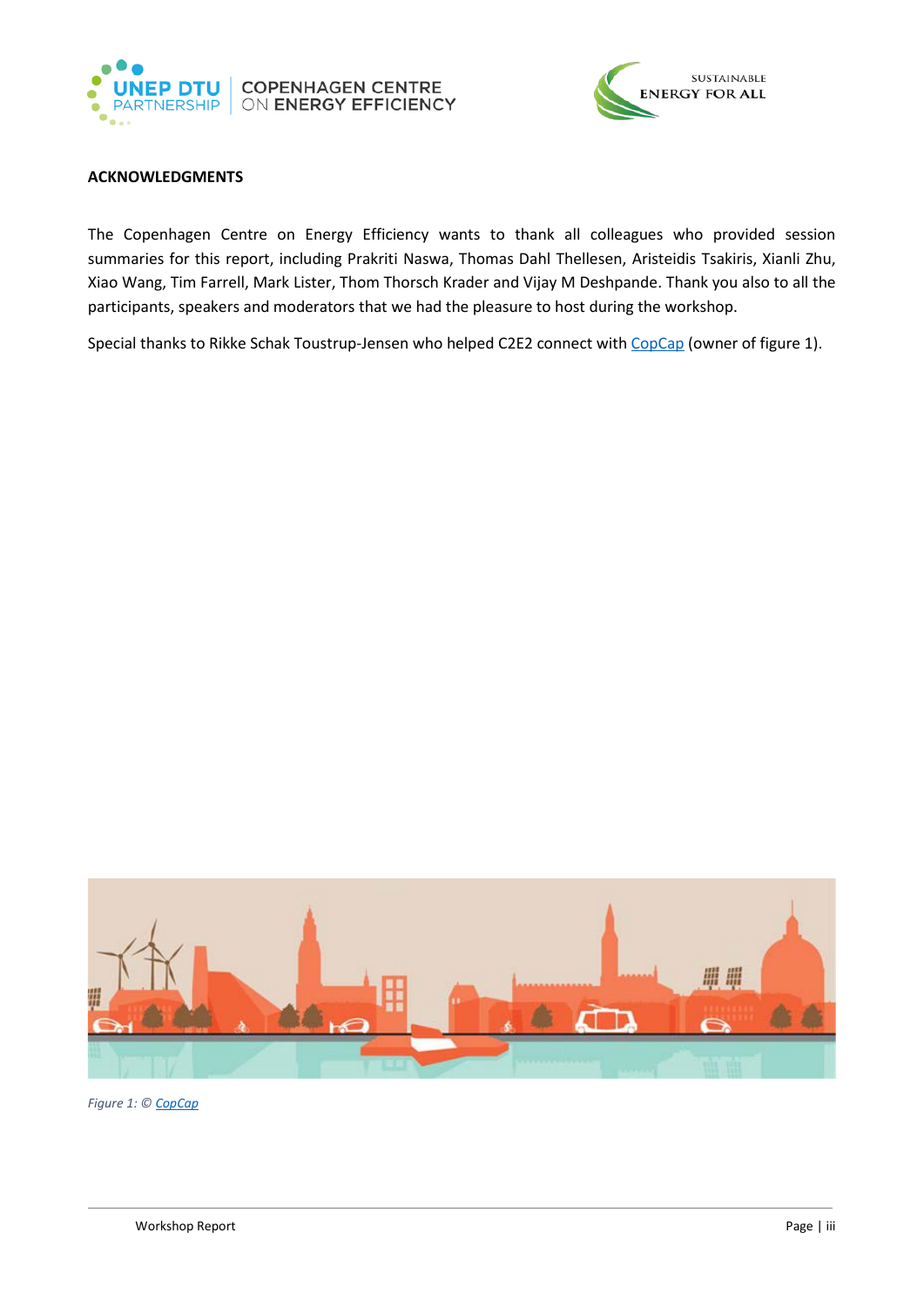



#### <span id="page-2-0"></span>**ACKNOWLEDGMENTS**

The Copenhagen Centre on Energy Efficiency wants to thank all colleagues who provided session summaries for this report, including Prakriti Naswa, Thomas Dahl Thellesen, Aristeidis Tsakiris, Xianli Zhu, Xiao Wang, Tim Farrell, Mark Lister, Thom Thorsch Krader and Vijay M Deshpande. Thank you also to all the participants, speakers and moderators that we had the pleasure to host during the workshop.

Special thanks to Rikke Schak Toustrup-Jensen who helped C2E2 connect wit[h CopCap](http://www.copcap.com/) (owner of figure 1).



*Figure 1: [© CopCap](http://www.copcap.com/)*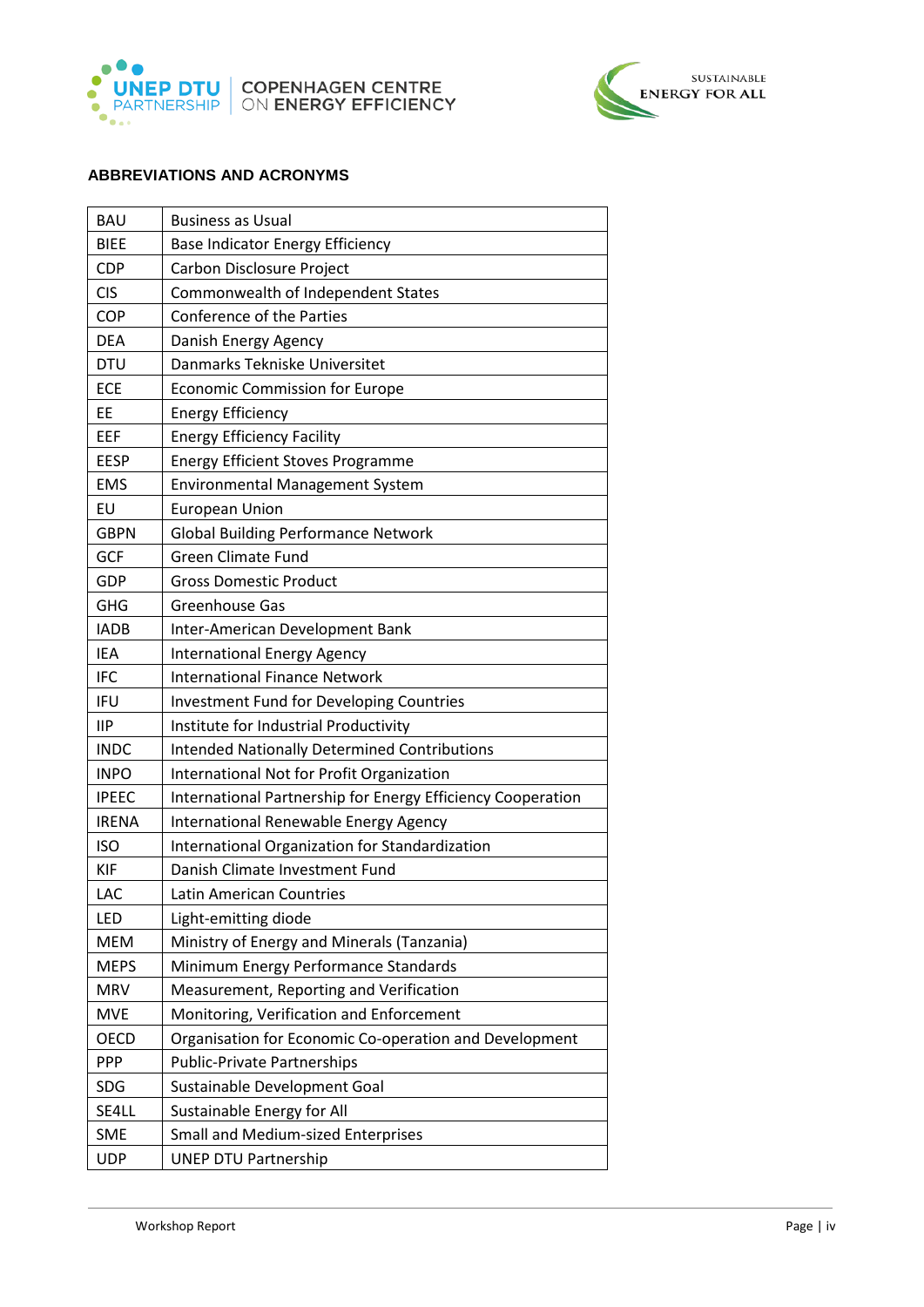



# <span id="page-3-0"></span>**ABBREVIATIONS AND ACRONYMS**

| <b>BAU</b>   | <b>Business as Usual</b>                                    |  |
|--------------|-------------------------------------------------------------|--|
| <b>BIEE</b>  | Base Indicator Energy Efficiency                            |  |
| <b>CDP</b>   | Carbon Disclosure Project                                   |  |
| <b>CIS</b>   | Commonwealth of Independent States                          |  |
| COP          | Conference of the Parties                                   |  |
| <b>DEA</b>   | Danish Energy Agency                                        |  |
| <b>DTU</b>   | Danmarks Tekniske Universitet                               |  |
| ECE          | <b>Economic Commission for Europe</b>                       |  |
| EE           | <b>Energy Efficiency</b>                                    |  |
| EEF          | <b>Energy Efficiency Facility</b>                           |  |
| <b>EESP</b>  | <b>Energy Efficient Stoves Programme</b>                    |  |
| <b>EMS</b>   | Environmental Management System                             |  |
| EU           | <b>European Union</b>                                       |  |
| <b>GBPN</b>  | <b>Global Building Performance Network</b>                  |  |
| GCF          | <b>Green Climate Fund</b>                                   |  |
| <b>GDP</b>   | <b>Gross Domestic Product</b>                               |  |
| <b>GHG</b>   | Greenhouse Gas                                              |  |
| <b>IADB</b>  | Inter-American Development Bank                             |  |
| IEA          | <b>International Energy Agency</b>                          |  |
| <b>IFC</b>   | <b>International Finance Network</b>                        |  |
| <b>IFU</b>   | <b>Investment Fund for Developing Countries</b>             |  |
| <b>IIP</b>   | Institute for Industrial Productivity                       |  |
| <b>INDC</b>  | <b>Intended Nationally Determined Contributions</b>         |  |
| <b>INPO</b>  | International Not for Profit Organization                   |  |
| <b>IPEEC</b> | International Partnership for Energy Efficiency Cooperation |  |
| <b>IRENA</b> | International Renewable Energy Agency                       |  |
| <b>ISO</b>   | International Organization for Standardization              |  |
| <b>KIF</b>   | Danish Climate Investment Fund                              |  |
| LAC          | Latin American Countries                                    |  |
| LED          | Light-emitting diode                                        |  |
| <b>MEM</b>   | Ministry of Energy and Minerals (Tanzania)                  |  |
| <b>MEPS</b>  | Minimum Energy Performance Standards                        |  |
| <b>MRV</b>   | Measurement, Reporting and Verification                     |  |
| <b>MVE</b>   | Monitoring, Verification and Enforcement                    |  |
| <b>OECD</b>  | Organisation for Economic Co-operation and Development      |  |
| <b>PPP</b>   | <b>Public-Private Partnerships</b>                          |  |
| <b>SDG</b>   | Sustainable Development Goal                                |  |
| SE4LL        | Sustainable Energy for All                                  |  |
| <b>SME</b>   | <b>Small and Medium-sized Enterprises</b>                   |  |
| <b>UDP</b>   | <b>UNEP DTU Partnership</b>                                 |  |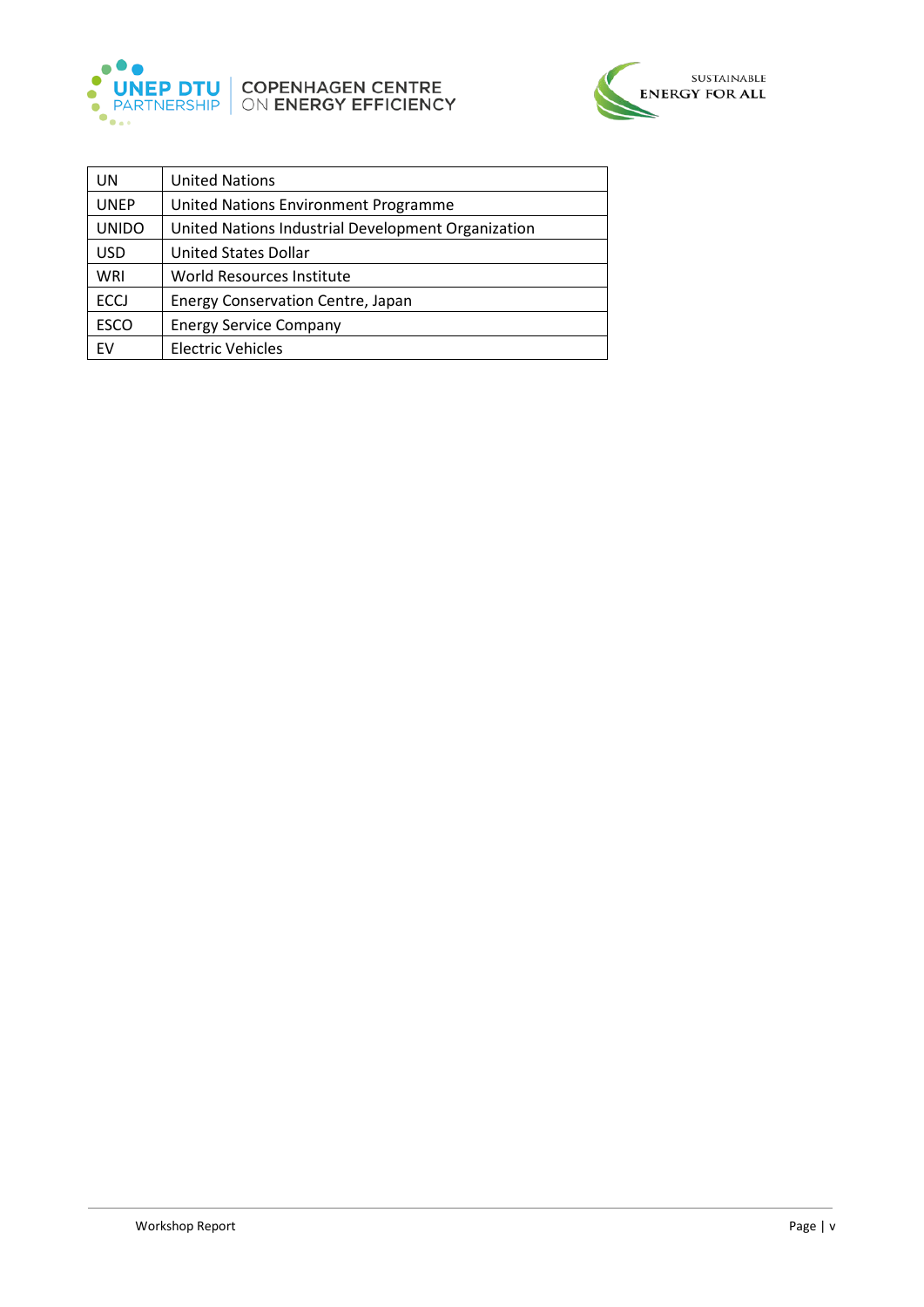



| UN           | <b>United Nations</b>                              |
|--------------|----------------------------------------------------|
| <b>UNEP</b>  | United Nations Environment Programme               |
| <b>UNIDO</b> | United Nations Industrial Development Organization |
| <b>USD</b>   | <b>United States Dollar</b>                        |
| WRI          | World Resources Institute                          |
| <b>ECCJ</b>  | <b>Energy Conservation Centre, Japan</b>           |
| <b>ESCO</b>  | <b>Energy Service Company</b>                      |
| <b>FV</b>    | <b>Electric Vehicles</b>                           |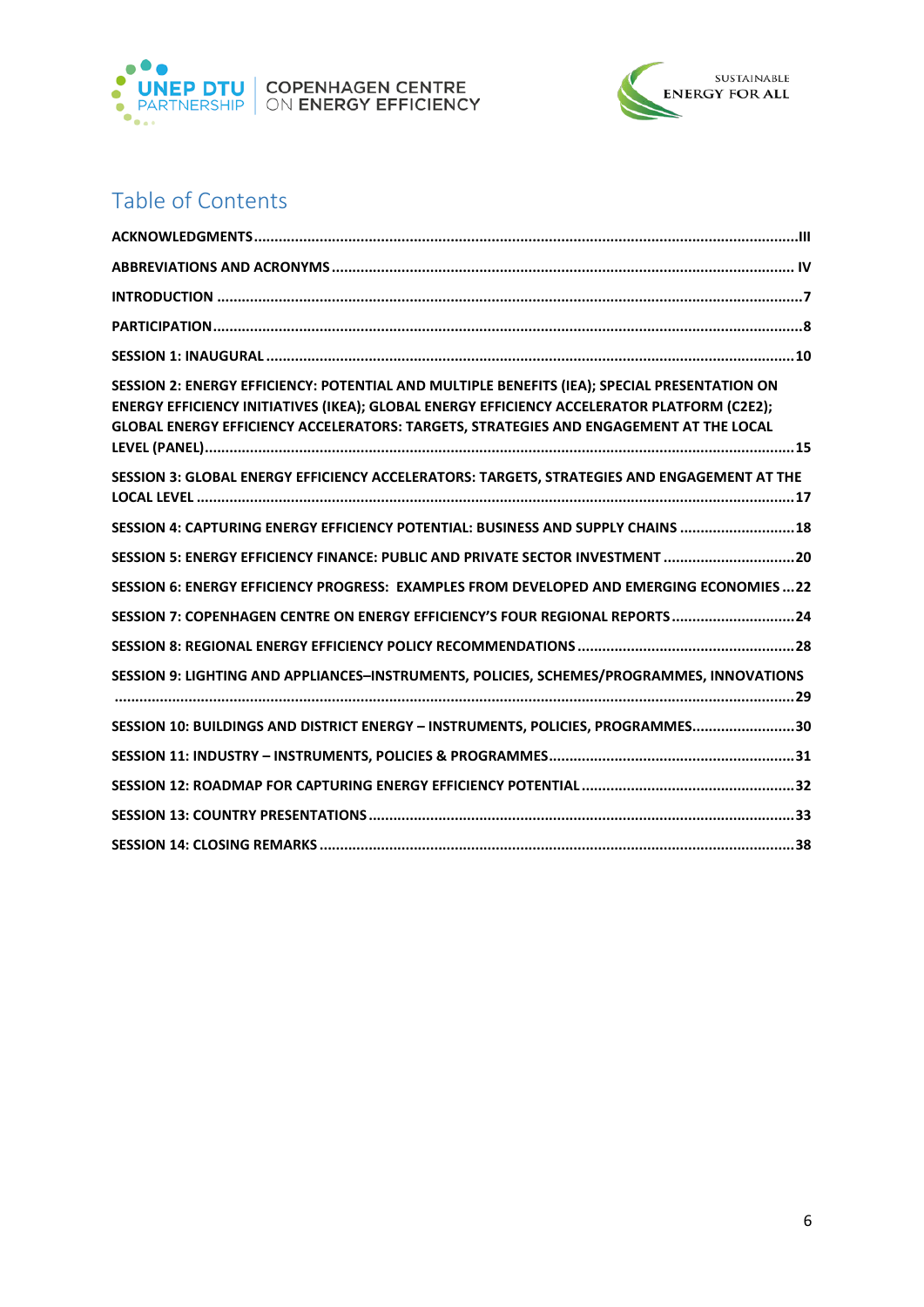



# Table of Contents

| SESSION 2: ENERGY EFFICIENCY: POTENTIAL AND MULTIPLE BENEFITS (IEA); SPECIAL PRESENTATION ON<br>ENERGY EFFICIENCY INITIATIVES (IKEA); GLOBAL ENERGY EFFICIENCY ACCELERATOR PLATFORM (C2E2);<br>GLOBAL ENERGY EFFICIENCY ACCELERATORS: TARGETS, STRATEGIES AND ENGAGEMENT AT THE LOCAL |
|---------------------------------------------------------------------------------------------------------------------------------------------------------------------------------------------------------------------------------------------------------------------------------------|
| SESSION 3: GLOBAL ENERGY EFFICIENCY ACCELERATORS: TARGETS, STRATEGIES AND ENGAGEMENT AT THE                                                                                                                                                                                           |
| SESSION 4: CAPTURING ENERGY EFFICIENCY POTENTIAL: BUSINESS AND SUPPLY CHAINS  18                                                                                                                                                                                                      |
| SESSION 5: ENERGY EFFICIENCY FINANCE: PUBLIC AND PRIVATE SECTOR INVESTMENT 20                                                                                                                                                                                                         |
| SESSION 6: ENERGY EFFICIENCY PROGRESS: EXAMPLES FROM DEVELOPED AND EMERGING ECONOMIES22                                                                                                                                                                                               |
| SESSION 7: COPENHAGEN CENTRE ON ENERGY EFFICIENCY'S FOUR REGIONAL REPORTS24                                                                                                                                                                                                           |
|                                                                                                                                                                                                                                                                                       |
| SESSION 9: LIGHTING AND APPLIANCES-INSTRUMENTS, POLICIES, SCHEMES/PROGRAMMES, INNOVATIONS                                                                                                                                                                                             |
| SESSION 10: BUILDINGS AND DISTRICT ENERGY - INSTRUMENTS, POLICIES, PROGRAMMES30                                                                                                                                                                                                       |
|                                                                                                                                                                                                                                                                                       |
|                                                                                                                                                                                                                                                                                       |
|                                                                                                                                                                                                                                                                                       |
|                                                                                                                                                                                                                                                                                       |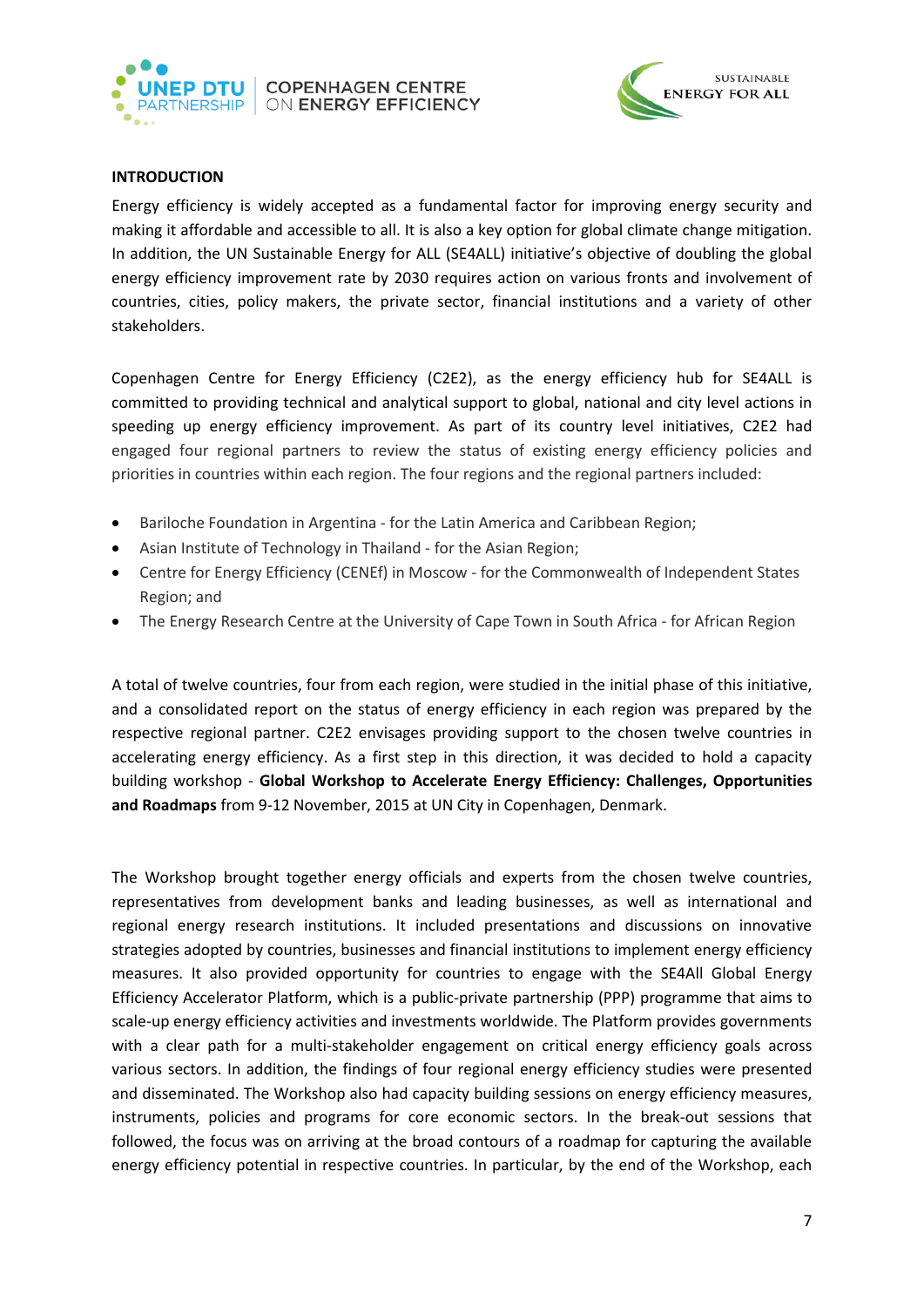



### <span id="page-6-0"></span>**INTRODUCTION**

Energy efficiency is widely accepted as a fundamental factor for improving energy security and making it affordable and accessible to all. It is also a key option for global climate change mitigation. In addition, the UN Sustainable Energy for ALL (SE4ALL) initiative's objective of doubling the global energy efficiency improvement rate by 2030 requires action on various fronts and involvement of countries, cities, policy makers, the private sector, financial institutions and a variety of other stakeholders.

Copenhagen Centre for Energy Efficiency (C2E2), as the energy efficiency hub for SE4ALL is committed to providing technical and analytical support to global, national and city level actions in speeding up energy efficiency improvement. As part of its country level initiatives, C2E2 had engaged four regional partners to review the status of existing energy efficiency policies and priorities in countries within each region. The four regions and the regional partners included:

- Bariloche Foundation in Argentina for the Latin America and Caribbean Region;
- Asian Institute of Technology in Thailand for the Asian Region;
- Centre for Energy Efficiency (CENEf) in Moscow for the Commonwealth of Independent States Region; and
- The Energy Research Centre at the University of Cape Town in South Africa for African Region

A total of twelve countries, four from each region, were studied in the initial phase of this initiative, and a consolidated report on the status of energy efficiency in each region was prepared by the respective regional partner. C2E2 envisages providing support to the chosen twelve countries in accelerating energy efficiency. As a first step in this direction, it was decided to hold a capacity building workshop - **Global Workshop to Accelerate Energy Efficiency: Challenges, Opportunities and Roadmaps** from 9-12 November, 2015 at UN City in Copenhagen, Denmark.

The Workshop brought together energy officials and experts from the chosen twelve countries, representatives from development banks and leading businesses, as well as international and regional energy research institutions. It included presentations and discussions on innovative strategies adopted by countries, businesses and financial institutions to implement energy efficiency measures. It also provided opportunity for countries to engage with the SE4All Global Energy Efficiency Accelerator Platform, which is a public-private partnership (PPP) programme that aims to scale-up energy efficiency activities and investments worldwide. The Platform provides governments with a clear path for a multi-stakeholder engagement on critical energy efficiency goals across various sectors. In addition, the findings of four regional energy efficiency studies were presented and disseminated. The Workshop also had capacity building sessions on energy efficiency measures, instruments, policies and programs for core economic sectors. In the break-out sessions that followed, the focus was on arriving at the broad contours of a roadmap for capturing the available energy efficiency potential in respective countries. In particular, by the end of the Workshop, each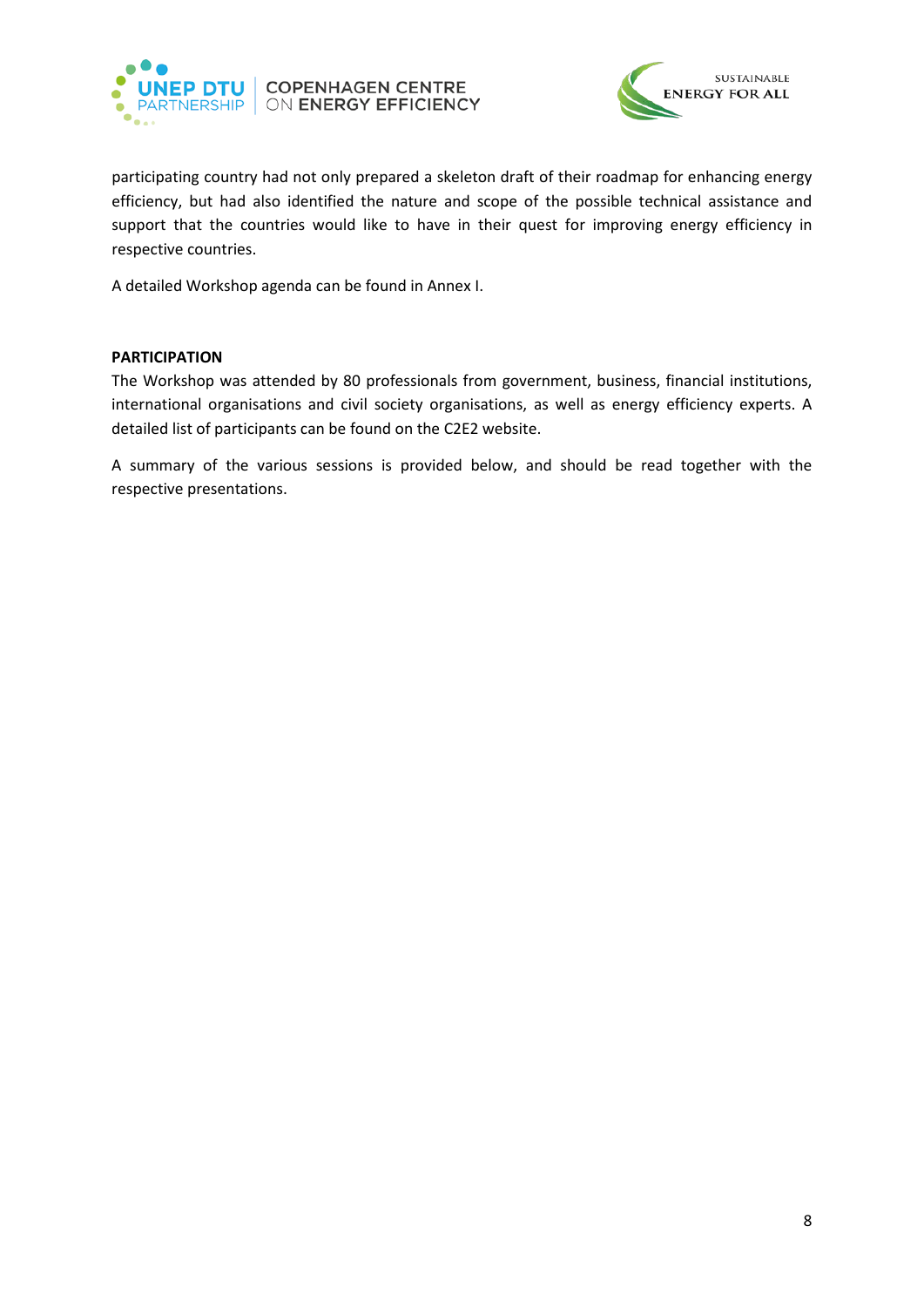



participating country had not only prepared a skeleton draft of their roadmap for enhancing energy efficiency, but had also identified the nature and scope of the possible technical assistance and support that the countries would like to have in their quest for improving energy efficiency in respective countries.

A detailed Workshop agenda can be found in Annex I.

#### <span id="page-7-0"></span>**PARTICIPATION**

The Workshop was attended by 80 professionals from government, business, financial institutions, international organisations and civil society organisations, as well as energy efficiency experts. A detailed list of participants can be found on the C2E2 website.

A summary of the various sessions is provided below, and should be read together with the respective presentations.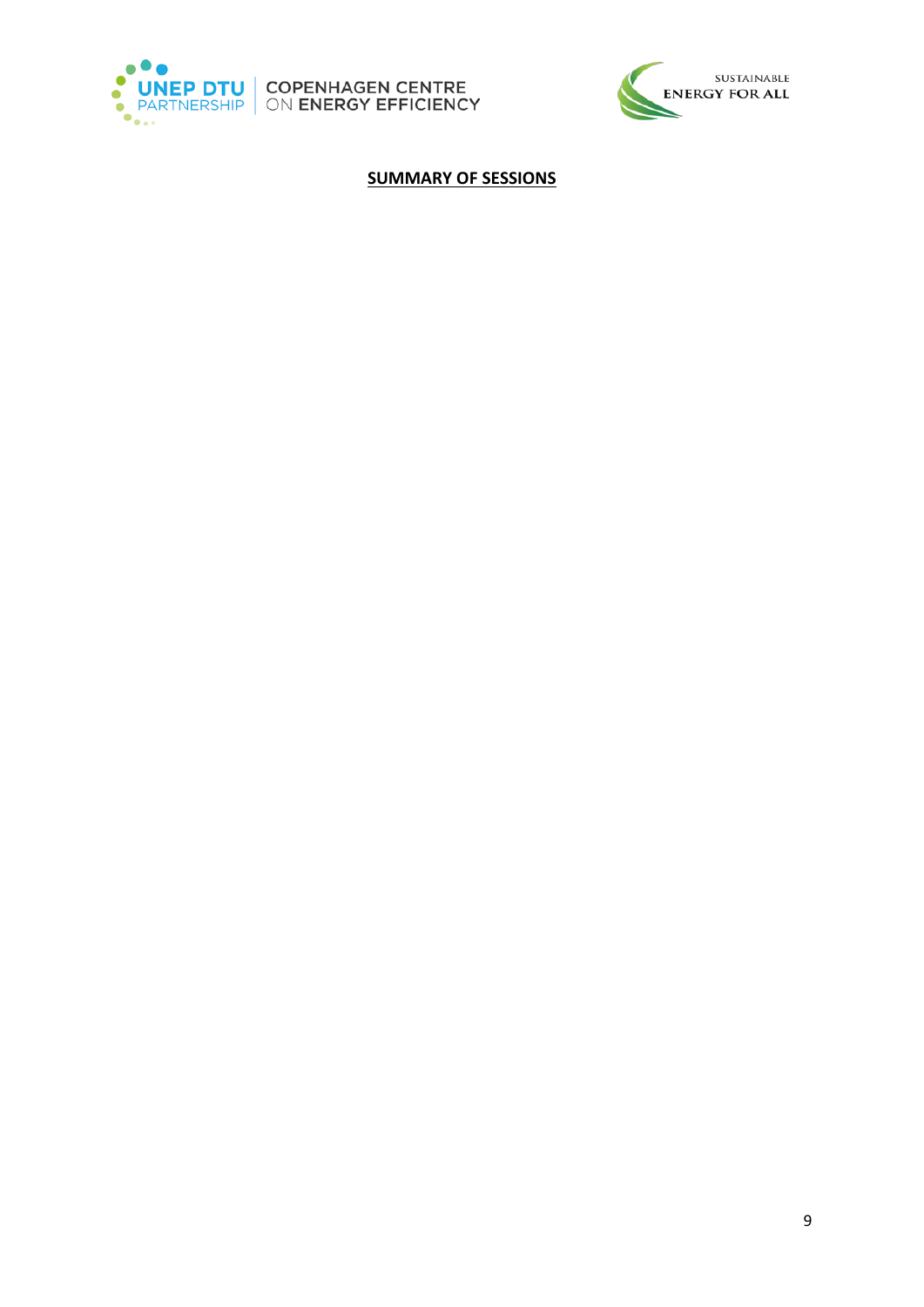





# **SUMMARY OF SESSIONS**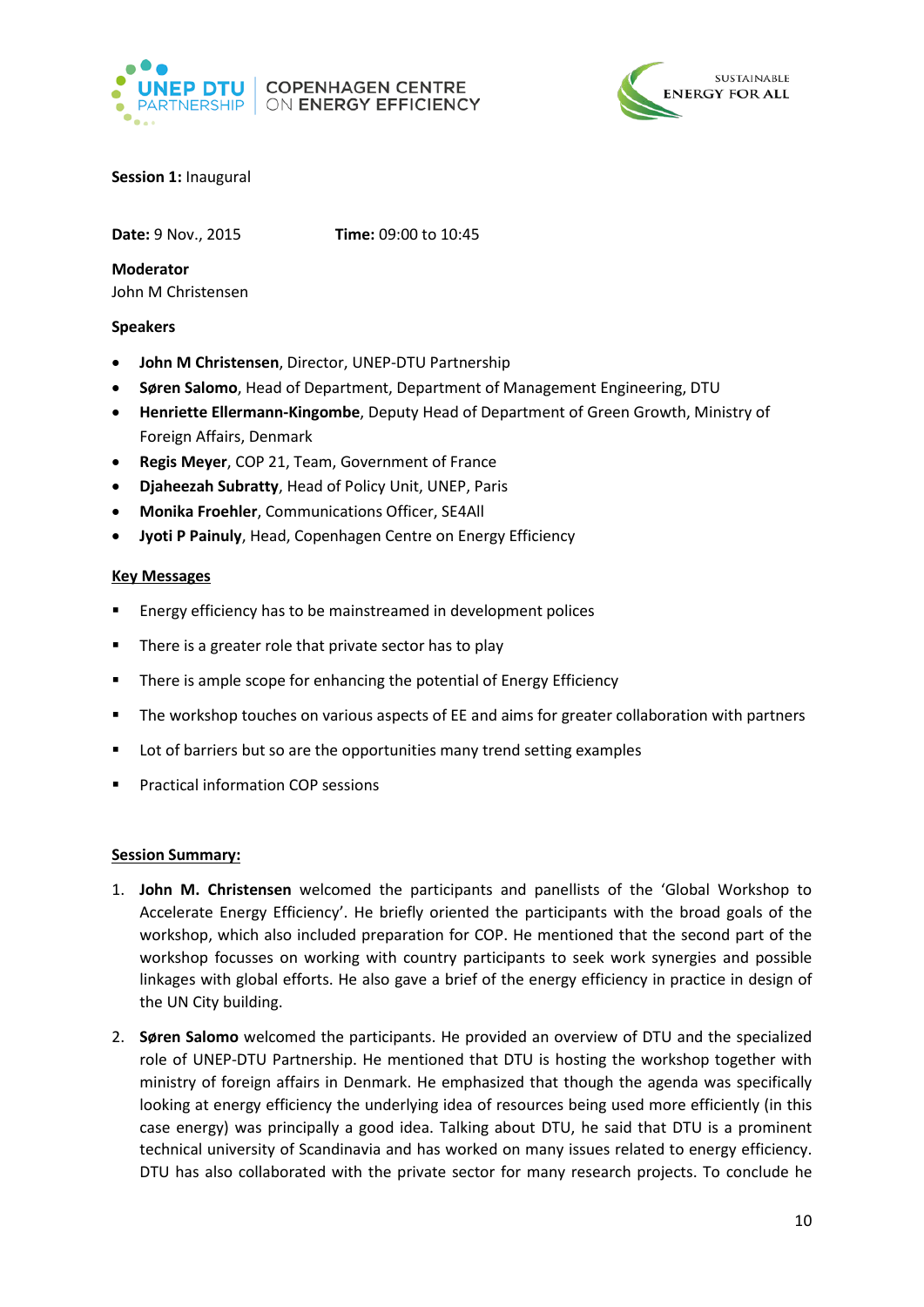



### <span id="page-9-0"></span>**Session 1:** Inaugural

**Date:** 9 Nov., 2015 **Time:** 09:00 to 10:45

**Moderator** John M Christensen

#### **Speakers**

- **John M Christensen**, Director, UNEP-DTU Partnership
- **Søren Salomo**, Head of Department, Department of Management Engineering, DTU
- **Henriette Ellermann-Kingombe**, Deputy Head of Department of Green Growth, Ministry of Foreign Affairs, Denmark
- **Regis Meyer**, COP 21, Team, Government of France
- **Djaheezah Subratty**, Head of Policy Unit, UNEP, Paris
- **Monika Froehler**, Communications Officer, SE4All
- **Jyoti P Painuly**, Head, Copenhagen Centre on Energy Efficiency

#### **Key Messages**

- Energy efficiency has to be mainstreamed in development polices
- There is a greater role that private sector has to play
- There is ample scope for enhancing the potential of Energy Efficiency
- The workshop touches on various aspects of EE and aims for greater collaboration with partners
- **Lot of barriers but so are the opportunities many trend setting examples**
- Practical information COP sessions

#### **Session Summary:**

- 1. **John M. Christensen** welcomed the participants and panellists of the 'Global Workshop to Accelerate Energy Efficiency'. He briefly oriented the participants with the broad goals of the workshop, which also included preparation for COP. He mentioned that the second part of the workshop focusses on working with country participants to seek work synergies and possible linkages with global efforts. He also gave a brief of the energy efficiency in practice in design of the UN City building.
- 2. **Søren Salomo** welcomed the participants. He provided an overview of DTU and the specialized role of UNEP-DTU Partnership. He mentioned that DTU is hosting the workshop together with ministry of foreign affairs in Denmark. He emphasized that though the agenda was specifically looking at energy efficiency the underlying idea of resources being used more efficiently (in this case energy) was principally a good idea. Talking about DTU, he said that DTU is a prominent technical university of Scandinavia and has worked on many issues related to energy efficiency. DTU has also collaborated with the private sector for many research projects. To conclude he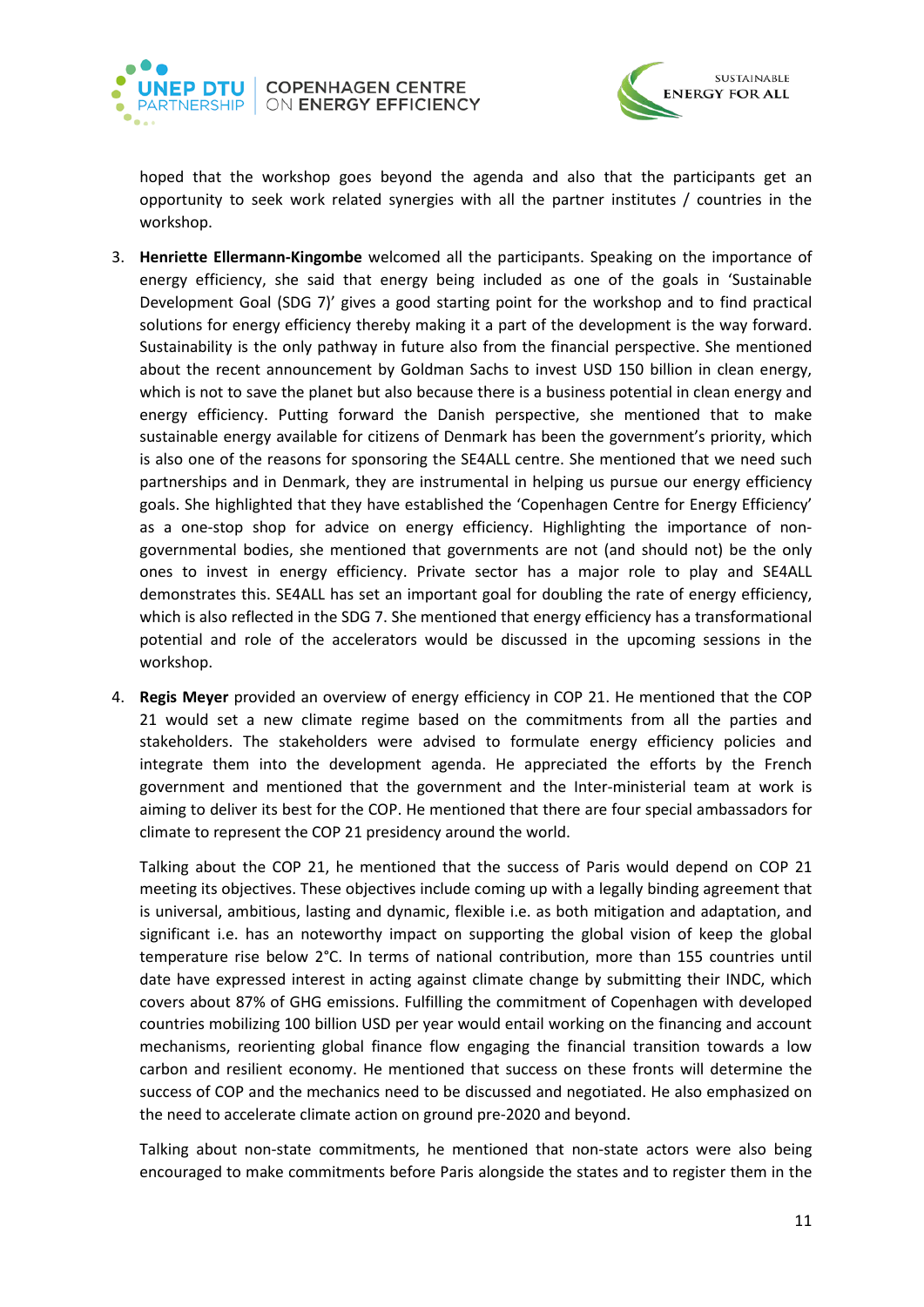



hoped that the workshop goes beyond the agenda and also that the participants get an opportunity to seek work related synergies with all the partner institutes / countries in the workshop.

- 3. **Henriette Ellermann-Kingombe** welcomed all the participants. Speaking on the importance of energy efficiency, she said that energy being included as one of the goals in 'Sustainable Development Goal (SDG 7)' gives a good starting point for the workshop and to find practical solutions for energy efficiency thereby making it a part of the development is the way forward. Sustainability is the only pathway in future also from the financial perspective. She mentioned about the recent announcement by Goldman Sachs to invest USD 150 billion in clean energy, which is not to save the planet but also because there is a business potential in clean energy and energy efficiency. Putting forward the Danish perspective, she mentioned that to make sustainable energy available for citizens of Denmark has been the government's priority, which is also one of the reasons for sponsoring the SE4ALL centre. She mentioned that we need such partnerships and in Denmark, they are instrumental in helping us pursue our energy efficiency goals. She highlighted that they have established the 'Copenhagen Centre for Energy Efficiency' as a one-stop shop for advice on energy efficiency. Highlighting the importance of nongovernmental bodies, she mentioned that governments are not (and should not) be the only ones to invest in energy efficiency. Private sector has a major role to play and SE4ALL demonstrates this. SE4ALL has set an important goal for doubling the rate of energy efficiency, which is also reflected in the SDG 7. She mentioned that energy efficiency has a transformational potential and role of the accelerators would be discussed in the upcoming sessions in the workshop.
- 4. **Regis Meyer** provided an overview of energy efficiency in COP 21. He mentioned that the COP 21 would set a new climate regime based on the commitments from all the parties and stakeholders. The stakeholders were advised to formulate energy efficiency policies and integrate them into the development agenda. He appreciated the efforts by the French government and mentioned that the government and the Inter-ministerial team at work is aiming to deliver its best for the COP. He mentioned that there are four special ambassadors for climate to represent the COP 21 presidency around the world.

Talking about the COP 21, he mentioned that the success of Paris would depend on COP 21 meeting its objectives. These objectives include coming up with a legally binding agreement that is universal, ambitious, lasting and dynamic, flexible i.e. as both mitigation and adaptation, and significant i.e. has an noteworthy impact on supporting the global vision of keep the global temperature rise below 2°C. In terms of national contribution, more than 155 countries until date have expressed interest in acting against climate change by submitting their INDC, which covers about 87% of GHG emissions. Fulfilling the commitment of Copenhagen with developed countries mobilizing 100 billion USD per year would entail working on the financing and account mechanisms, reorienting global finance flow engaging the financial transition towards a low carbon and resilient economy. He mentioned that success on these fronts will determine the success of COP and the mechanics need to be discussed and negotiated. He also emphasized on the need to accelerate climate action on ground pre-2020 and beyond.

Talking about non-state commitments, he mentioned that non-state actors were also being encouraged to make commitments before Paris alongside the states and to register them in the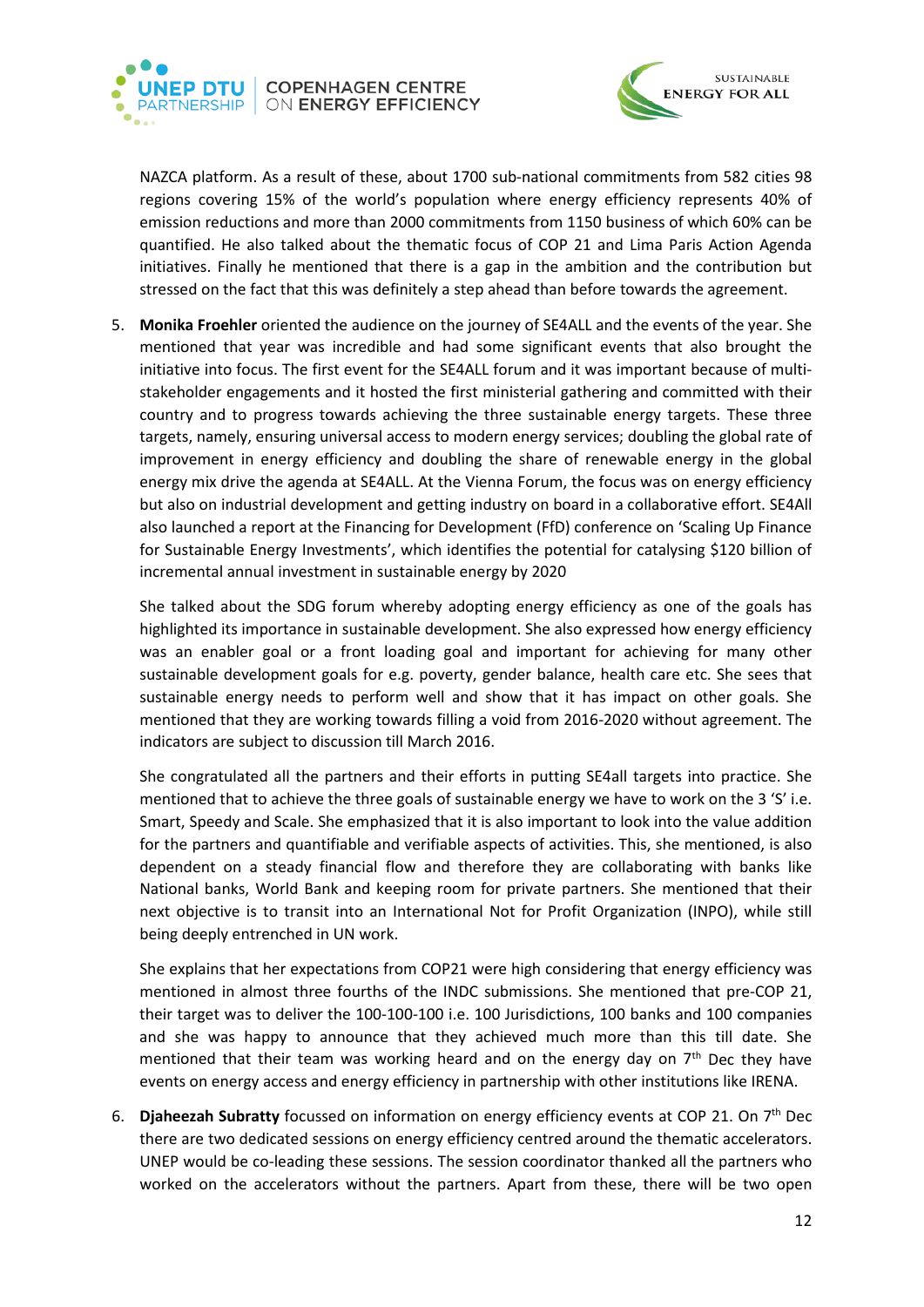



NAZCA platform. As a result of these, about 1700 sub-national commitments from 582 cities 98 regions covering 15% of the world's population where energy efficiency represents 40% of emission reductions and more than 2000 commitments from 1150 business of which 60% can be quantified. He also talked about the thematic focus of COP 21 and Lima Paris Action Agenda initiatives. Finally he mentioned that there is a gap in the ambition and the contribution but stressed on the fact that this was definitely a step ahead than before towards the agreement.

5. **Monika Froehler** oriented the audience on the journey of SE4ALL and the events of the year. She mentioned that year was incredible and had some significant events that also brought the initiative into focus. The first event for the SE4ALL forum and it was important because of multistakeholder engagements and it hosted the first ministerial gathering and committed with their country and to progress towards achieving the three sustainable energy targets. These three targets, namely, ensuring universal access to modern energy services; doubling the global rate of improvement in energy efficiency and doubling the share of renewable energy in the global energy mix drive the agenda at SE4ALL. At the Vienna Forum, the focus was on energy efficiency but also on industrial development and getting industry on board in a collaborative effort. SE4All also launched a report at the Financing for Development (FfD) conference on 'Scaling Up Finance for Sustainable Energy Investments', which identifies the potential for catalysing \$120 billion of incremental annual investment in sustainable energy by 2020

She talked about the SDG forum whereby adopting energy efficiency as one of the goals has highlighted its importance in sustainable development. She also expressed how energy efficiency was an enabler goal or a front loading goal and important for achieving for many other sustainable development goals for e.g. poverty, gender balance, health care etc. She sees that sustainable energy needs to perform well and show that it has impact on other goals. She mentioned that they are working towards filling a void from 2016-2020 without agreement. The indicators are subject to discussion till March 2016.

She congratulated all the partners and their efforts in putting SE4all targets into practice. She mentioned that to achieve the three goals of sustainable energy we have to work on the 3 'S' i.e. Smart, Speedy and Scale. She emphasized that it is also important to look into the value addition for the partners and quantifiable and verifiable aspects of activities. This, she mentioned, is also dependent on a steady financial flow and therefore they are collaborating with banks like National banks, World Bank and keeping room for private partners. She mentioned that their next objective is to transit into an International Not for Profit Organization (INPO), while still being deeply entrenched in UN work.

She explains that her expectations from COP21 were high considering that energy efficiency was mentioned in almost three fourths of the INDC submissions. She mentioned that pre-COP 21, their target was to deliver the 100-100-100 i.e. 100 Jurisdictions, 100 banks and 100 companies and she was happy to announce that they achieved much more than this till date. She mentioned that their team was working heard and on the energy day on  $7<sup>th</sup>$  Dec they have events on energy access and energy efficiency in partnership with other institutions like IRENA.

6. **Djaheezah Subratty** focussed on information on energy efficiency events at COP 21. On 7th Dec there are two dedicated sessions on energy efficiency centred around the thematic accelerators. UNEP would be co-leading these sessions. The session coordinator thanked all the partners who worked on the accelerators without the partners. Apart from these, there will be two open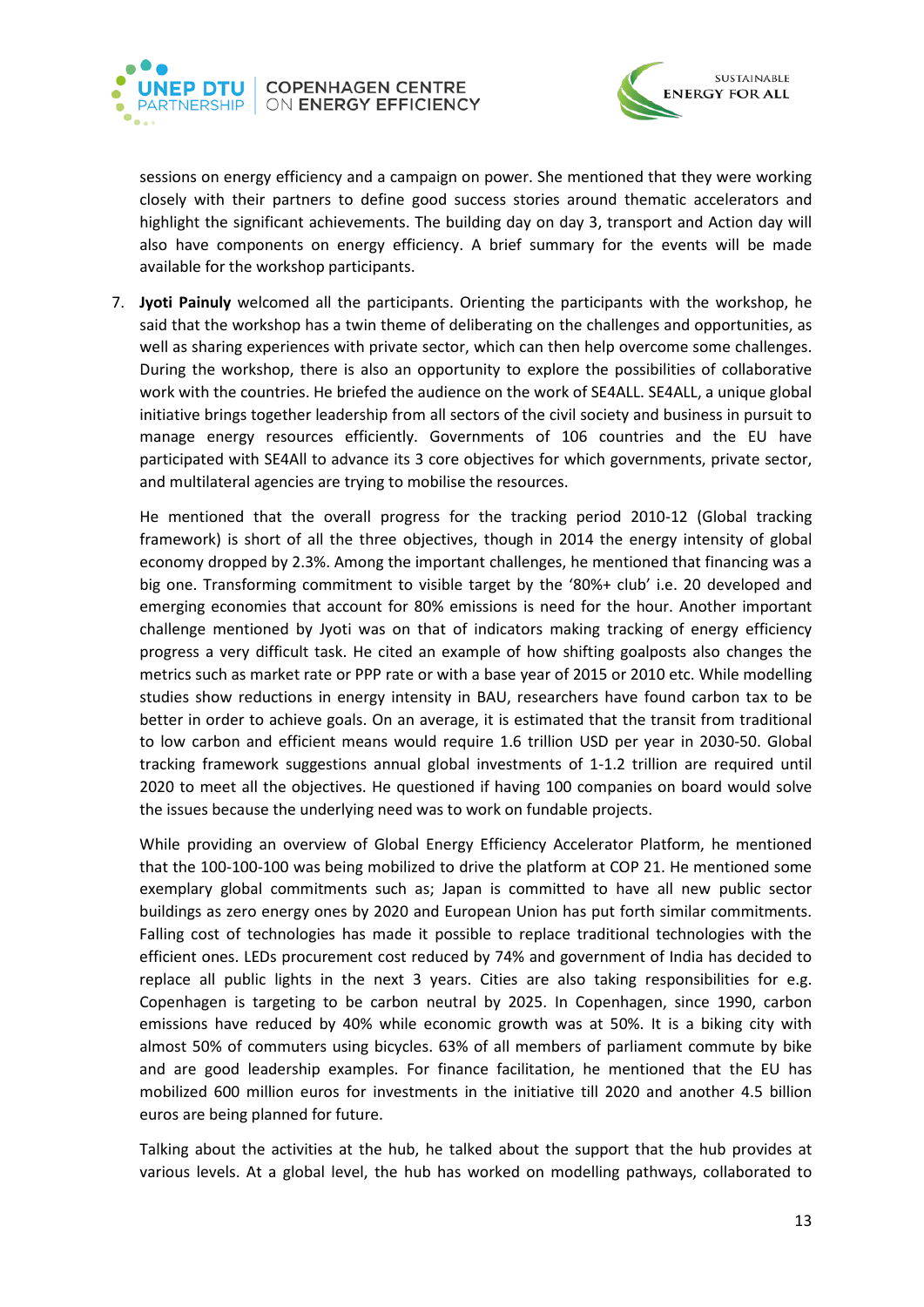



sessions on energy efficiency and a campaign on power. She mentioned that they were working closely with their partners to define good success stories around thematic accelerators and highlight the significant achievements. The building day on day 3, transport and Action day will also have components on energy efficiency. A brief summary for the events will be made available for the workshop participants.

7. **Jyoti Painuly** welcomed all the participants. Orienting the participants with the workshop, he said that the workshop has a twin theme of deliberating on the challenges and opportunities, as well as sharing experiences with private sector, which can then help overcome some challenges. During the workshop, there is also an opportunity to explore the possibilities of collaborative work with the countries. He briefed the audience on the work of SE4ALL. SE4ALL, a unique global initiative brings together leadership from all sectors of the civil society and business in pursuit to manage energy resources efficiently. Governments of 106 countries and the EU have participated with SE4All to advance its 3 core objectives for which governments, private sector, and multilateral agencies are trying to mobilise the resources.

He mentioned that the overall progress for the tracking period 2010-12 (Global tracking framework) is short of all the three objectives, though in 2014 the energy intensity of global economy dropped by 2.3%. Among the important challenges, he mentioned that financing was a big one. Transforming commitment to visible target by the '80%+ club' i.e. 20 developed and emerging economies that account for 80% emissions is need for the hour. Another important challenge mentioned by Jyoti was on that of indicators making tracking of energy efficiency progress a very difficult task. He cited an example of how shifting goalposts also changes the metrics such as market rate or PPP rate or with a base year of 2015 or 2010 etc. While modelling studies show reductions in energy intensity in BAU, researchers have found carbon tax to be better in order to achieve goals. On an average, it is estimated that the transit from traditional to low carbon and efficient means would require 1.6 trillion USD per year in 2030-50. Global tracking framework suggestions annual global investments of 1-1.2 trillion are required until 2020 to meet all the objectives. He questioned if having 100 companies on board would solve the issues because the underlying need was to work on fundable projects.

While providing an overview of Global Energy Efficiency Accelerator Platform, he mentioned that the 100-100-100 was being mobilized to drive the platform at COP 21. He mentioned some exemplary global commitments such as; Japan is committed to have all new public sector buildings as zero energy ones by 2020 and European Union has put forth similar commitments. Falling cost of technologies has made it possible to replace traditional technologies with the efficient ones. LEDs procurement cost reduced by 74% and government of India has decided to replace all public lights in the next 3 years. Cities are also taking responsibilities for e.g. Copenhagen is targeting to be carbon neutral by 2025. In Copenhagen, since 1990, carbon emissions have reduced by 40% while economic growth was at 50%. It is a biking city with almost 50% of commuters using bicycles. 63% of all members of parliament commute by bike and are good leadership examples. For finance facilitation, he mentioned that the EU has mobilized 600 million euros for investments in the initiative till 2020 and another 4.5 billion euros are being planned for future.

Talking about the activities at the hub, he talked about the support that the hub provides at various levels. At a global level, the hub has worked on modelling pathways, collaborated to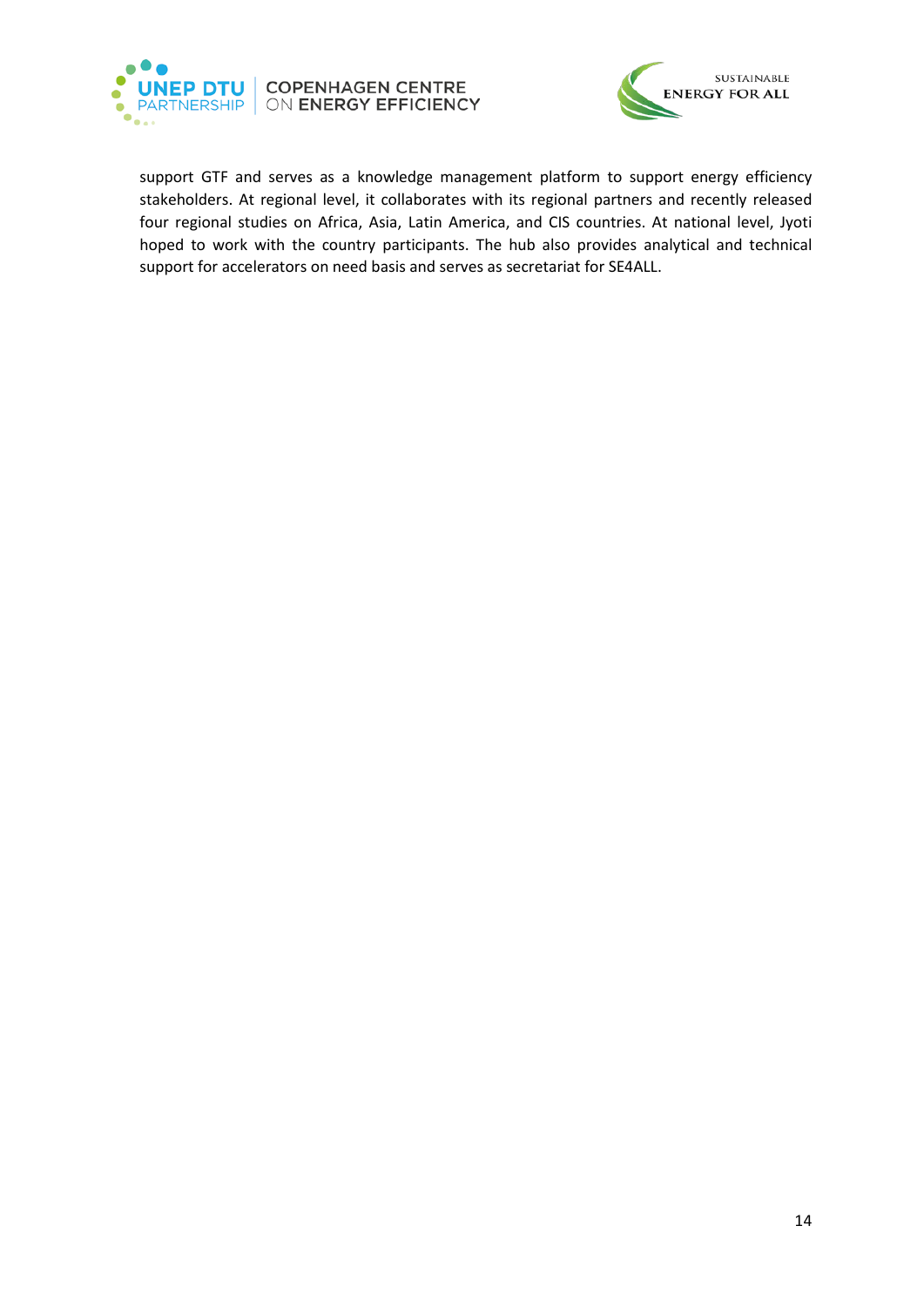



support GTF and serves as a knowledge management platform to support energy efficiency stakeholders. At regional level, it collaborates with its regional partners and recently released four regional studies on Africa, Asia, Latin America, and CIS countries. At national level, Jyoti hoped to work with the country participants. The hub also provides analytical and technical support for accelerators on need basis and serves as secretariat for SE4ALL.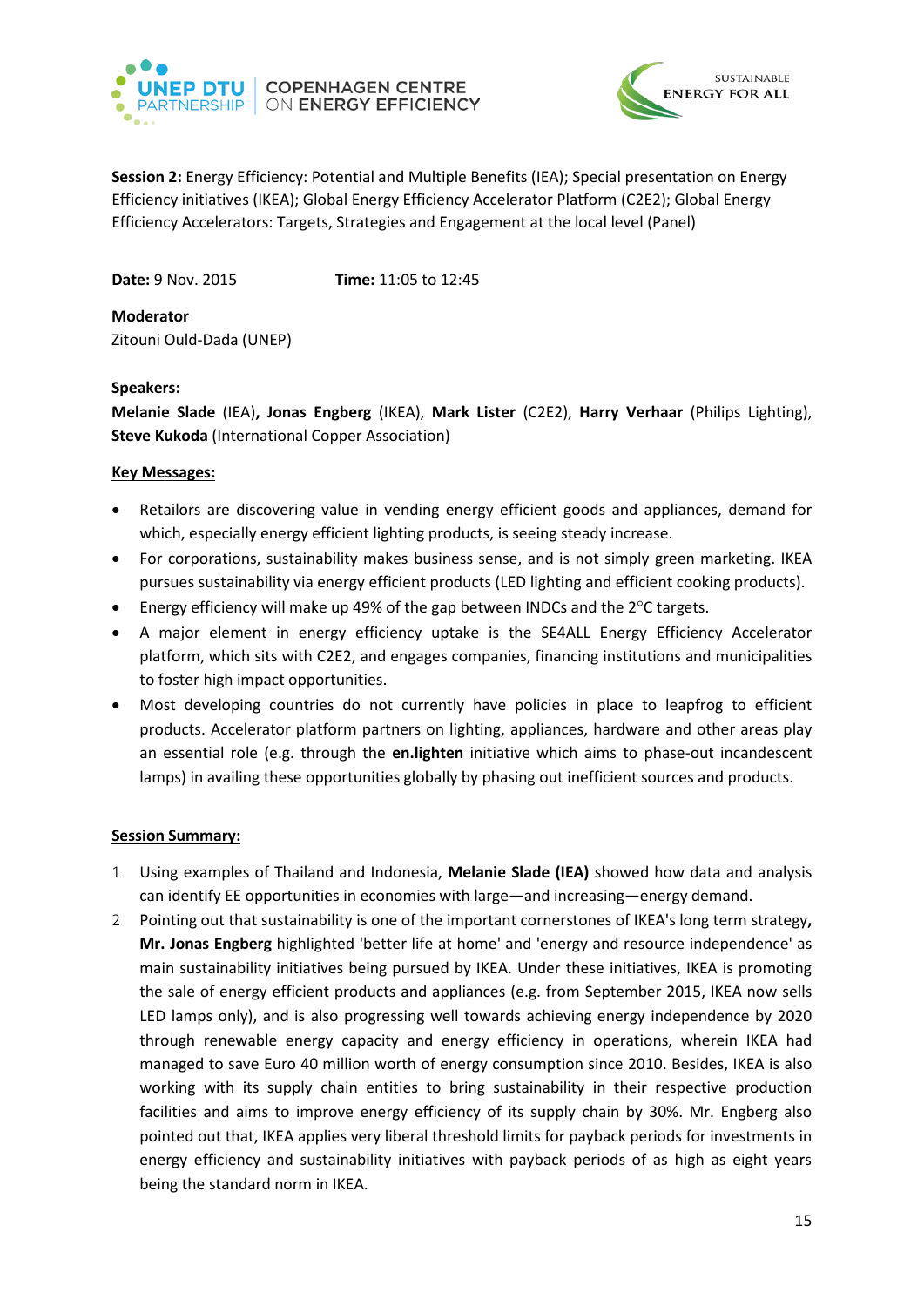



<span id="page-14-0"></span>**Session 2:** Energy Efficiency: Potential and Multiple Benefits (IEA); Special presentation on Energy Efficiency initiatives (IKEA); Global Energy Efficiency Accelerator Platform (C2E2); Global Energy Efficiency Accelerators: Targets, Strategies and Engagement at the local level (Panel)

**Date:** 9 Nov. 2015 **Time:** 11:05 to 12:45

**Moderator** Zitouni Ould-Dada (UNEP)

### **Speakers:**

**Melanie Slade** (IEA)**, Jonas Engberg** (IKEA), **Mark Lister** (C2E2), **Harry Verhaar** (Philips Lighting), **Steve Kukoda** (International Copper Association)

### **Key Messages:**

- Retailors are discovering value in vending energy efficient goods and appliances, demand for which, especially energy efficient lighting products, is seeing steady increase.
- For corporations, sustainability makes business sense, and is not simply green marketing. IKEA pursues sustainability via energy efficient products (LED lighting and efficient cooking products).
- Energy efficiency will make up 49% of the gap between INDCs and the 2°C targets.
- A major element in energy efficiency uptake is the SE4ALL Energy Efficiency Accelerator platform, which sits with C2E2, and engages companies, financing institutions and municipalities to foster high impact opportunities.
- Most developing countries do not currently have policies in place to leapfrog to efficient products. Accelerator platform partners on lighting, appliances, hardware and other areas play an essential role (e.g. through the **en.lighten** initiative which aims to phase-out incandescent lamps) in availing these opportunities globally by phasing out inefficient sources and products.

# **Session Summary:**

- 1 Using examples of Thailand and Indonesia, **Melanie Slade (IEA)** showed how data and analysis can identify EE opportunities in economies with large—and increasing—energy demand.
- 2 Pointing out that sustainability is one of the important cornerstones of IKEA's long term strategy**, Mr. Jonas Engberg** highlighted 'better life at home' and 'energy and resource independence' as main sustainability initiatives being pursued by IKEA. Under these initiatives, IKEA is promoting the sale of energy efficient products and appliances (e.g. from September 2015, IKEA now sells LED lamps only), and is also progressing well towards achieving energy independence by 2020 through renewable energy capacity and energy efficiency in operations, wherein IKEA had managed to save Euro 40 million worth of energy consumption since 2010. Besides, IKEA is also working with its supply chain entities to bring sustainability in their respective production facilities and aims to improve energy efficiency of its supply chain by 30%. Mr. Engberg also pointed out that, IKEA applies very liberal threshold limits for payback periods for investments in energy efficiency and sustainability initiatives with payback periods of as high as eight years being the standard norm in IKEA.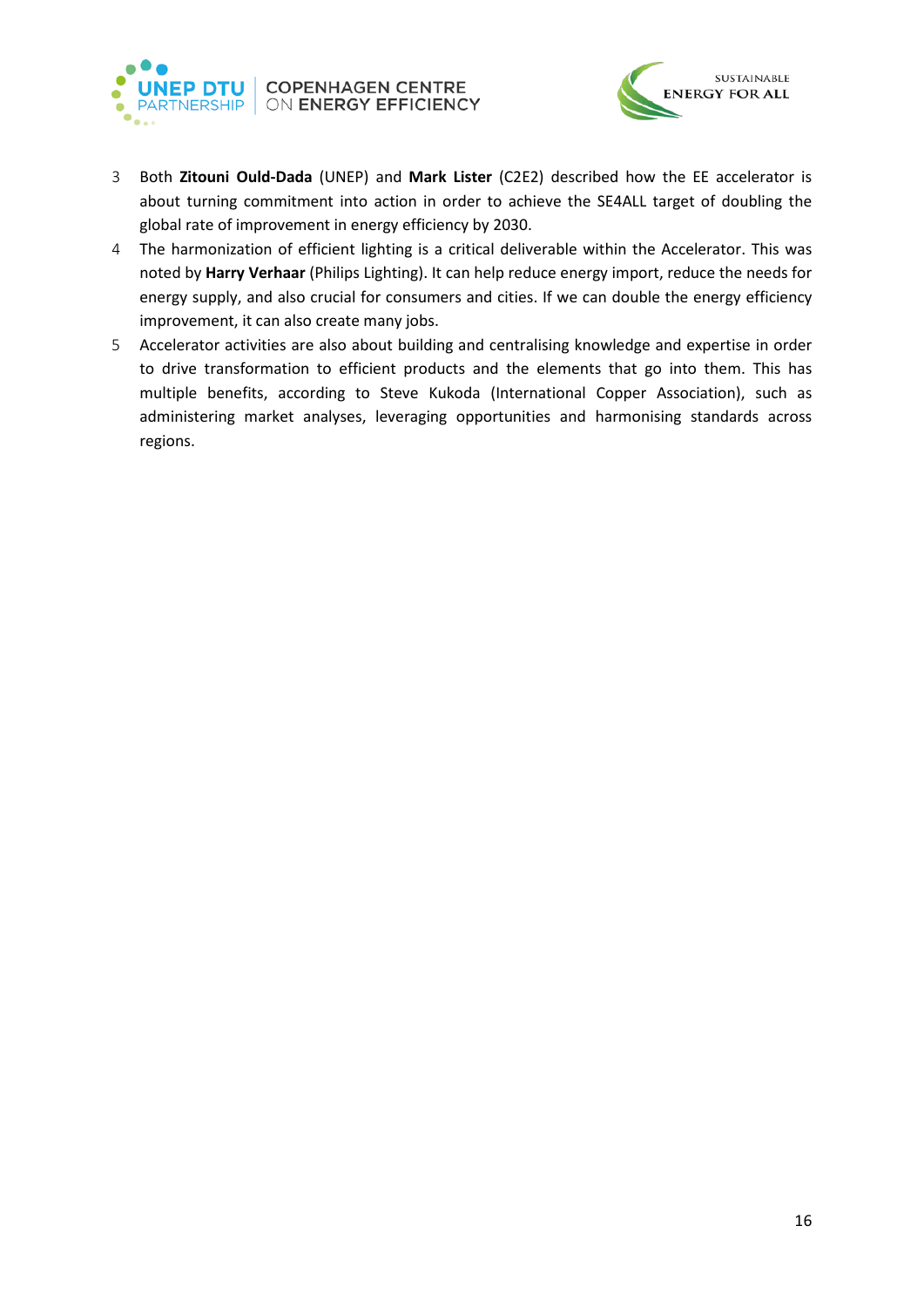



- 3 Both **Zitouni Ould-Dada** (UNEP) and **Mark Lister** (C2E2) described how the EE accelerator is about turning commitment into action in order to achieve the SE4ALL target of doubling the global rate of improvement in energy efficiency by 2030.
- 4 The harmonization of efficient lighting is a critical deliverable within the Accelerator. This was noted by **Harry Verhaar** (Philips Lighting). It can help reduce energy import, reduce the needs for energy supply, and also crucial for consumers and cities. If we can double the energy efficiency improvement, it can also create many jobs.
- 5 Accelerator activities are also about building and centralising knowledge and expertise in order to drive transformation to efficient products and the elements that go into them. This has multiple benefits, according to Steve Kukoda (International Copper Association), such as administering market analyses, leveraging opportunities and harmonising standards across regions.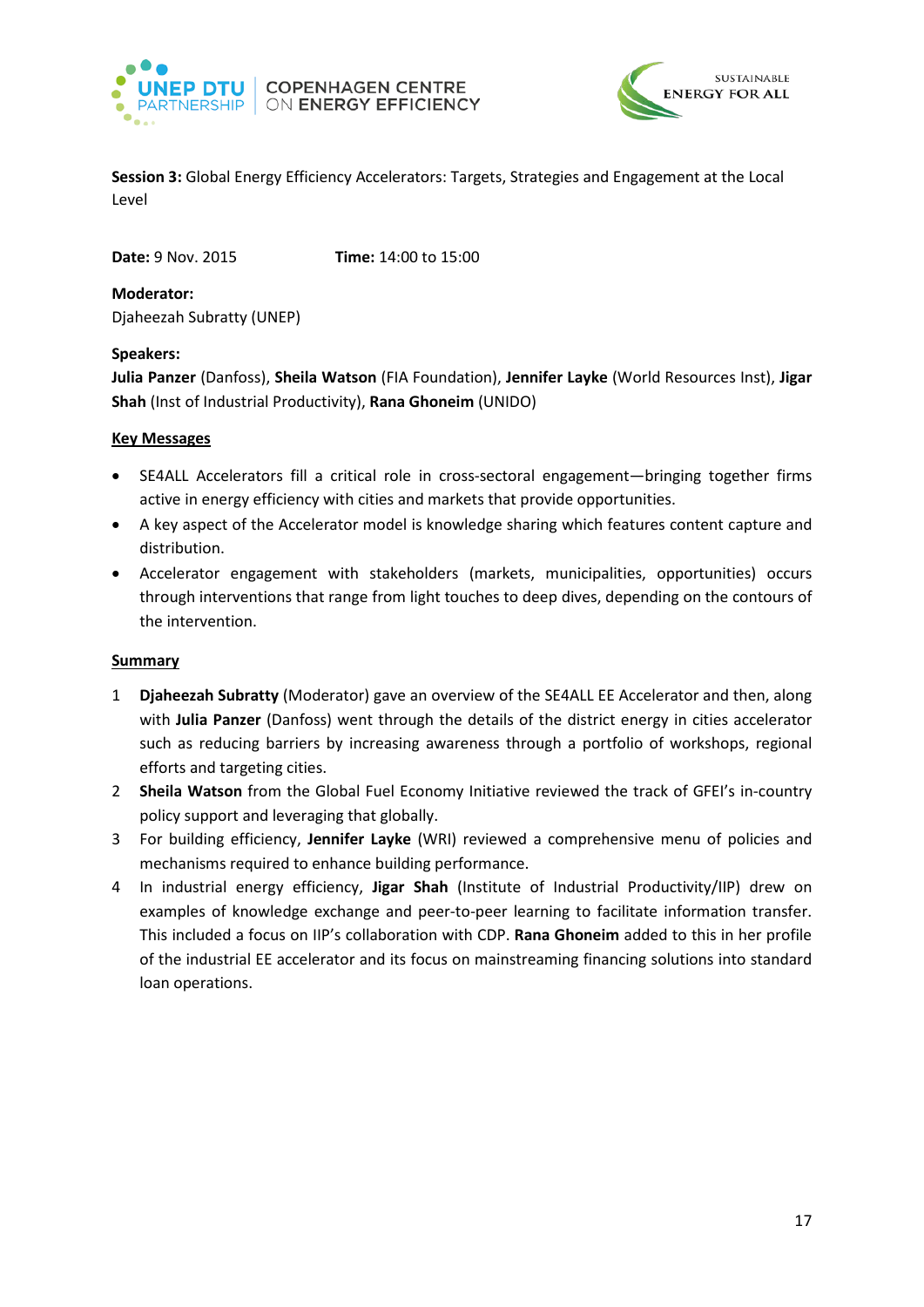



<span id="page-16-0"></span>**Session 3:** Global Energy Efficiency Accelerators: Targets, Strategies and Engagement at the Local Level

**Date:** 9 Nov. 2015 **Time:** 14:00 to 15:00

**Moderator:**  Djaheezah Subratty (UNEP)

#### **Speakers:**

**Julia Panzer** (Danfoss), **Sheila Watson** (FIA Foundation), **Jennifer Layke** (World Resources Inst), **Jigar Shah** (Inst of Industrial Productivity), **Rana Ghoneim** (UNIDO)

### **Key Messages**

- SE4ALL Accelerators fill a critical role in cross-sectoral engagement—bringing together firms active in energy efficiency with cities and markets that provide opportunities.
- A key aspect of the Accelerator model is knowledge sharing which features content capture and distribution.
- Accelerator engagement with stakeholders (markets, municipalities, opportunities) occurs through interventions that range from light touches to deep dives, depending on the contours of the intervention.

#### **Summary**

- 1 **Djaheezah Subratty** (Moderator) gave an overview of the SE4ALL EE Accelerator and then, along with **Julia Panzer** (Danfoss) went through the details of the district energy in cities accelerator such as reducing barriers by increasing awareness through a portfolio of workshops, regional efforts and targeting cities.
- 2 **Sheila Watson** from the Global Fuel Economy Initiative reviewed the track of GFEI's in-country policy support and leveraging that globally.
- 3 For building efficiency, **Jennifer Layke** (WRI) reviewed a comprehensive menu of policies and mechanisms required to enhance building performance.
- 4 In industrial energy efficiency, **Jigar Shah** (Institute of Industrial Productivity/IIP) drew on examples of knowledge exchange and peer-to-peer learning to facilitate information transfer. This included a focus on IIP's collaboration with CDP. **Rana Ghoneim** added to this in her profile of the industrial EE accelerator and its focus on mainstreaming financing solutions into standard loan operations.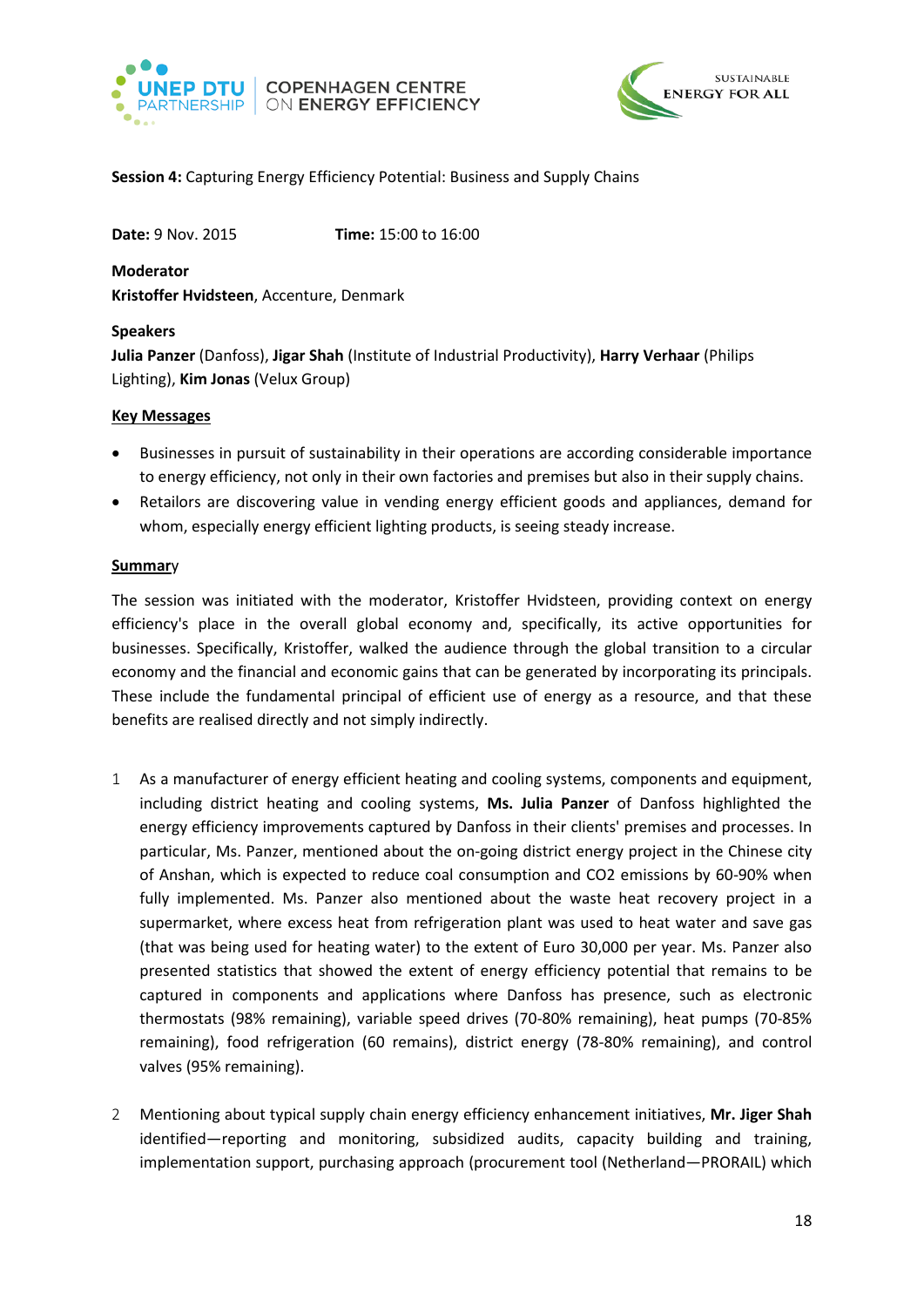



# <span id="page-17-0"></span>**Session 4:** Capturing Energy Efficiency Potential: Business and Supply Chains

**Date:** 9 Nov. 2015 **Time:** 15:00 to 16:00

**Moderator Kristoffer Hvidsteen**, Accenture, Denmark

#### **Speakers**

**Julia Panzer** (Danfoss), **Jigar Shah** (Institute of Industrial Productivity), **Harry Verhaar** (Philips Lighting), **Kim Jonas** (Velux Group)

#### **Key Messages**

- Businesses in pursuit of sustainability in their operations are according considerable importance to energy efficiency, not only in their own factories and premises but also in their supply chains.
- Retailors are discovering value in vending energy efficient goods and appliances, demand for whom, especially energy efficient lighting products, is seeing steady increase.

#### **Summar**y

The session was initiated with the moderator, Kristoffer Hvidsteen, providing context on energy efficiency's place in the overall global economy and, specifically, its active opportunities for businesses. Specifically, Kristoffer, walked the audience through the global transition to a circular economy and the financial and economic gains that can be generated by incorporating its principals. These include the fundamental principal of efficient use of energy as a resource, and that these benefits are realised directly and not simply indirectly.

- 1 As a manufacturer of energy efficient heating and cooling systems, components and equipment, including district heating and cooling systems, **Ms. Julia Panzer** of Danfoss highlighted the energy efficiency improvements captured by Danfoss in their clients' premises and processes. In particular, Ms. Panzer, mentioned about the on-going district energy project in the Chinese city of Anshan, which is expected to reduce coal consumption and CO2 emissions by 60-90% when fully implemented. Ms. Panzer also mentioned about the waste heat recovery project in a supermarket, where excess heat from refrigeration plant was used to heat water and save gas (that was being used for heating water) to the extent of Euro 30,000 per year. Ms. Panzer also presented statistics that showed the extent of energy efficiency potential that remains to be captured in components and applications where Danfoss has presence, such as electronic thermostats (98% remaining), variable speed drives (70-80% remaining), heat pumps (70-85% remaining), food refrigeration (60 remains), district energy (78-80% remaining), and control valves (95% remaining).
- 2 Mentioning about typical supply chain energy efficiency enhancement initiatives, **Mr. Jiger Shah**  identified—reporting and monitoring, subsidized audits, capacity building and training, implementation support, purchasing approach (procurement tool (Netherland—PRORAIL) which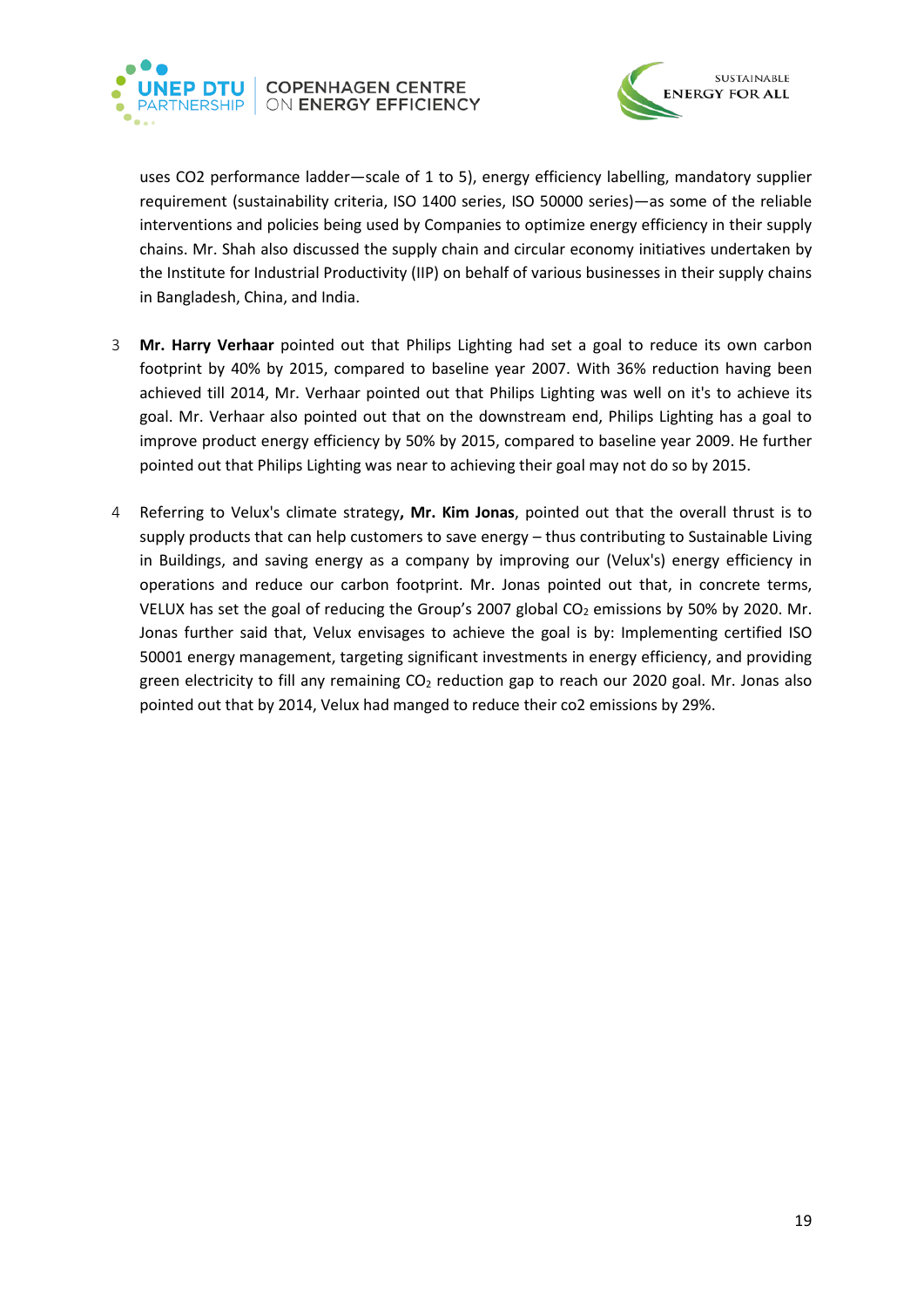



uses CO2 performance ladder—scale of 1 to 5), energy efficiency labelling, mandatory supplier requirement (sustainability criteria, ISO 1400 series, ISO 50000 series)—as some of the reliable interventions and policies being used by Companies to optimize energy efficiency in their supply chains. Mr. Shah also discussed the supply chain and circular economy initiatives undertaken by the Institute for Industrial Productivity (IIP) on behalf of various businesses in their supply chains in Bangladesh, China, and India.

- 3 **Mr. Harry Verhaar** pointed out that Philips Lighting had set a goal to reduce its own carbon footprint by 40% by 2015, compared to baseline year 2007. With 36% reduction having been achieved till 2014, Mr. Verhaar pointed out that Philips Lighting was well on it's to achieve its goal. Mr. Verhaar also pointed out that on the downstream end, Philips Lighting has a goal to improve product energy efficiency by 50% by 2015, compared to baseline year 2009. He further pointed out that Philips Lighting was near to achieving their goal may not do so by 2015.
- 4 Referring to Velux's climate strategy**, Mr. Kim Jonas**, pointed out that the overall thrust is to supply products that can help customers to save energy – thus contributing to Sustainable Living in Buildings, and saving energy as a company by improving our (Velux's) energy efficiency in operations and reduce our carbon footprint. Mr. Jonas pointed out that, in concrete terms, VELUX has set the goal of reducing the Group's 2007 global CO<sub>2</sub> emissions by 50% by 2020. Mr. Jonas further said that, Velux envisages to achieve the goal is by: Implementing certified ISO 50001 energy management, targeting significant investments in energy efficiency, and providing green electricity to fill any remaining  $CO<sub>2</sub>$  reduction gap to reach our 2020 goal. Mr. Jonas also pointed out that by 2014, Velux had manged to reduce their co2 emissions by 29%.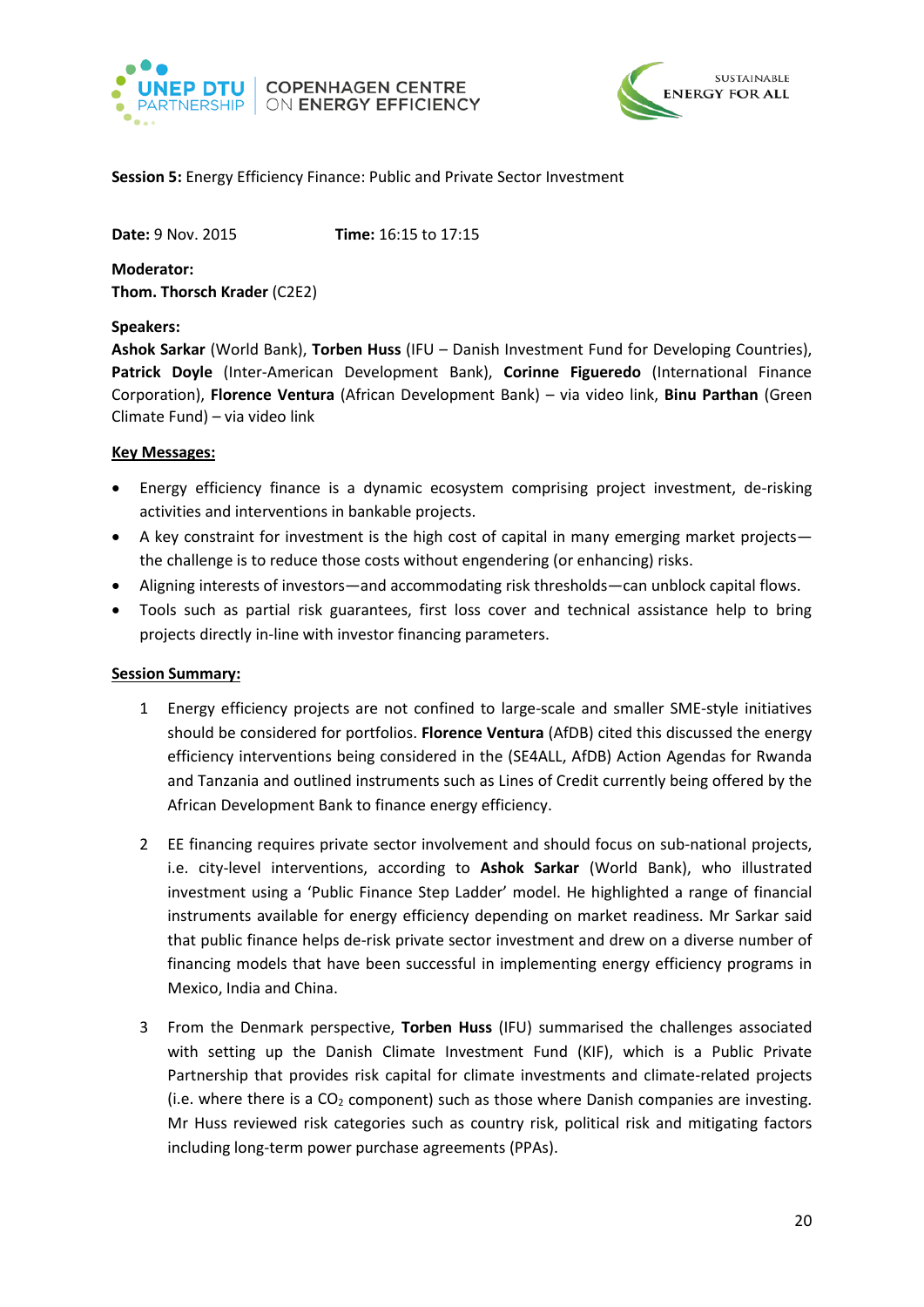



#### <span id="page-19-0"></span>**Session 5:** Energy Efficiency Finance: Public and Private Sector Investment

**Date:** 9 Nov. 2015 **Time:** 16:15 to 17:15

**Moderator: Thom. Thorsch Krader** (C2E2)

#### **Speakers:**

**Ashok Sarkar** (World Bank), **Torben Huss** (IFU – Danish Investment Fund for Developing Countries), **Patrick Doyle** (Inter-American Development Bank), **Corinne Figueredo** (International Finance Corporation), **Florence Ventura** (African Development Bank) – via video link, **Binu Parthan** (Green Climate Fund) – via video link

### **Key Messages:**

- Energy efficiency finance is a dynamic ecosystem comprising project investment, de-risking activities and interventions in bankable projects.
- A key constraint for investment is the high cost of capital in many emerging market projects the challenge is to reduce those costs without engendering (or enhancing) risks.
- Aligning interests of investors—and accommodating risk thresholds—can unblock capital flows.
- Tools such as partial risk guarantees, first loss cover and technical assistance help to bring projects directly in-line with investor financing parameters.

# **Session Summary:**

- 1 Energy efficiency projects are not confined to large-scale and smaller SME-style initiatives should be considered for portfolios. **Florence Ventura** (AfDB) cited this discussed the energy efficiency interventions being considered in the (SE4ALL, AfDB) Action Agendas for Rwanda and Tanzania and outlined instruments such as Lines of Credit currently being offered by the African Development Bank to finance energy efficiency.
- 2 EE financing requires private sector involvement and should focus on sub-national projects, i.e. city-level interventions, according to **Ashok Sarkar** (World Bank), who illustrated investment using a 'Public Finance Step Ladder' model. He highlighted a range of financial instruments available for energy efficiency depending on market readiness. Mr Sarkar said that public finance helps de-risk private sector investment and drew on a diverse number of financing models that have been successful in implementing energy efficiency programs in Mexico, India and China.
- 3 From the Denmark perspective, **Torben Huss** (IFU) summarised the challenges associated with setting up the Danish Climate Investment Fund (KIF), which is a Public Private Partnership that provides risk capital for climate investments and climate-related projects (i.e. where there is a  $CO<sub>2</sub>$  component) such as those where Danish companies are investing. Mr Huss reviewed risk categories such as country risk, political risk and mitigating factors including long-term power purchase agreements (PPAs).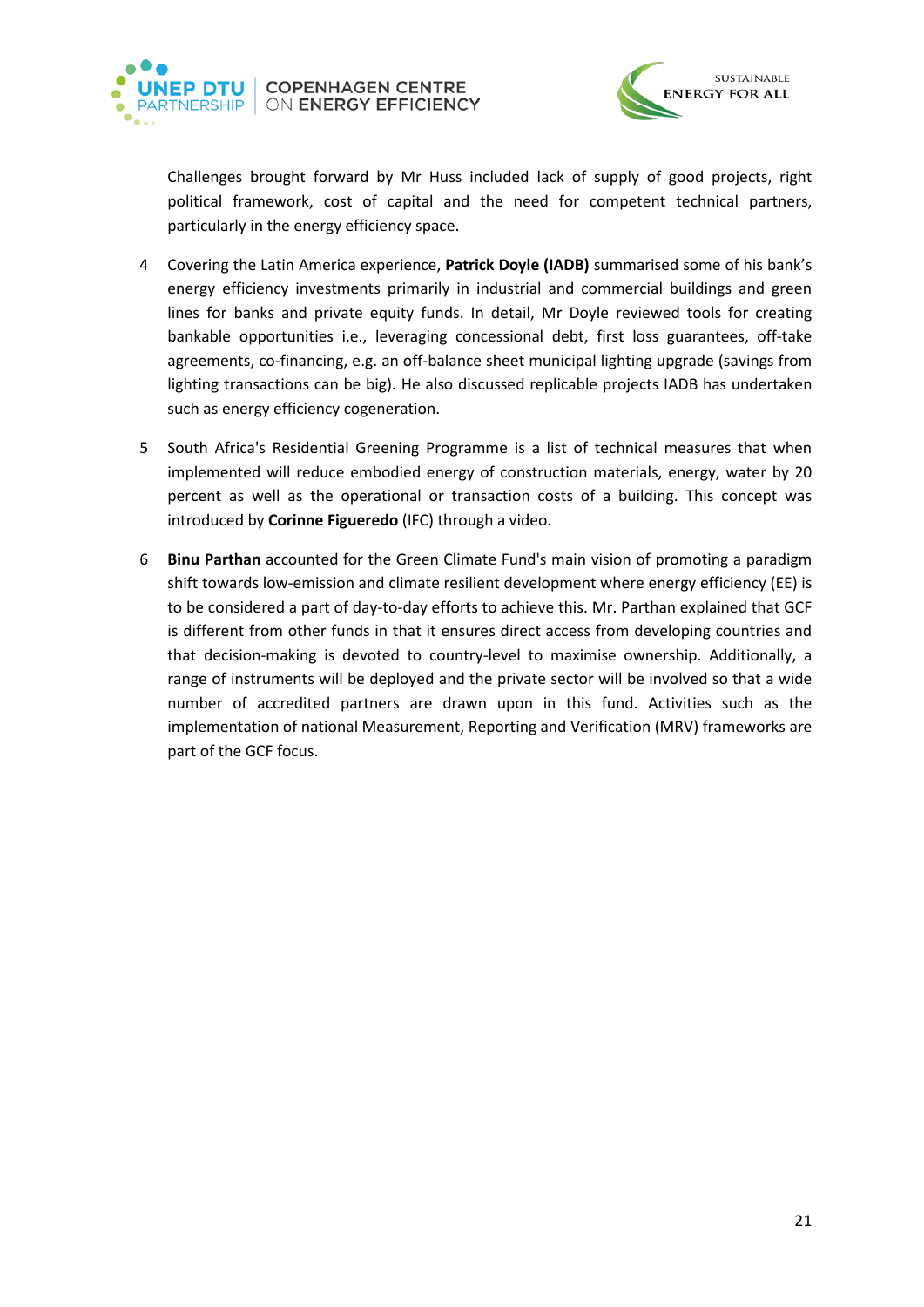



Challenges brought forward by Mr Huss included lack of supply of good projects, right political framework, cost of capital and the need for competent technical partners, particularly in the energy efficiency space.

- 4 Covering the Latin America experience, **Patrick Doyle (IADB)** summarised some of his bank's energy efficiency investments primarily in industrial and commercial buildings and green lines for banks and private equity funds. In detail, Mr Doyle reviewed tools for creating bankable opportunities i.e., leveraging concessional debt, first loss guarantees, off-take agreements, co-financing, e.g. an off-balance sheet municipal lighting upgrade (savings from lighting transactions can be big). He also discussed replicable projects IADB has undertaken such as energy efficiency cogeneration.
- 5 South Africa's Residential Greening Programme is a list of technical measures that when implemented will reduce embodied energy of construction materials, energy, water by 20 percent as well as the operational or transaction costs of a building. This concept was introduced by **Corinne Figueredo** (IFC) through a video.
- 6 **Binu Parthan** accounted for the Green Climate Fund's main vision of promoting a paradigm shift towards low-emission and climate resilient development where energy efficiency (EE) is to be considered a part of day-to-day efforts to achieve this. Mr. Parthan explained that GCF is different from other funds in that it ensures direct access from developing countries and that decision-making is devoted to country-level to maximise ownership. Additionally, a range of instruments will be deployed and the private sector will be involved so that a wide number of accredited partners are drawn upon in this fund. Activities such as the implementation of national Measurement, Reporting and Verification (MRV) frameworks are part of the GCF focus.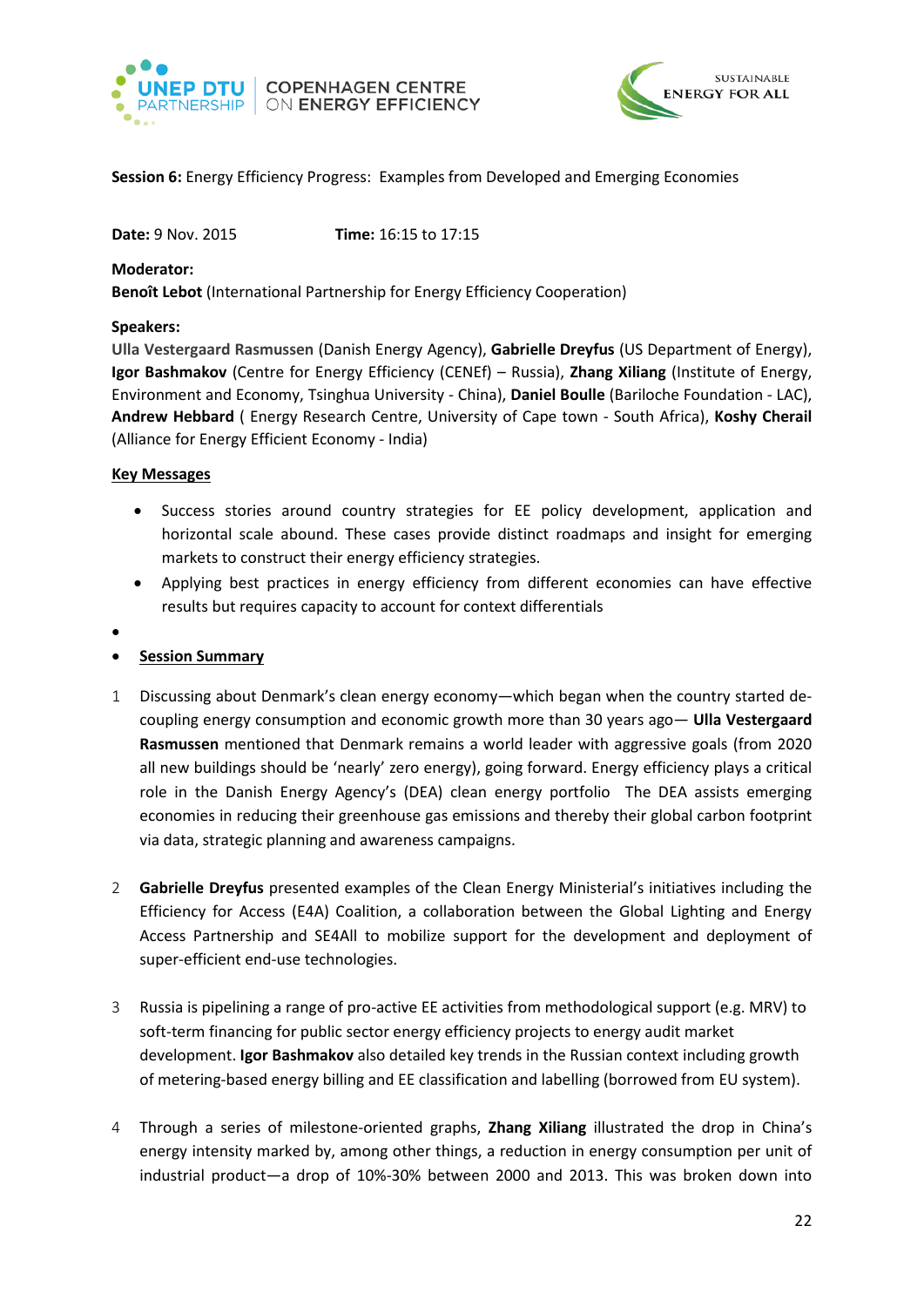



# <span id="page-21-0"></span>**Session 6:** Energy Efficiency Progress: Examples from Developed and Emerging Economies

**Date:** 9 Nov. 2015 **Time:** 16:15 to 17:15

**Moderator:**

**Benoît Lebot** (International Partnership for Energy Efficiency Cooperation)

#### **Speakers:**

**Ulla Vestergaard Rasmussen** (Danish Energy Agency), **Gabrielle Dreyfus** (US Department of Energy), **Igor Bashmakov** (Centre for Energy Efficiency (CENEf) – Russia), **Zhang Xiliang** (Institute of Energy, Environment and Economy, Tsinghua University - China), **Daniel Boulle** (Bariloche Foundation - LAC), **Andrew Hebbard** ( Energy Research Centre, University of Cape town - South Africa), **Koshy Cherail**  (Alliance for Energy Efficient Economy - India)

#### **Key Messages**

- Success stories around country strategies for EE policy development, application and horizontal scale abound. These cases provide distinct roadmaps and insight for emerging markets to construct their energy efficiency strategies.
- Applying best practices in energy efficiency from different economies can have effective results but requires capacity to account for context differentials
- •
- **Session Summary**
- 1 Discussing about Denmark's clean energy economy—which began when the country started decoupling energy consumption and economic growth more than 30 years ago— **Ulla Vestergaard Rasmussen** mentioned that Denmark remains a world leader with aggressive goals (from 2020 all new buildings should be 'nearly' zero energy), going forward. Energy efficiency plays a critical role in the Danish Energy Agency's (DEA) clean energy portfolio The DEA assists emerging economies in reducing their greenhouse gas emissions and thereby their global carbon footprint via data, strategic planning and awareness campaigns.
- 2 **Gabrielle Dreyfus** presented examples of the Clean Energy Ministerial's initiatives including the Efficiency for Access (E4A) Coalition, a collaboration between the Global Lighting and Energy Access Partnership and SE4All to mobilize support for the development and deployment of super-efficient end-use technologies.
- 3 Russia is pipelining a range of pro-active EE activities from methodological support (e.g. MRV) to soft-term financing for public sector energy efficiency projects to energy audit market development. **Igor Bashmakov** also detailed key trends in the Russian context including growth of metering-based energy billing and EE classification and labelling (borrowed from EU system).
- 4 Through a series of milestone-oriented graphs, **Zhang Xiliang** illustrated the drop in China's energy intensity marked by, among other things, a reduction in energy consumption per unit of industrial product—a drop of 10%-30% between 2000 and 2013. This was broken down into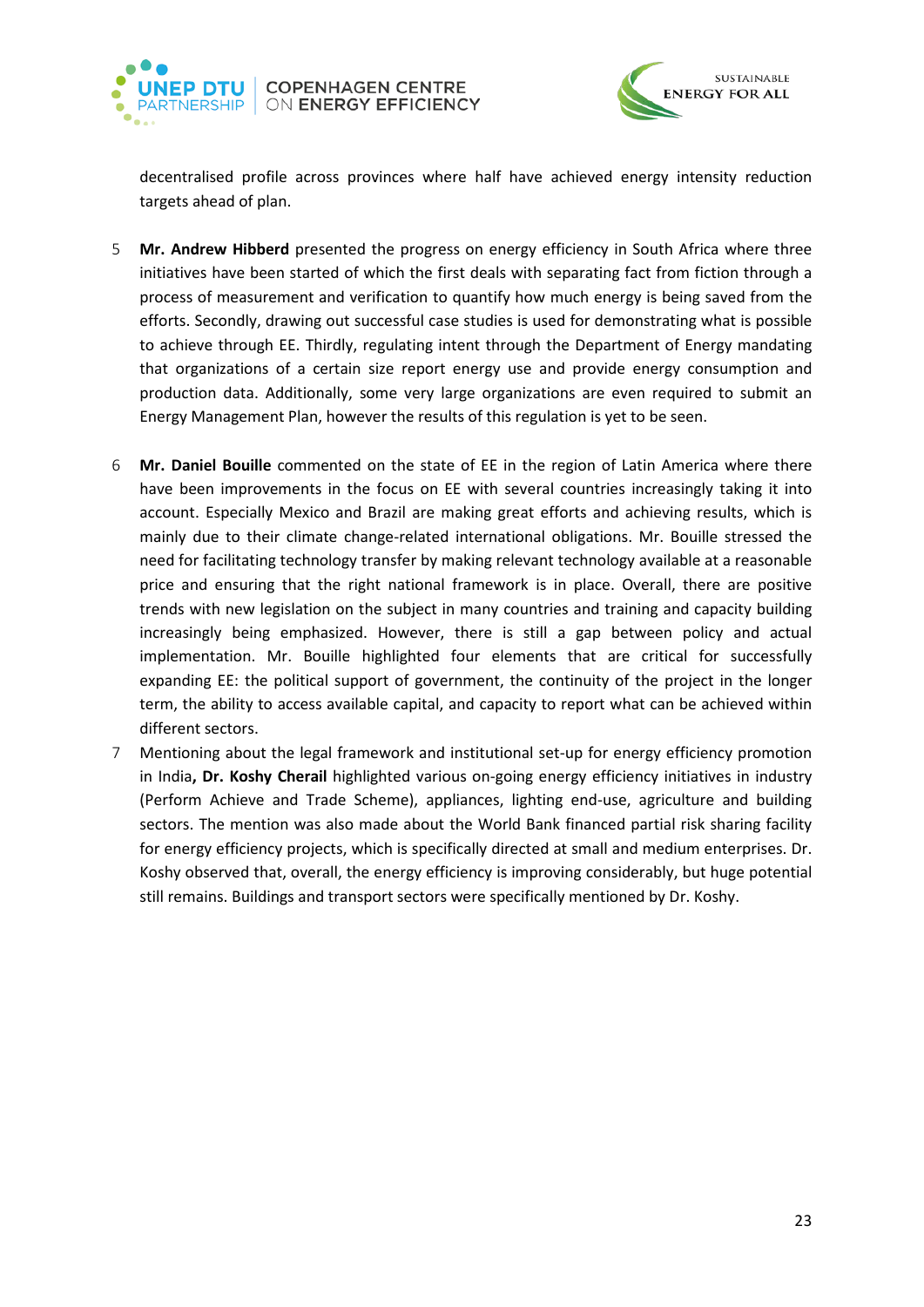



decentralised profile across provinces where half have achieved energy intensity reduction targets ahead of plan.

- 5 **Mr. Andrew Hibberd** presented the progress on energy efficiency in South Africa where three initiatives have been started of which the first deals with separating fact from fiction through a process of measurement and verification to quantify how much energy is being saved from the efforts. Secondly, drawing out successful case studies is used for demonstrating what is possible to achieve through EE. Thirdly, regulating intent through the Department of Energy mandating that organizations of a certain size report energy use and provide energy consumption and production data. Additionally, some very large organizations are even required to submit an Energy Management Plan, however the results of this regulation is yet to be seen.
- 6 **Mr. Daniel Bouille** commented on the state of EE in the region of Latin America where there have been improvements in the focus on EE with several countries increasingly taking it into account. Especially Mexico and Brazil are making great efforts and achieving results, which is mainly due to their climate change-related international obligations. Mr. Bouille stressed the need for facilitating technology transfer by making relevant technology available at a reasonable price and ensuring that the right national framework is in place. Overall, there are positive trends with new legislation on the subject in many countries and training and capacity building increasingly being emphasized. However, there is still a gap between policy and actual implementation. Mr. Bouille highlighted four elements that are critical for successfully expanding EE: the political support of government, the continuity of the project in the longer term, the ability to access available capital, and capacity to report what can be achieved within different sectors.
- 7 Mentioning about the legal framework and institutional set-up for energy efficiency promotion in India**, Dr. Koshy Cherail** highlighted various on-going energy efficiency initiatives in industry (Perform Achieve and Trade Scheme), appliances, lighting end-use, agriculture and building sectors. The mention was also made about the World Bank financed partial risk sharing facility for energy efficiency projects, which is specifically directed at small and medium enterprises. Dr. Koshy observed that, overall, the energy efficiency is improving considerably, but huge potential still remains. Buildings and transport sectors were specifically mentioned by Dr. Koshy.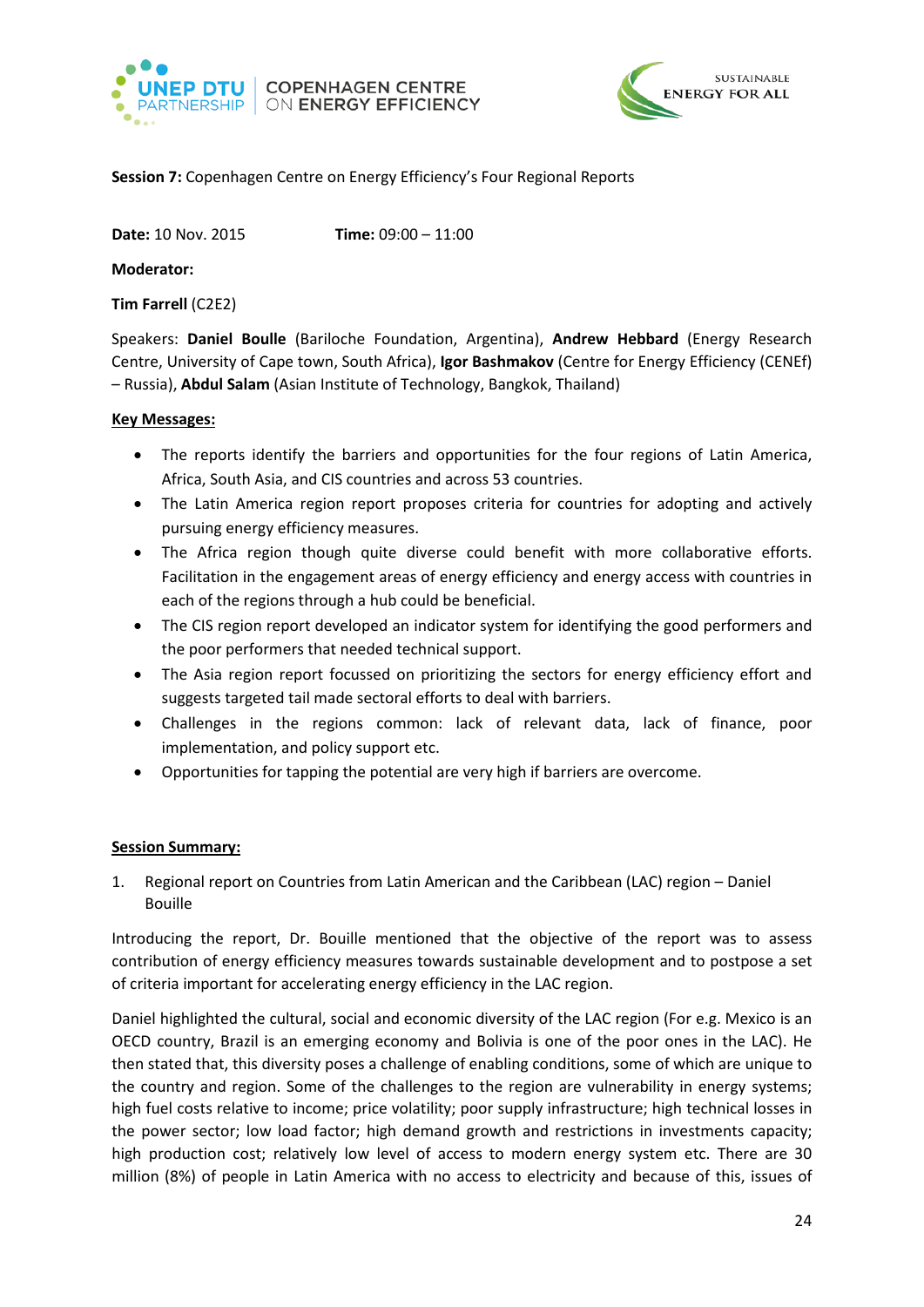



# <span id="page-23-0"></span>**Session 7:** Copenhagen Centre on Energy Efficiency's Four Regional Reports

**Date:** 10 Nov. 2015 **Time:** 09:00 – 11:00

**Moderator:** 

**Tim Farrell** (C2E2)

Speakers: **Daniel Boulle** (Bariloche Foundation, Argentina), **Andrew Hebbard** (Energy Research Centre, University of Cape town, South Africa), **Igor Bashmakov** (Centre for Energy Efficiency (CENEf) – Russia), **Abdul Salam** (Asian Institute of Technology, Bangkok, Thailand)

### **Key Messages:**

- The reports identify the barriers and opportunities for the four regions of Latin America, Africa, South Asia, and CIS countries and across 53 countries.
- The Latin America region report proposes criteria for countries for adopting and actively pursuing energy efficiency measures.
- The Africa region though quite diverse could benefit with more collaborative efforts. Facilitation in the engagement areas of energy efficiency and energy access with countries in each of the regions through a hub could be beneficial.
- The CIS region report developed an indicator system for identifying the good performers and the poor performers that needed technical support.
- The Asia region report focussed on prioritizing the sectors for energy efficiency effort and suggests targeted tail made sectoral efforts to deal with barriers.
- Challenges in the regions common: lack of relevant data, lack of finance, poor implementation, and policy support etc.
- Opportunities for tapping the potential are very high if barriers are overcome.

#### **Session Summary:**

1. Regional report on Countries from Latin American and the Caribbean (LAC) region – Daniel Bouille

Introducing the report, Dr. Bouille mentioned that the objective of the report was to assess contribution of energy efficiency measures towards sustainable development and to postpose a set of criteria important for accelerating energy efficiency in the LAC region.

Daniel highlighted the cultural, social and economic diversity of the LAC region (For e.g. Mexico is an OECD country, Brazil is an emerging economy and Bolivia is one of the poor ones in the LAC). He then stated that, this diversity poses a challenge of enabling conditions, some of which are unique to the country and region. Some of the challenges to the region are vulnerability in energy systems; high fuel costs relative to income; price volatility; poor supply infrastructure; high technical losses in the power sector; low load factor; high demand growth and restrictions in investments capacity; high production cost; relatively low level of access to modern energy system etc. There are 30 million (8%) of people in Latin America with no access to electricity and because of this, issues of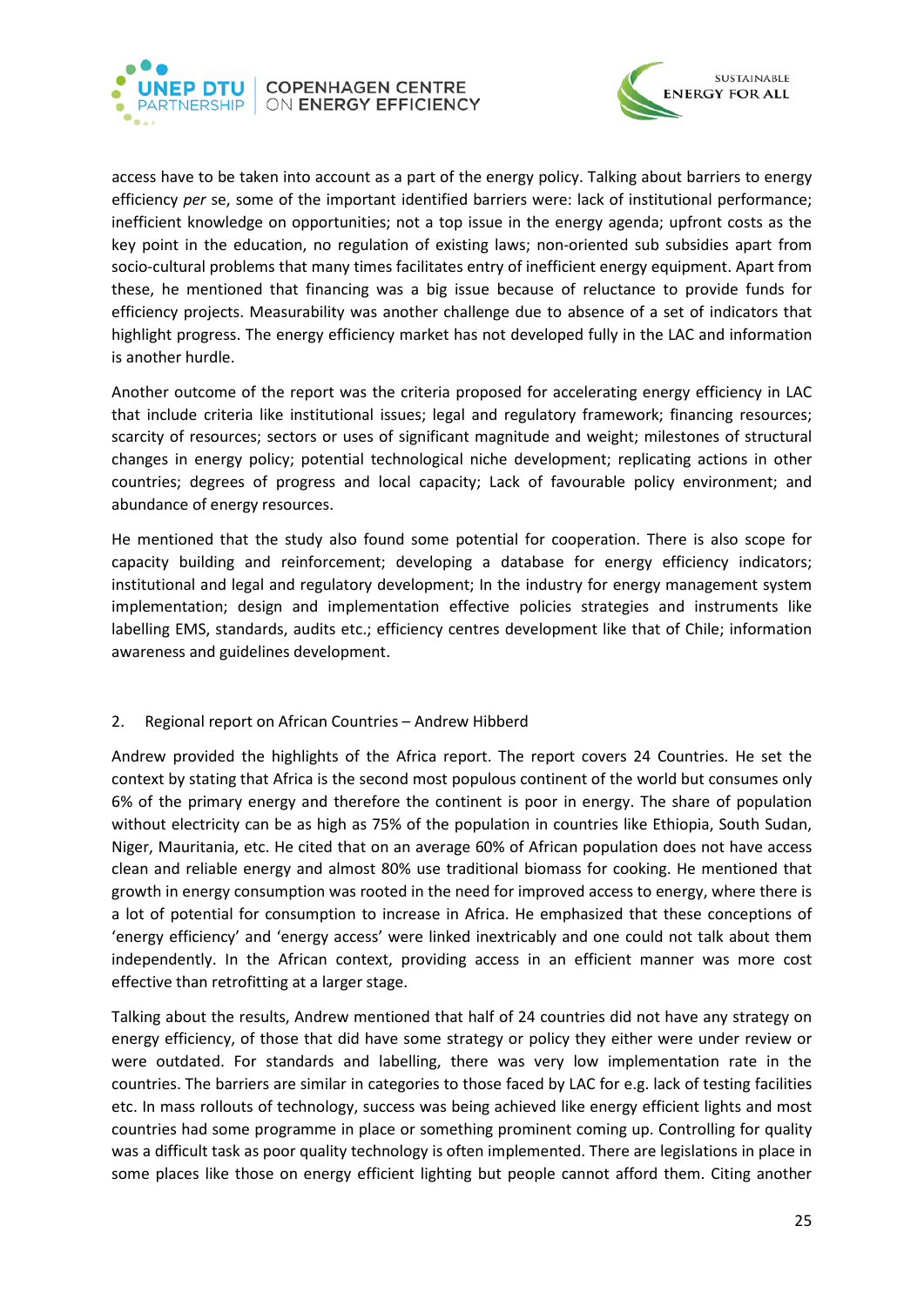



access have to be taken into account as a part of the energy policy. Talking about barriers to energy efficiency *per* se, some of the important identified barriers were: lack of institutional performance; inefficient knowledge on opportunities; not a top issue in the energy agenda; upfront costs as the key point in the education, no regulation of existing laws; non-oriented sub subsidies apart from socio-cultural problems that many times facilitates entry of inefficient energy equipment. Apart from these, he mentioned that financing was a big issue because of reluctance to provide funds for efficiency projects. Measurability was another challenge due to absence of a set of indicators that highlight progress. The energy efficiency market has not developed fully in the LAC and information is another hurdle.

Another outcome of the report was the criteria proposed for accelerating energy efficiency in LAC that include criteria like institutional issues; legal and regulatory framework; financing resources; scarcity of resources; sectors or uses of significant magnitude and weight; milestones of structural changes in energy policy; potential technological niche development; replicating actions in other countries; degrees of progress and local capacity; Lack of favourable policy environment; and abundance of energy resources.

He mentioned that the study also found some potential for cooperation. There is also scope for capacity building and reinforcement; developing a database for energy efficiency indicators; institutional and legal and regulatory development; In the industry for energy management system implementation; design and implementation effective policies strategies and instruments like labelling EMS, standards, audits etc.; efficiency centres development like that of Chile; information awareness and guidelines development.

# 2. Regional report on African Countries – Andrew Hibberd

Andrew provided the highlights of the Africa report. The report covers 24 Countries. He set the context by stating that Africa is the second most populous continent of the world but consumes only 6% of the primary energy and therefore the continent is poor in energy. The share of population without electricity can be as high as 75% of the population in countries like Ethiopia, South Sudan, Niger, Mauritania, etc. He cited that on an average 60% of African population does not have access clean and reliable energy and almost 80% use traditional biomass for cooking. He mentioned that growth in energy consumption was rooted in the need for improved access to energy, where there is a lot of potential for consumption to increase in Africa. He emphasized that these conceptions of 'energy efficiency' and 'energy access' were linked inextricably and one could not talk about them independently. In the African context, providing access in an efficient manner was more cost effective than retrofitting at a larger stage.

Talking about the results, Andrew mentioned that half of 24 countries did not have any strategy on energy efficiency, of those that did have some strategy or policy they either were under review or were outdated. For standards and labelling, there was very low implementation rate in the countries. The barriers are similar in categories to those faced by LAC for e.g. lack of testing facilities etc. In mass rollouts of technology, success was being achieved like energy efficient lights and most countries had some programme in place or something prominent coming up. Controlling for quality was a difficult task as poor quality technology is often implemented. There are legislations in place in some places like those on energy efficient lighting but people cannot afford them. Citing another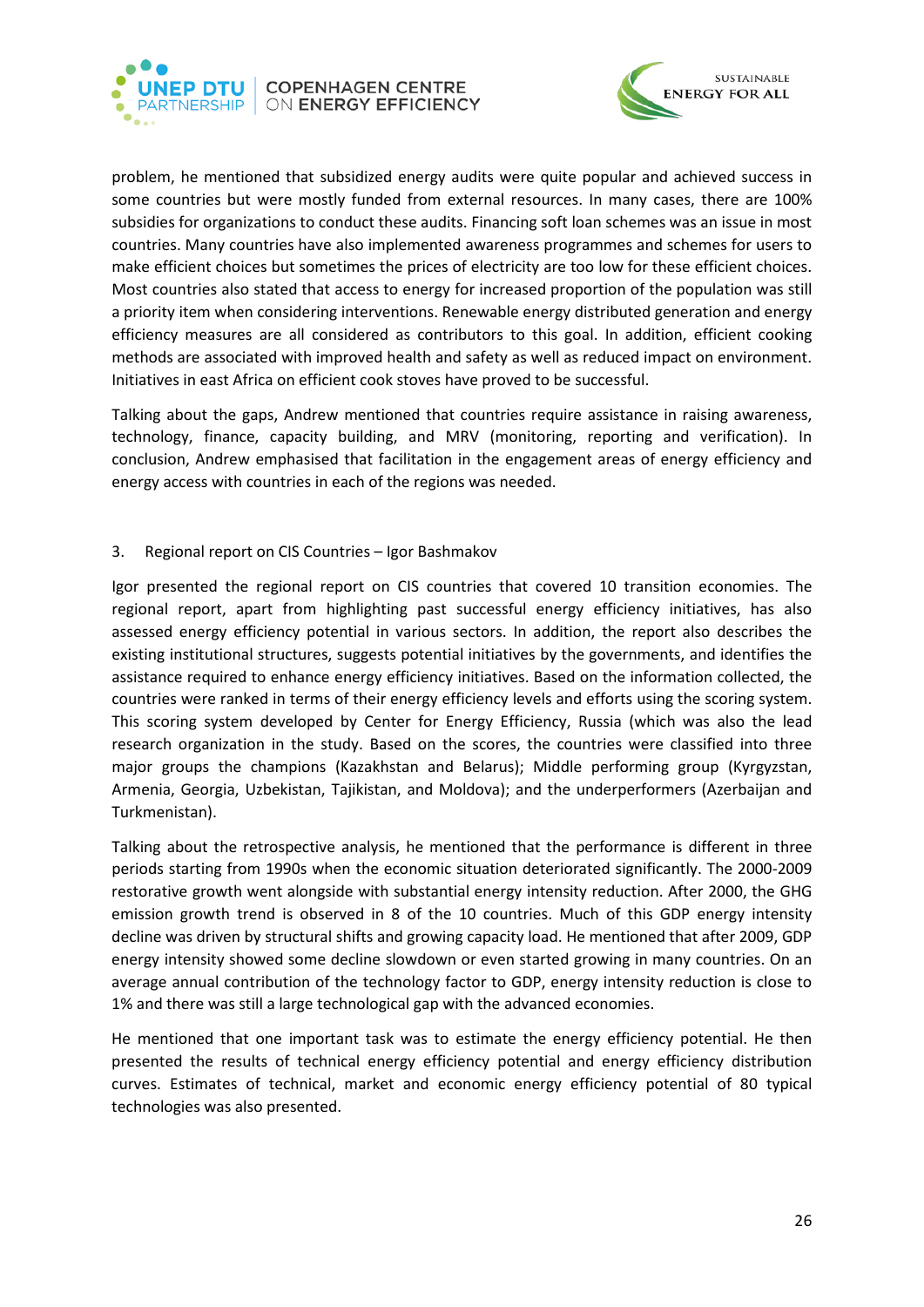



problem, he mentioned that subsidized energy audits were quite popular and achieved success in some countries but were mostly funded from external resources. In many cases, there are 100% subsidies for organizations to conduct these audits. Financing soft loan schemes was an issue in most countries. Many countries have also implemented awareness programmes and schemes for users to make efficient choices but sometimes the prices of electricity are too low for these efficient choices. Most countries also stated that access to energy for increased proportion of the population was still a priority item when considering interventions. Renewable energy distributed generation and energy efficiency measures are all considered as contributors to this goal. In addition, efficient cooking methods are associated with improved health and safety as well as reduced impact on environment. Initiatives in east Africa on efficient cook stoves have proved to be successful.

Talking about the gaps, Andrew mentioned that countries require assistance in raising awareness, technology, finance, capacity building, and MRV (monitoring, reporting and verification). In conclusion, Andrew emphasised that facilitation in the engagement areas of energy efficiency and energy access with countries in each of the regions was needed.

3. Regional report on CIS Countries – Igor Bashmakov

Igor presented the regional report on CIS countries that covered 10 transition economies. The regional report, apart from highlighting past successful energy efficiency initiatives, has also assessed energy efficiency potential in various sectors. In addition, the report also describes the existing institutional structures, suggests potential initiatives by the governments, and identifies the assistance required to enhance energy efficiency initiatives. Based on the information collected, the countries were ranked in terms of their energy efficiency levels and efforts using the scoring system. This scoring system developed by Center for Energy Efficiency, Russia (which was also the lead research organization in the study. Based on the scores, the countries were classified into three major groups the champions (Kazakhstan and Belarus); Middle performing group (Kyrgyzstan, Armenia, Georgia, Uzbekistan, Tajikistan, and Moldova); and the underperformers (Azerbaijan and Turkmenistan).

Talking about the retrospective analysis, he mentioned that the performance is different in three periods starting from 1990s when the economic situation deteriorated significantly. The 2000-2009 restorative growth went alongside with substantial energy intensity reduction. After 2000, the GHG emission growth trend is observed in 8 of the 10 countries. Much of this GDP energy intensity decline was driven by structural shifts and growing capacity load. He mentioned that after 2009, GDP energy intensity showed some decline slowdown or even started growing in many countries. On an average annual contribution of the technology factor to GDP, energy intensity reduction is close to 1% and there was still a large technological gap with the advanced economies.

He mentioned that one important task was to estimate the energy efficiency potential. He then presented the results of technical energy efficiency potential and energy efficiency distribution curves. Estimates of technical, market and economic energy efficiency potential of 80 typical technologies was also presented.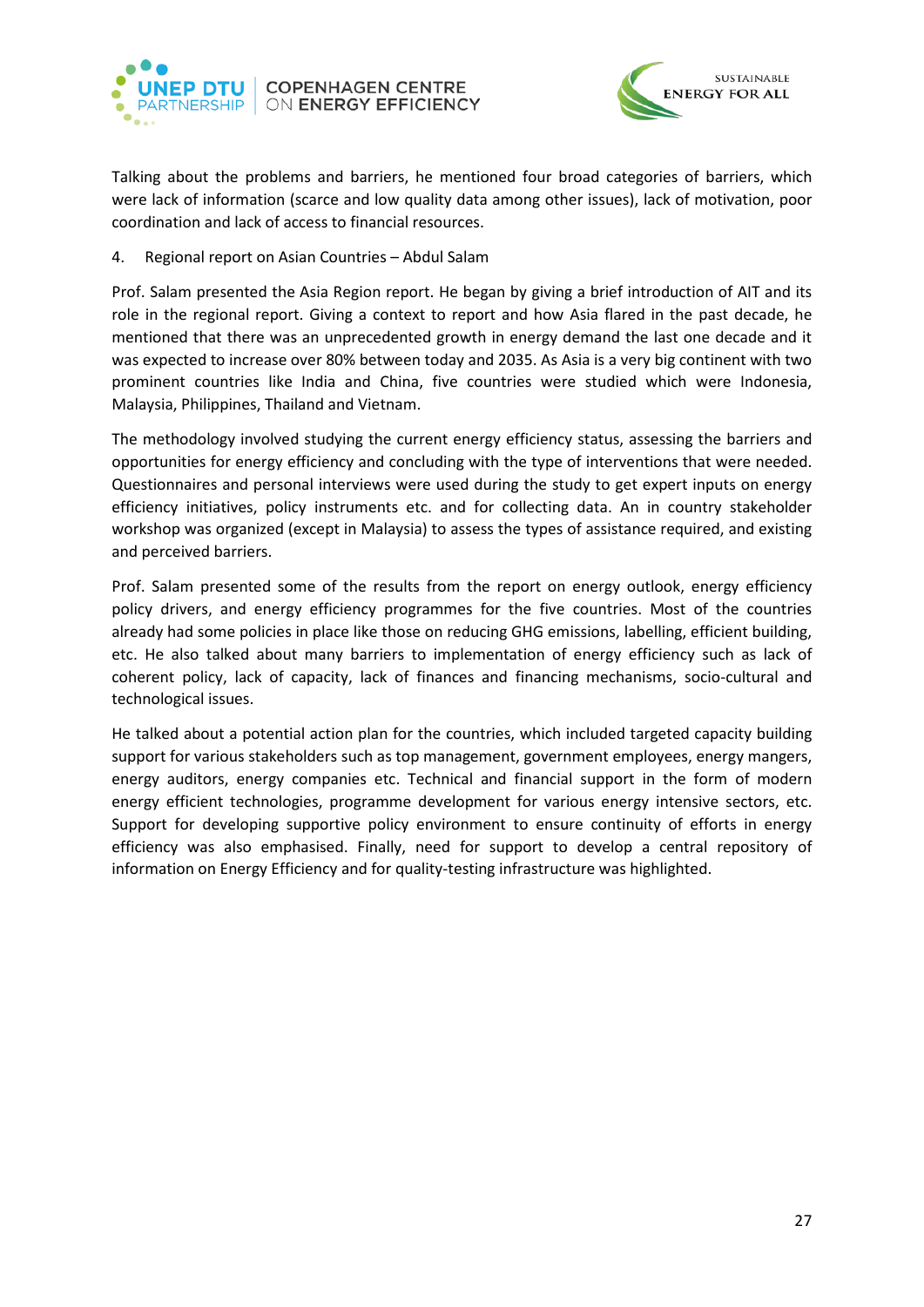



Talking about the problems and barriers, he mentioned four broad categories of barriers, which were lack of information (scarce and low quality data among other issues), lack of motivation, poor coordination and lack of access to financial resources.

4. Regional report on Asian Countries – Abdul Salam

Prof. Salam presented the Asia Region report. He began by giving a brief introduction of AIT and its role in the regional report. Giving a context to report and how Asia flared in the past decade, he mentioned that there was an unprecedented growth in energy demand the last one decade and it was expected to increase over 80% between today and 2035. As Asia is a very big continent with two prominent countries like India and China, five countries were studied which were Indonesia, Malaysia, Philippines, Thailand and Vietnam.

The methodology involved studying the current energy efficiency status, assessing the barriers and opportunities for energy efficiency and concluding with the type of interventions that were needed. Questionnaires and personal interviews were used during the study to get expert inputs on energy efficiency initiatives, policy instruments etc. and for collecting data. An in country stakeholder workshop was organized (except in Malaysia) to assess the types of assistance required, and existing and perceived barriers.

Prof. Salam presented some of the results from the report on energy outlook, energy efficiency policy drivers, and energy efficiency programmes for the five countries. Most of the countries already had some policies in place like those on reducing GHG emissions, labelling, efficient building, etc. He also talked about many barriers to implementation of energy efficiency such as lack of coherent policy, lack of capacity, lack of finances and financing mechanisms, socio-cultural and technological issues.

He talked about a potential action plan for the countries, which included targeted capacity building support for various stakeholders such as top management, government employees, energy mangers, energy auditors, energy companies etc. Technical and financial support in the form of modern energy efficient technologies, programme development for various energy intensive sectors, etc. Support for developing supportive policy environment to ensure continuity of efforts in energy efficiency was also emphasised. Finally, need for support to develop a central repository of information on Energy Efficiency and for quality-testing infrastructure was highlighted.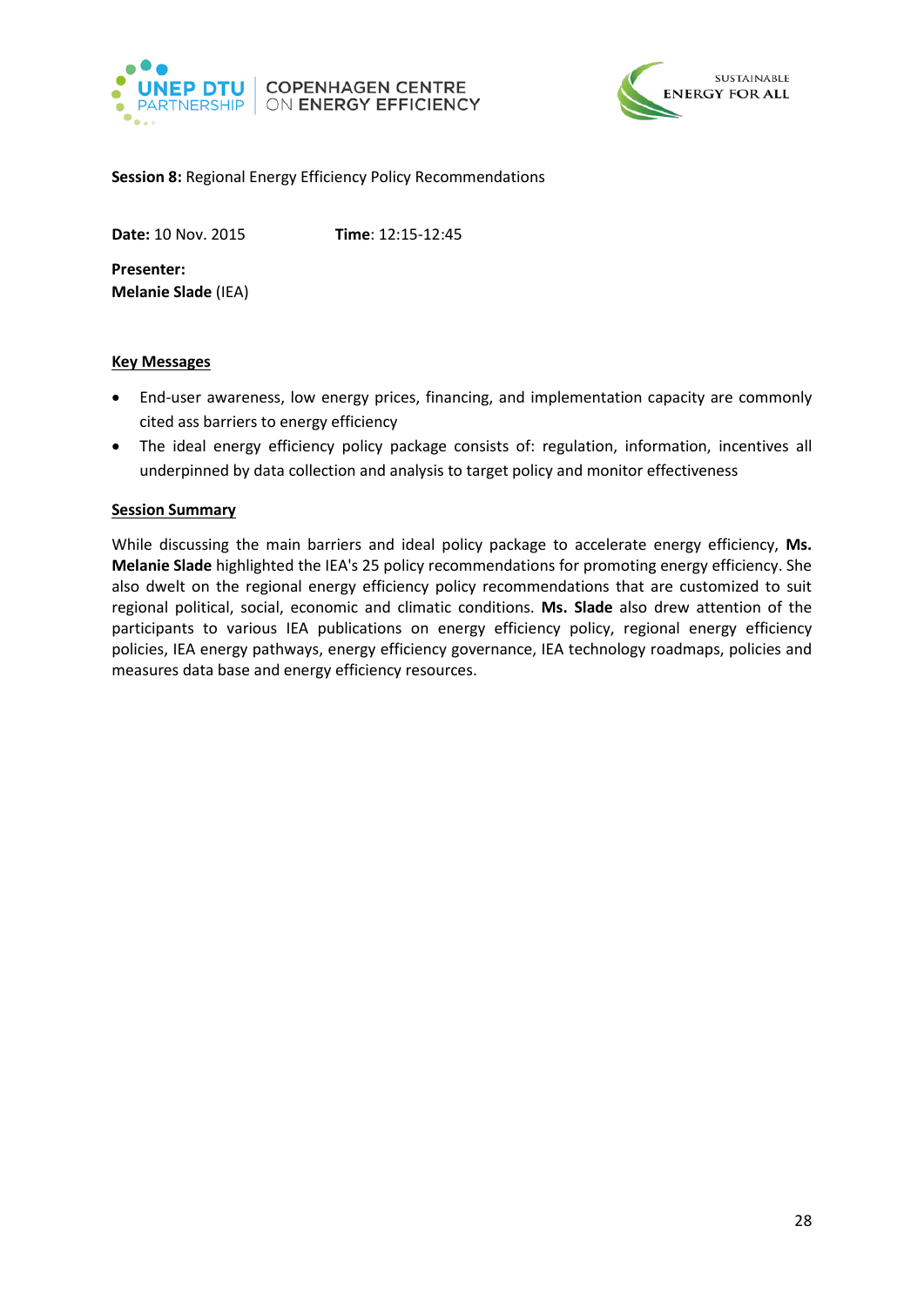



#### <span id="page-27-0"></span>**Session 8:** Regional Energy Efficiency Policy Recommendations

**Date:** 10 Nov. 2015 **Time**: 12:15-12:45

**Presenter: Melanie Slade** (IEA)

### **Key Messages**

- End-user awareness, low energy prices, financing, and implementation capacity are commonly cited ass barriers to energy efficiency
- The ideal energy efficiency policy package consists of: regulation, information, incentives all underpinned by data collection and analysis to target policy and monitor effectiveness

### **Session Summary**

While discussing the main barriers and ideal policy package to accelerate energy efficiency, **Ms. Melanie Slade** highlighted the IEA's 25 policy recommendations for promoting energy efficiency. She also dwelt on the regional energy efficiency policy recommendations that are customized to suit regional political, social, economic and climatic conditions. **Ms. Slade** also drew attention of the participants to various IEA publications on energy efficiency policy, regional energy efficiency policies, IEA energy pathways, energy efficiency governance, IEA technology roadmaps, policies and measures data base and energy efficiency resources.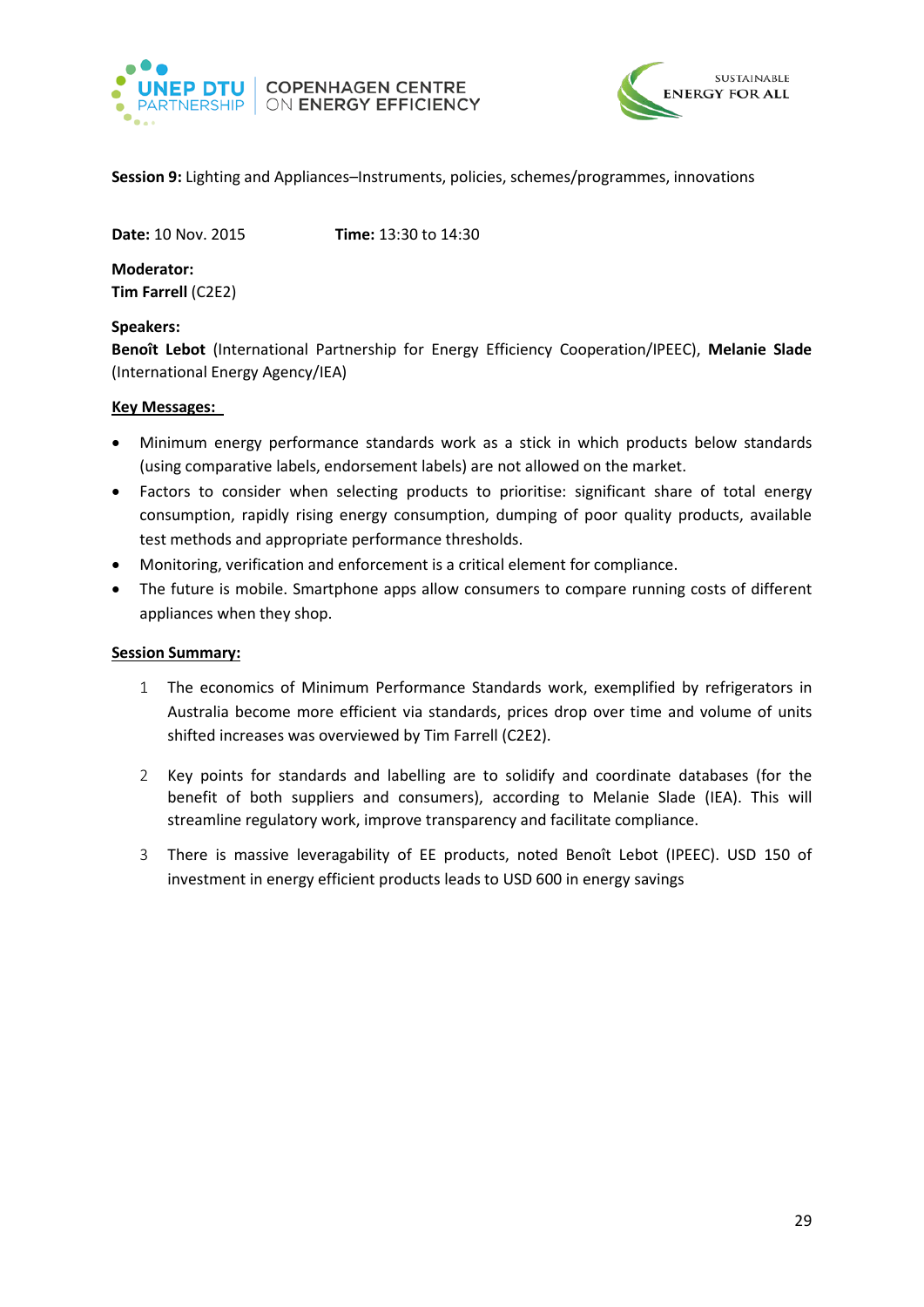



<span id="page-28-0"></span>**Session 9:** Lighting and Appliances–Instruments, policies, schemes/programmes, innovations

**Date:** 10 Nov. 2015 **Time:** 13:30 to 14:30

**Moderator: Tim Farrell** (C2E2)

# **Speakers:**

**Benoît Lebot** (International Partnership for Energy Efficiency Cooperation/IPEEC), **Melanie Slade** (International Energy Agency/IEA)

### **Key Messages:**

- Minimum energy performance standards work as a stick in which products below standards (using comparative labels, endorsement labels) are not allowed on the market.
- Factors to consider when selecting products to prioritise: significant share of total energy consumption, rapidly rising energy consumption, dumping of poor quality products, available test methods and appropriate performance thresholds.
- Monitoring, verification and enforcement is a critical element for compliance.
- The future is mobile. Smartphone apps allow consumers to compare running costs of different appliances when they shop.

#### **Session Summary:**

- 1 The economics of Minimum Performance Standards work, exemplified by refrigerators in Australia become more efficient via standards, prices drop over time and volume of units shifted increases was overviewed by Tim Farrell (C2E2).
- 2 Key points for standards and labelling are to solidify and coordinate databases (for the benefit of both suppliers and consumers), according to Melanie Slade (IEA). This will streamline regulatory work, improve transparency and facilitate compliance.
- 3 There is massive leveragability of EE products, noted Benoît Lebot (IPEEC). USD 150 of investment in energy efficient products leads to USD 600 in energy savings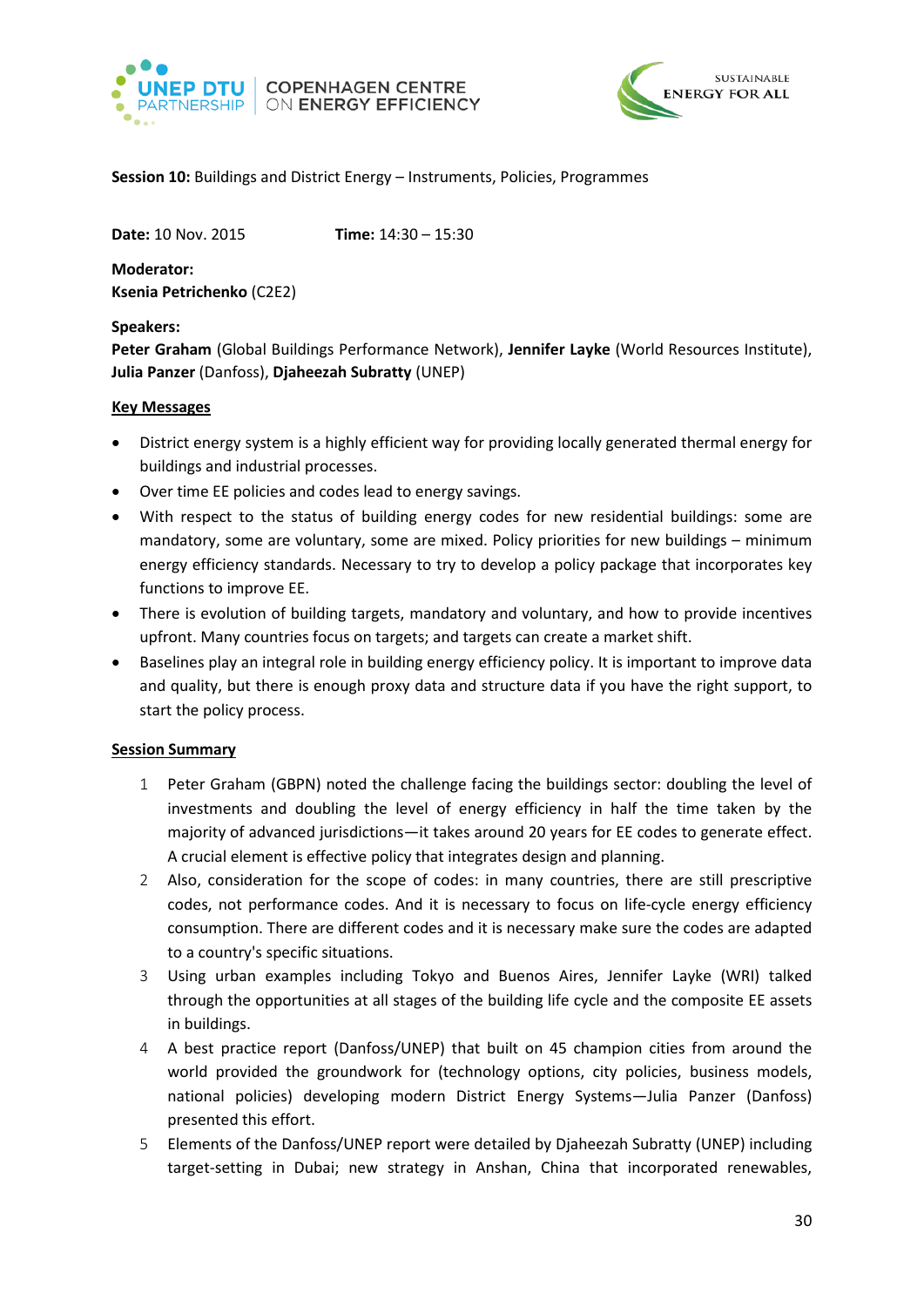



# <span id="page-29-0"></span>**Session 10:** Buildings and District Energy – Instruments, Policies, Programmes

**Date:** 10 Nov. 2015 **Time:** 14:30 – 15:30

**Moderator: Ksenia Petrichenko** (C2E2)

#### **Speakers:**

**Peter Graham** (Global Buildings Performance Network), **Jennifer Layke** (World Resources Institute), **Julia Panzer** (Danfoss), **Djaheezah Subratty** (UNEP)

### **Key Messages**

- District energy system is a highly efficient way for providing locally generated thermal energy for buildings and industrial processes.
- Over time EE policies and codes lead to energy savings.
- With respect to the status of building energy codes for new residential buildings: some are mandatory, some are voluntary, some are mixed. Policy priorities for new buildings – minimum energy efficiency standards. Necessary to try to develop a policy package that incorporates key functions to improve EE.
- There is evolution of building targets, mandatory and voluntary, and how to provide incentives upfront. Many countries focus on targets; and targets can create a market shift.
- Baselines play an integral role in building energy efficiency policy. It is important to improve data and quality, but there is enough proxy data and structure data if you have the right support, to start the policy process.

#### **Session Summary**

- 1 Peter Graham (GBPN) noted the challenge facing the buildings sector: doubling the level of investments and doubling the level of energy efficiency in half the time taken by the majority of advanced jurisdictions—it takes around 20 years for EE codes to generate effect. A crucial element is effective policy that integrates design and planning.
- 2 Also, consideration for the scope of codes: in many countries, there are still prescriptive codes, not performance codes. And it is necessary to focus on life-cycle energy efficiency consumption. There are different codes and it is necessary make sure the codes are adapted to a country's specific situations.
- 3 Using urban examples including Tokyo and Buenos Aires, Jennifer Layke (WRI) talked through the opportunities at all stages of the building life cycle and the composite EE assets in buildings.
- 4 A best practice report (Danfoss/UNEP) that built on 45 champion cities from around the world provided the groundwork for (technology options, city policies, business models, national policies) developing modern District Energy Systems—Julia Panzer (Danfoss) presented this effort.
- 5 Elements of the Danfoss/UNEP report were detailed by Djaheezah Subratty (UNEP) including target-setting in Dubai; new strategy in Anshan, China that incorporated renewables,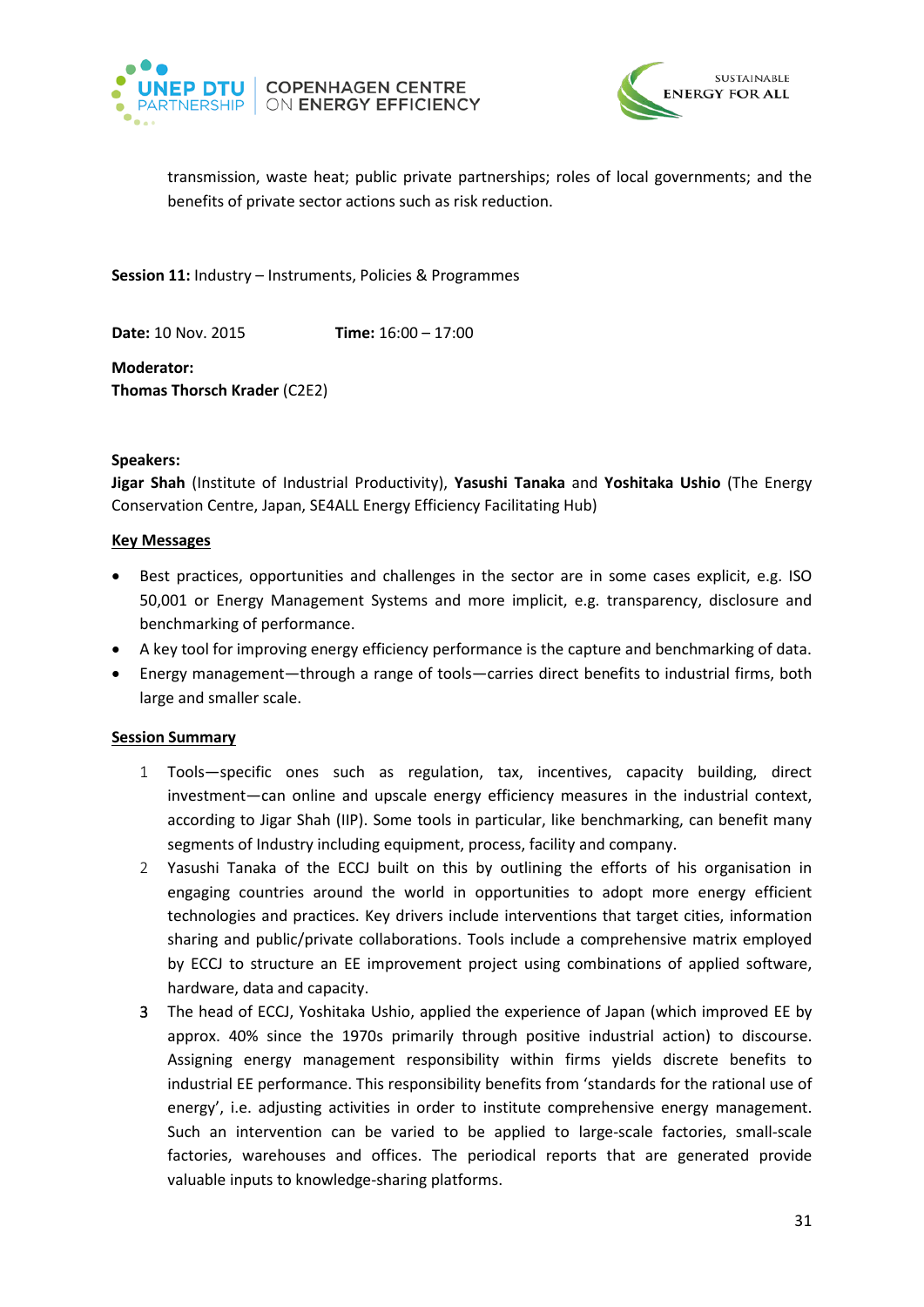



transmission, waste heat; public private partnerships; roles of local governments; and the benefits of private sector actions such as risk reduction.

<span id="page-30-0"></span>**Session 11:** Industry – Instruments, Policies & Programmes

**Date:** 10 Nov. 2015 **Time:** 16:00 – 17:00

**Moderator: Thomas Thorsch Krader** (C2E2)

#### **Speakers:**

**Jigar Shah** (Institute of Industrial Productivity), **Yasushi Tanaka** and **Yoshitaka Ushio** (The Energy Conservation Centre, Japan, SE4ALL Energy Efficiency Facilitating Hub)

#### **Key Messages**

- Best practices, opportunities and challenges in the sector are in some cases explicit, e.g. ISO 50,001 or Energy Management Systems and more implicit, e.g. transparency, disclosure and benchmarking of performance.
- A key tool for improving energy efficiency performance is the capture and benchmarking of data.
- Energy management—through a range of tools—carries direct benefits to industrial firms, both large and smaller scale.

#### **Session Summary**

- 1 Tools—specific ones such as regulation, tax, incentives, capacity building, direct investment—can online and upscale energy efficiency measures in the industrial context, according to Jigar Shah (IIP). Some tools in particular, like benchmarking, can benefit many segments of Industry including equipment, process, facility and company.
- 2 Yasushi Tanaka of the ECCJ built on this by outlining the efforts of his organisation in engaging countries around the world in opportunities to adopt more energy efficient technologies and practices. Key drivers include interventions that target cities, information sharing and public/private collaborations. Tools include a comprehensive matrix employed by ECCJ to structure an EE improvement project using combinations of applied software, hardware, data and capacity.
- 3 The head of ECCJ, Yoshitaka Ushio, applied the experience of Japan (which improved EE by approx. 40% since the 1970s primarily through positive industrial action) to discourse. Assigning energy management responsibility within firms yields discrete benefits to industrial EE performance. This responsibility benefits from 'standards for the rational use of energy', i.e. adjusting activities in order to institute comprehensive energy management. Such an intervention can be varied to be applied to large-scale factories, small-scale factories, warehouses and offices. The periodical reports that are generated provide valuable inputs to knowledge-sharing platforms.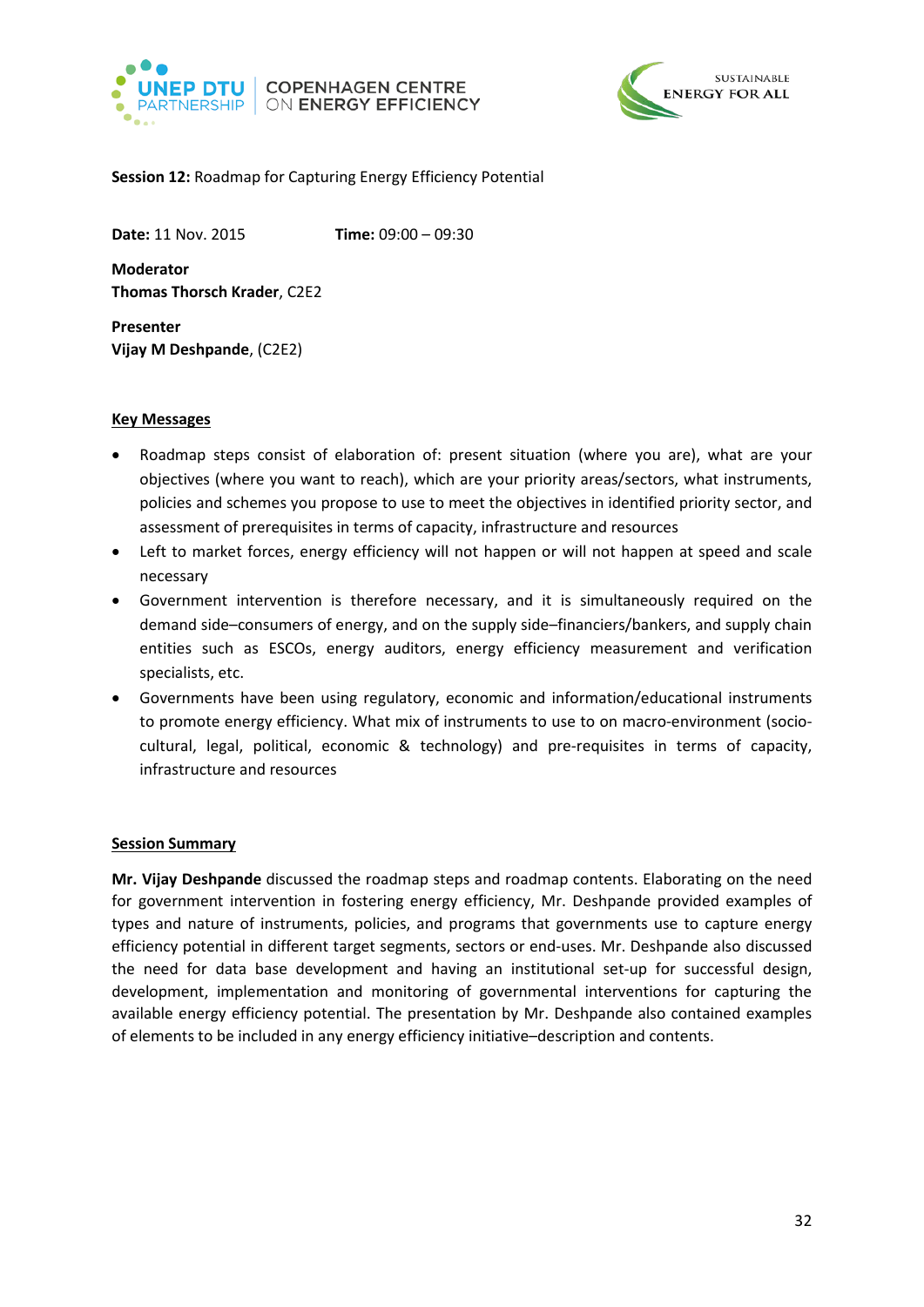



### <span id="page-31-0"></span>**Session 12:** Roadmap for Capturing Energy Efficiency Potential

**Date:** 11 Nov. 2015 **Time:** 09:00 – 09:30

**Moderator Thomas Thorsch Krader**, C2E2

**Presenter Vijay M Deshpande**, (C2E2)

#### **Key Messages**

- Roadmap steps consist of elaboration of: present situation (where you are), what are your objectives (where you want to reach), which are your priority areas/sectors, what instruments, policies and schemes you propose to use to meet the objectives in identified priority sector, and assessment of prerequisites in terms of capacity, infrastructure and resources
- Left to market forces, energy efficiency will not happen or will not happen at speed and scale necessary
- Government intervention is therefore necessary, and it is simultaneously required on the demand side–consumers of energy, and on the supply side–financiers/bankers, and supply chain entities such as ESCOs, energy auditors, energy efficiency measurement and verification specialists, etc.
- Governments have been using regulatory, economic and information/educational instruments to promote energy efficiency. What mix of instruments to use to on macro-environment (sociocultural, legal, political, economic & technology) and pre-requisites in terms of capacity, infrastructure and resources

#### **Session Summary**

**Mr. Vijay Deshpande** discussed the roadmap steps and roadmap contents. Elaborating on the need for government intervention in fostering energy efficiency, Mr. Deshpande provided examples of types and nature of instruments, policies, and programs that governments use to capture energy efficiency potential in different target segments, sectors or end-uses. Mr. Deshpande also discussed the need for data base development and having an institutional set-up for successful design, development, implementation and monitoring of governmental interventions for capturing the available energy efficiency potential. The presentation by Mr. Deshpande also contained examples of elements to be included in any energy efficiency initiative–description and contents.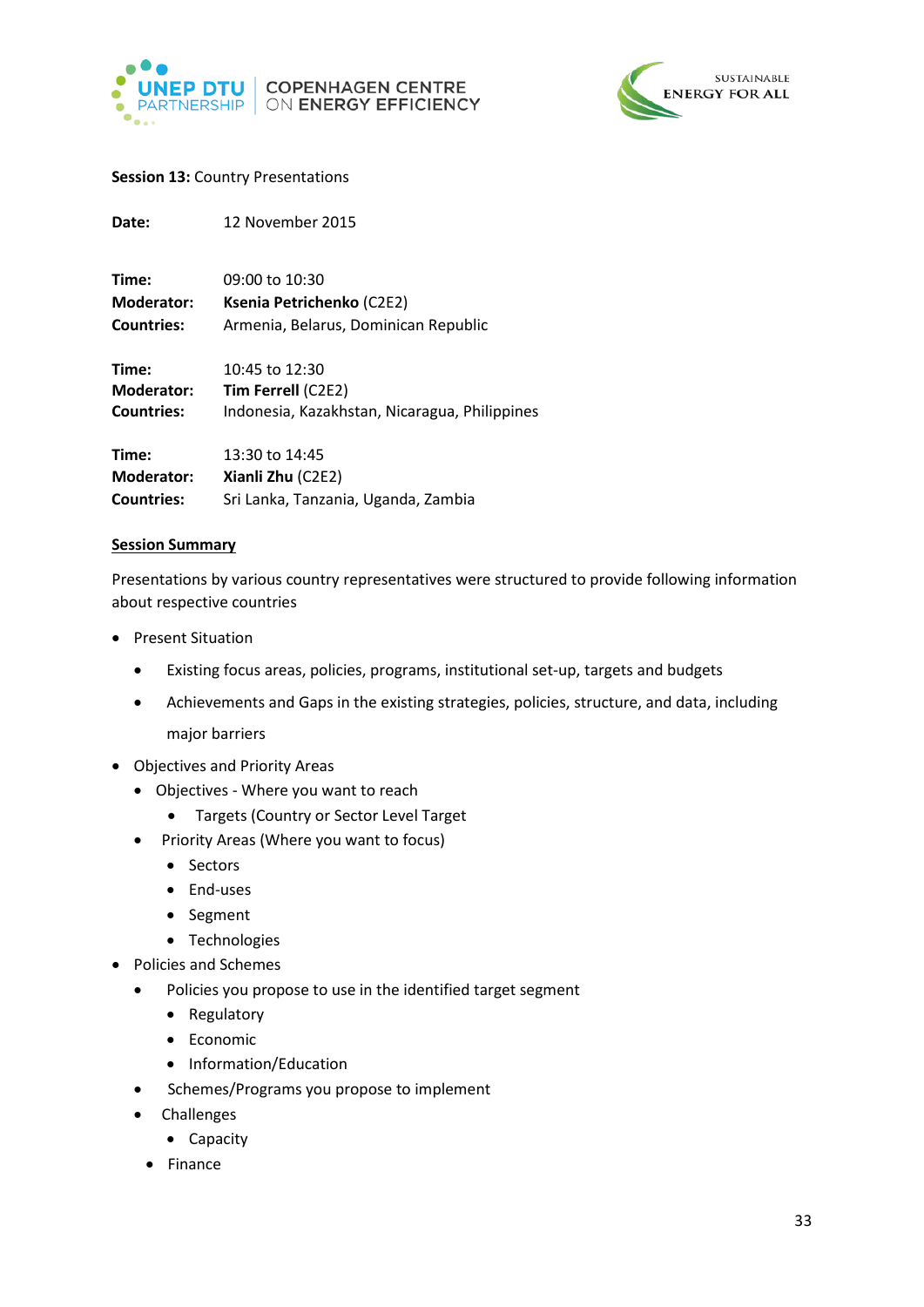



### <span id="page-32-0"></span>**Session 13: Country Presentations**

| Date:             | 12 November 2015                              |
|-------------------|-----------------------------------------------|
| Time:             | 09:00 to 10:30                                |
| <b>Moderator:</b> | Ksenia Petrichenko (C2E2)                     |
| <b>Countries:</b> | Armenia, Belarus, Dominican Republic          |
| Time:             | $10:45$ to $12:30$                            |
| <b>Moderator:</b> | <b>Tim Ferrell (C2E2)</b>                     |
| <b>Countries:</b> | Indonesia, Kazakhstan, Nicaragua, Philippines |
| Time:             | 13:30 to 14:45                                |
| <b>Moderator:</b> | Xianli Zhu (C2E2)                             |
| <b>Countries:</b> | Sri Lanka, Tanzania, Uganda, Zambia           |

#### **Session Summary**

Presentations by various country representatives were structured to provide following information about respective countries

- Present Situation
	- Existing focus areas, policies, programs, institutional set-up, targets and budgets
	- Achievements and Gaps in the existing strategies, policies, structure, and data, including major barriers
- Objectives and Priority Areas
	- Objectives Where you want to reach
		- Targets (Country or Sector Level Target
		- Priority Areas (Where you want to focus)
			- Sectors
			- End-uses
			- Segment
			- Technologies
- Policies and Schemes
	- Policies you propose to use in the identified target segment
		- Regulatory
		- Economic
		- Information/Education
	- Schemes/Programs you propose to implement
	- Challenges
		- Capacity
		- Finance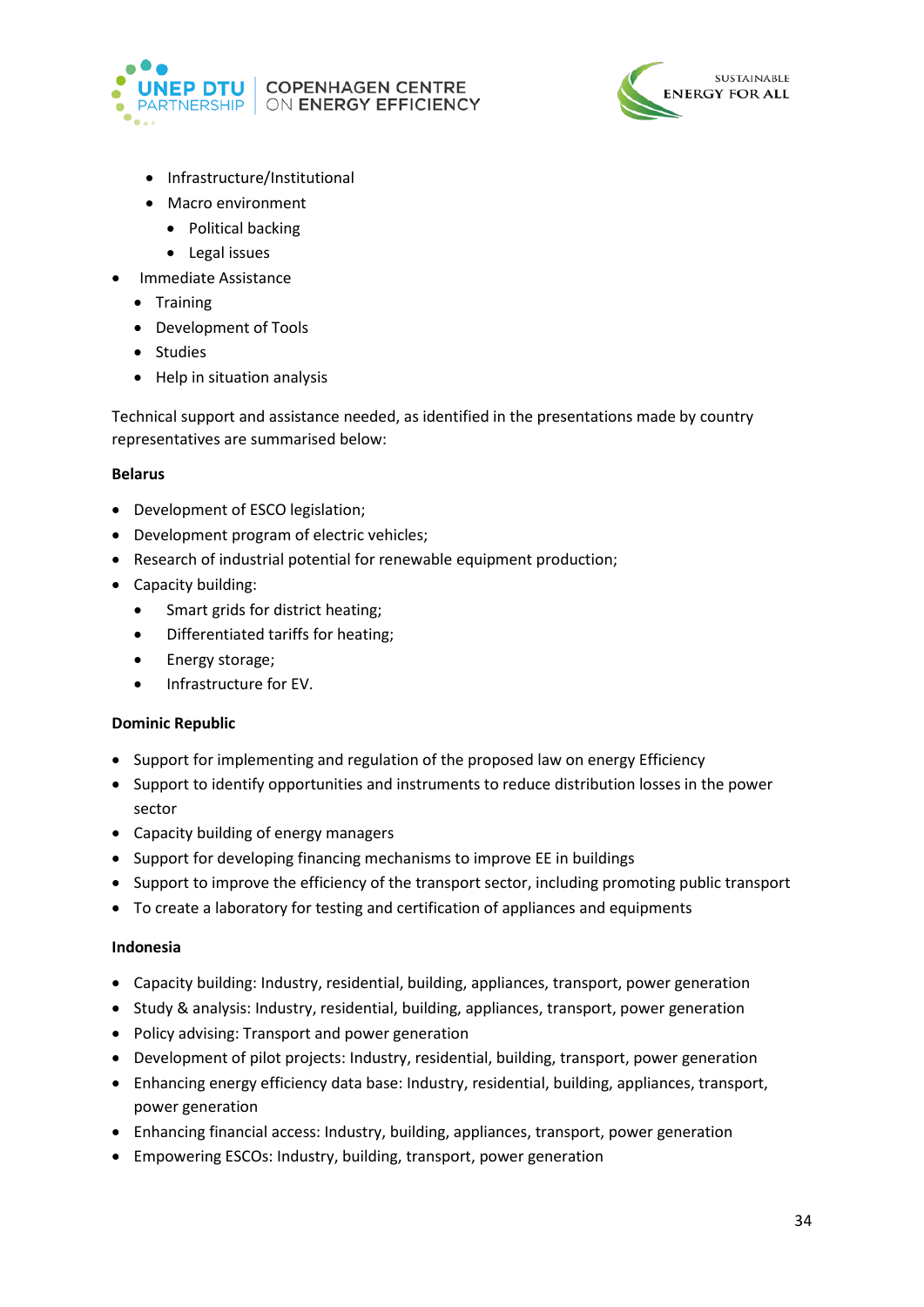



- Infrastructure/Institutional
- Macro environment
	- Political backing
	- Legal issues
- Immediate Assistance
	- Training
	- Development of Tools
	- Studies
	- Help in situation analysis

Technical support and assistance needed, as identified in the presentations made by country representatives are summarised below:

### **Belarus**

- Development of ESCO legislation;
- Development program of electric vehicles;
- Research of industrial potential for renewable equipment production;
- Capacity building:
	- Smart grids for district heating;
	- Differentiated tariffs for heating;
	- Energy storage;
	- Infrastructure for EV.

# **Dominic Republic**

- Support for implementing and regulation of the proposed law on energy Efficiency
- Support to identify opportunities and instruments to reduce distribution losses in the power sector
- Capacity building of energy managers
- Support for developing financing mechanisms to improve EE in buildings
- Support to improve the efficiency of the transport sector, including promoting public transport
- To create a laboratory for testing and certification of appliances and equipments

#### **Indonesia**

- Capacity building: Industry, residential, building, appliances, transport, power generation
- Study & analysis: Industry, residential, building, appliances, transport, power generation
- Policy advising: Transport and power generation
- Development of pilot projects: Industry, residential, building, transport, power generation
- Enhancing energy efficiency data base: Industry, residential, building, appliances, transport, power generation
- Enhancing financial access: Industry, building, appliances, transport, power generation
- Empowering ESCOs: Industry, building, transport, power generation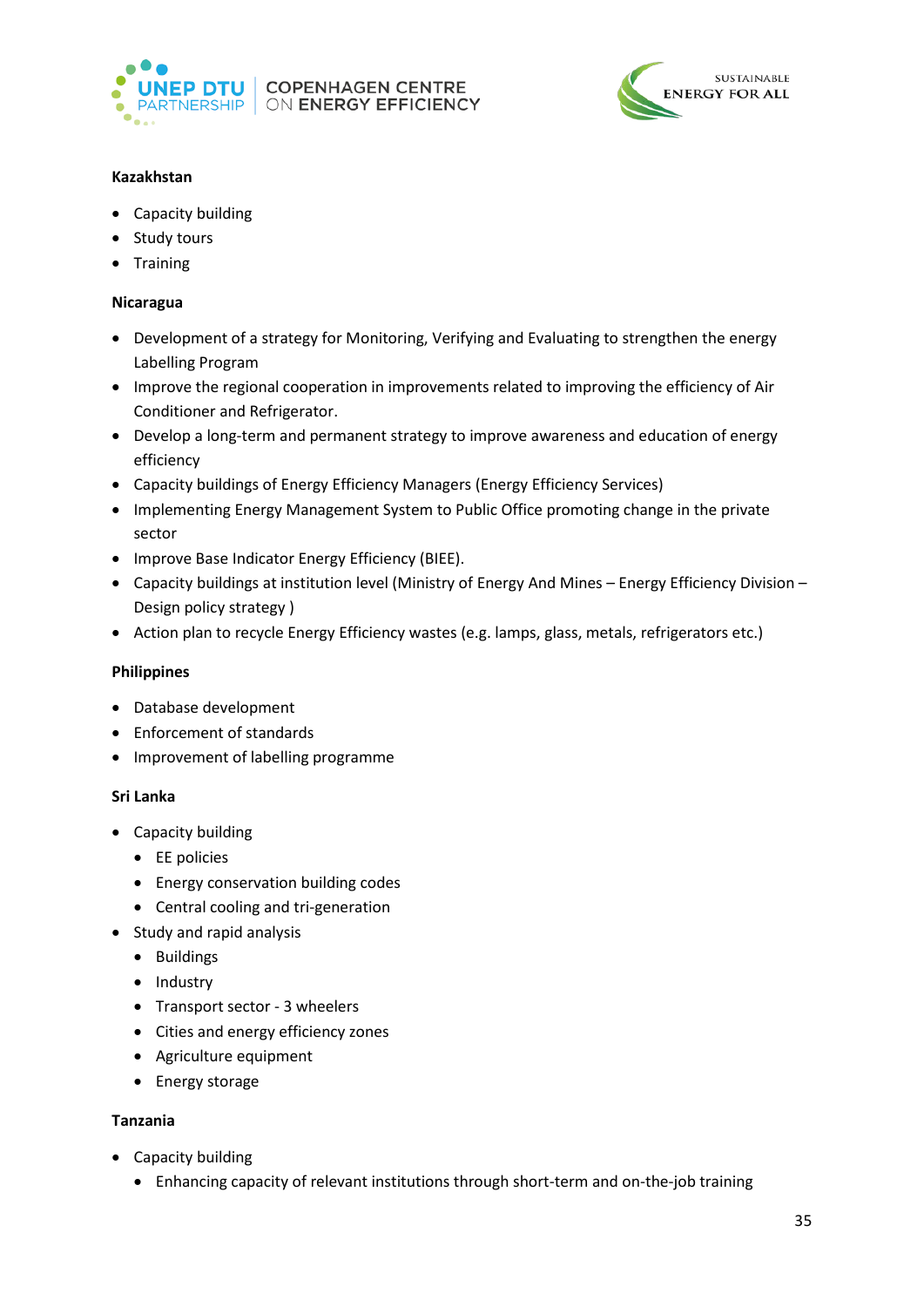



# **Kazakhstan**

- Capacity building
- Study tours
- Training

### **Nicaragua**

- Development of a strategy for Monitoring, Verifying and Evaluating to strengthen the energy Labelling Program
- Improve the regional cooperation in improvements related to improving the efficiency of Air Conditioner and Refrigerator.
- Develop a long-term and permanent strategy to improve awareness and education of energy efficiency
- Capacity buildings of Energy Efficiency Managers (Energy Efficiency Services)
- Implementing Energy Management System to Public Office promoting change in the private sector
- Improve Base Indicator Energy Efficiency (BIEE).
- Capacity buildings at institution level (Ministry of Energy And Mines Energy Efficiency Division Design policy strategy )
- Action plan to recycle Energy Efficiency wastes (e.g. lamps, glass, metals, refrigerators etc.)

# **Philippines**

- Database development
- Enforcement of standards
- Improvement of labelling programme

#### **Sri Lanka**

- Capacity building
	- EE policies
	- Energy conservation building codes
	- Central cooling and tri-generation
- Study and rapid analysis
	- Buildings
	- Industry
	- Transport sector 3 wheelers
	- Cities and energy efficiency zones
	- Agriculture equipment
	- Energy storage

# **Tanzania**

- Capacity building
	- Enhancing capacity of relevant institutions through short-term and on-the-job training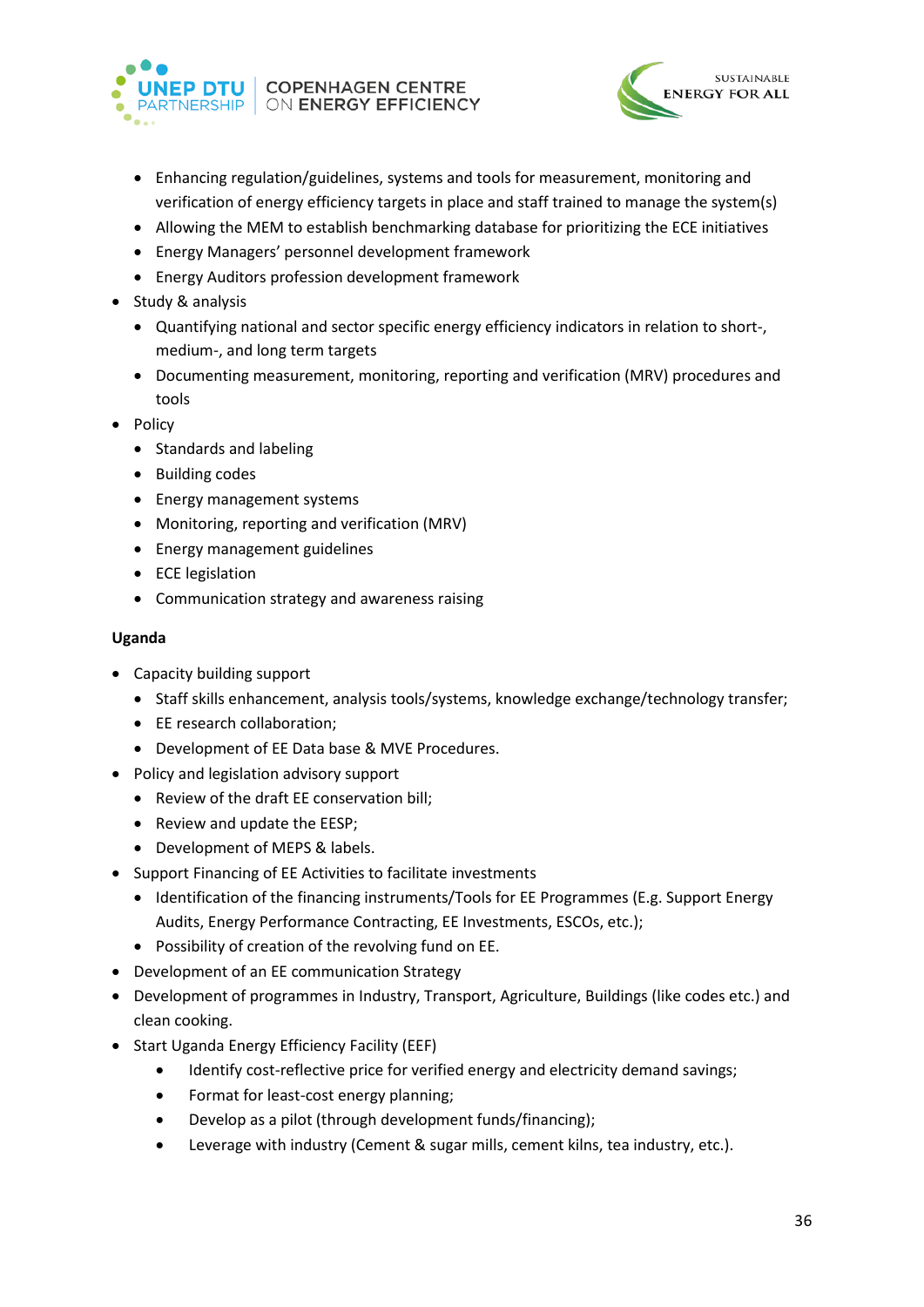



- Enhancing regulation/guidelines, systems and tools for measurement, monitoring and verification of energy efficiency targets in place and staff trained to manage the system(s)
- Allowing the MEM to establish benchmarking database for prioritizing the ECE initiatives
- Energy Managers' personnel development framework
- Energy Auditors profession development framework
- Study & analysis
	- Quantifying national and sector specific energy efficiency indicators in relation to short-, medium-, and long term targets
	- Documenting measurement, monitoring, reporting and verification (MRV) procedures and tools
- Policy
	- Standards and labeling
	- Building codes
	- Energy management systems
	- Monitoring, reporting and verification (MRV)
	- Energy management guidelines
	- ECE legislation
	- Communication strategy and awareness raising

#### **Uganda**

- Capacity building support
	- Staff skills enhancement, analysis tools/systems, knowledge exchange/technology transfer;
	- EE research collaboration;
	- Development of EE Data base & MVE Procedures.
- Policy and legislation advisory support
	- Review of the draft EE conservation bill;
	- Review and update the EESP;
	- Development of MEPS & labels.
- Support Financing of EE Activities to facilitate investments
	- Identification of the financing instruments/Tools for EE Programmes (E.g. Support Energy Audits, Energy Performance Contracting, EE Investments, ESCOs, etc.);
	- Possibility of creation of the revolving fund on EE.
- Development of an EE communication Strategy
- Development of programmes in Industry, Transport, Agriculture, Buildings (like codes etc.) and clean cooking.
- Start Uganda Energy Efficiency Facility (EEF)
	- Identify cost-reflective price for verified energy and electricity demand savings;
	- Format for least-cost energy planning;
	- Develop as a pilot (through development funds/financing);
	- Leverage with industry (Cement & sugar mills, cement kilns, tea industry, etc.).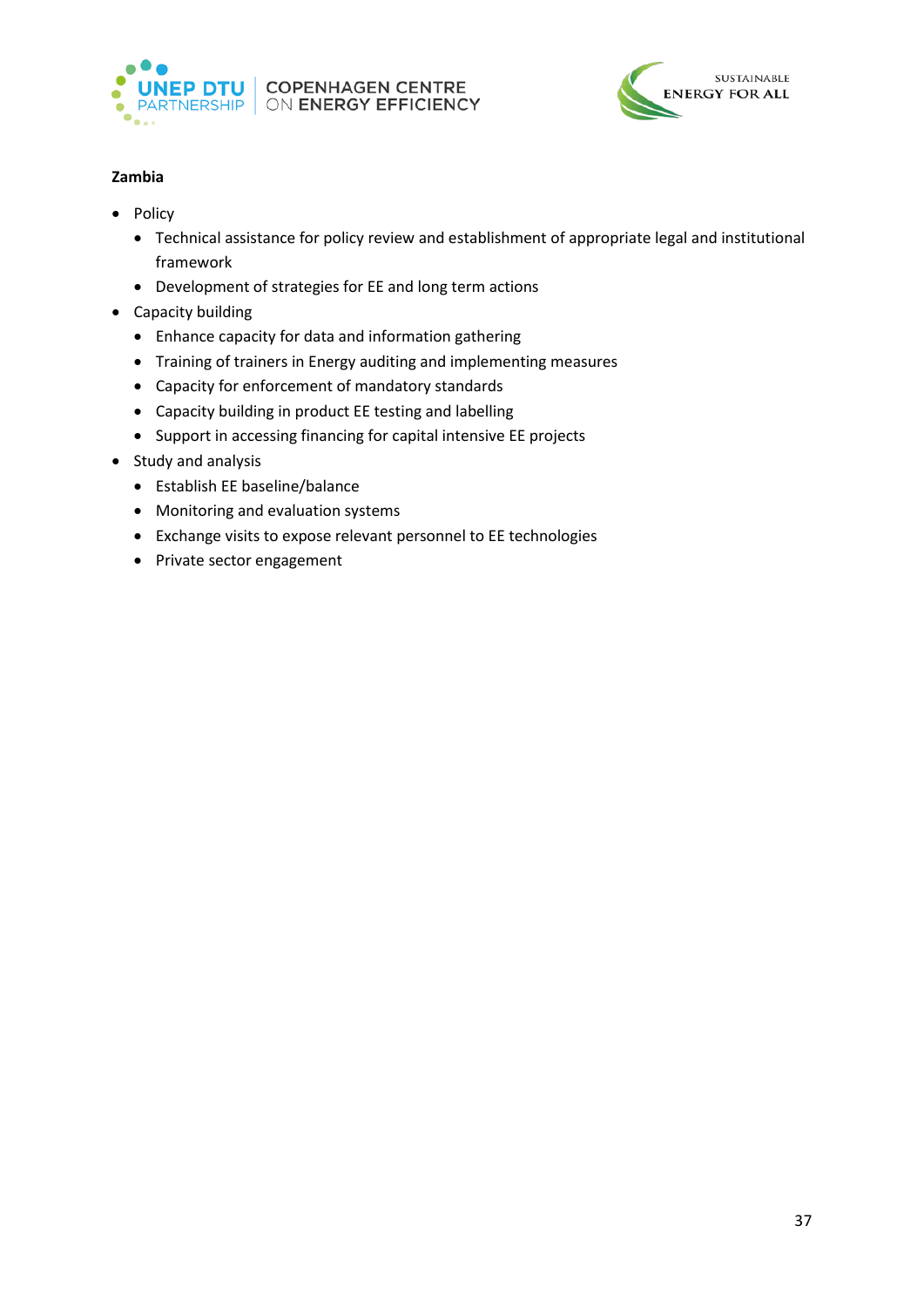



# **Zambia**

- Policy
	- Technical assistance for policy review and establishment of appropriate legal and institutional framework
	- Development of strategies for EE and long term actions
- Capacity building
	- Enhance capacity for data and information gathering
	- Training of trainers in Energy auditing and implementing measures
	- Capacity for enforcement of mandatory standards
	- Capacity building in product EE testing and labelling
	- Support in accessing financing for capital intensive EE projects
- Study and analysis
	- Establish EE baseline/balance
	- Monitoring and evaluation systems
	- Exchange visits to expose relevant personnel to EE technologies
	- Private sector engagement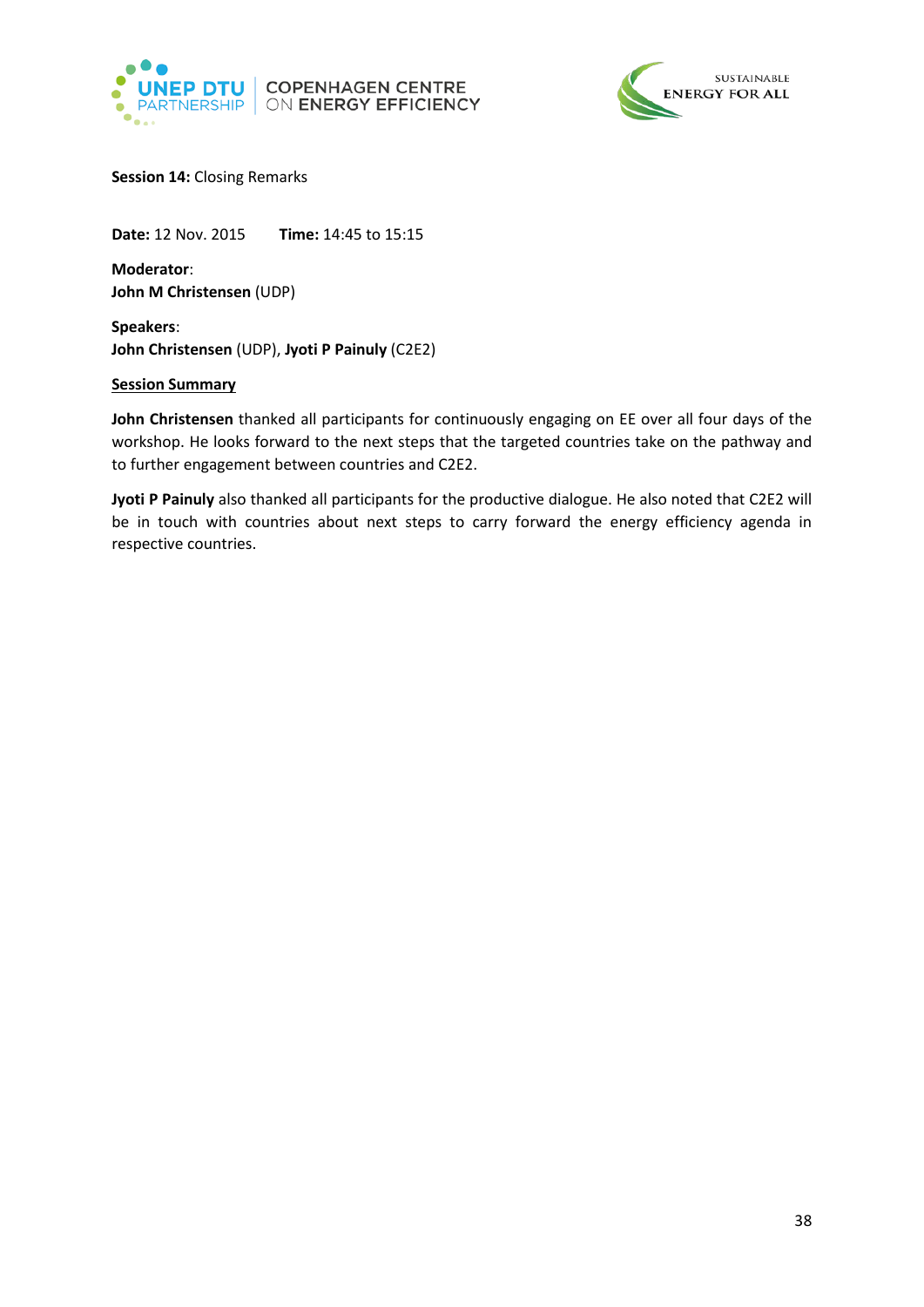



<span id="page-37-0"></span>**Session 14:** Closing Remarks

**Date:** 12 Nov. 2015 **Time:** 14:45 to 15:15

**Moderator**: **John M Christensen** (UDP)

**Speakers**: **John Christensen** (UDP), **Jyoti P Painuly** (C2E2)

# **Session Summary**

**John Christensen** thanked all participants for continuously engaging on EE over all four days of the workshop. He looks forward to the next steps that the targeted countries take on the pathway and to further engagement between countries and C2E2.

**Jyoti P Painuly** also thanked all participants for the productive dialogue. He also noted that C2E2 will be in touch with countries about next steps to carry forward the energy efficiency agenda in respective countries.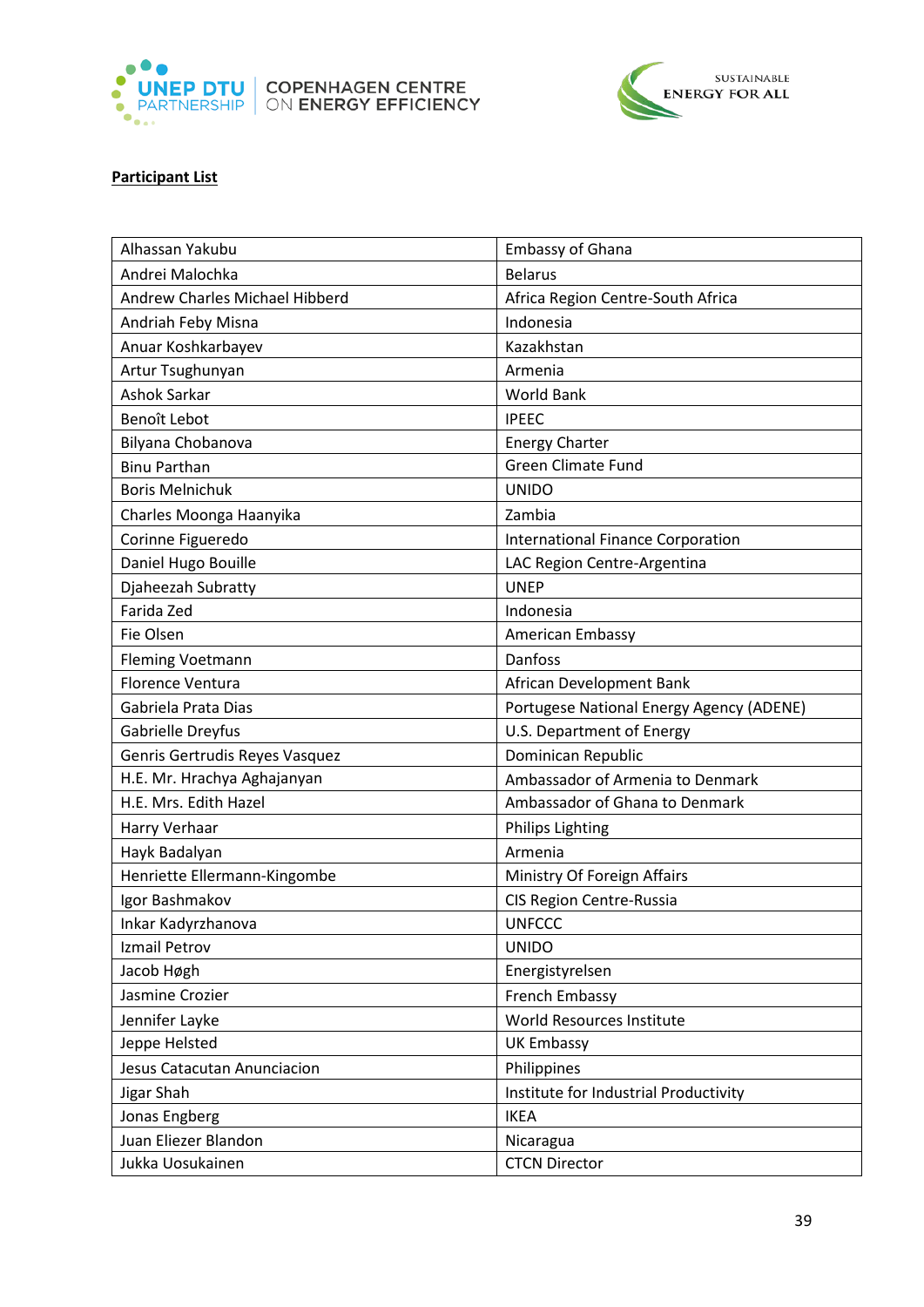



# **Participant List**

|  | Alhassan Yakubu                | <b>Embassy of Ghana</b>                  |
|--|--------------------------------|------------------------------------------|
|  | Andrei Malochka                | <b>Belarus</b>                           |
|  | Andrew Charles Michael Hibberd | Africa Region Centre-South Africa        |
|  | Andriah Feby Misna             | Indonesia                                |
|  | Anuar Koshkarbayev             | Kazakhstan                               |
|  | Artur Tsughunyan               | Armenia                                  |
|  | <b>Ashok Sarkar</b>            | <b>World Bank</b>                        |
|  | Benoît Lebot                   | <b>IPEEC</b>                             |
|  | Bilyana Chobanova              | <b>Energy Charter</b>                    |
|  | <b>Binu Parthan</b>            | <b>Green Climate Fund</b>                |
|  | <b>Boris Melnichuk</b>         | <b>UNIDO</b>                             |
|  | Charles Moonga Haanyika        | Zambia                                   |
|  | Corinne Figueredo              | <b>International Finance Corporation</b> |
|  | Daniel Hugo Bouille            | LAC Region Centre-Argentina              |
|  | Djaheezah Subratty             | <b>UNEP</b>                              |
|  | Farida Zed                     | Indonesia                                |
|  | Fie Olsen                      | American Embassy                         |
|  | <b>Fleming Voetmann</b>        | Danfoss                                  |
|  | <b>Florence Ventura</b>        | African Development Bank                 |
|  | Gabriela Prata Dias            | Portugese National Energy Agency (ADENE) |
|  | Gabrielle Dreyfus              | U.S. Department of Energy                |
|  | Genris Gertrudis Reyes Vasquez | Dominican Republic                       |
|  | H.E. Mr. Hrachya Aghajanyan    | Ambassador of Armenia to Denmark         |
|  | H.E. Mrs. Edith Hazel          | Ambassador of Ghana to Denmark           |
|  | Harry Verhaar                  | <b>Philips Lighting</b>                  |
|  | Hayk Badalyan                  | Armenia                                  |
|  | Henriette Ellermann-Kingombe   | Ministry Of Foreign Affairs              |
|  | Igor Bashmakov                 | <b>CIS Region Centre-Russia</b>          |
|  | Inkar Kadyrzhanova             | <b>UNFCCC</b>                            |
|  | Izmail Petrov                  | <b>UNIDO</b>                             |
|  | Jacob Høgh                     | Energistyrelsen                          |
|  | Jasmine Crozier                | French Embassy                           |
|  | Jennifer Layke                 | World Resources Institute                |
|  | Jeppe Helsted                  | <b>UK Embassy</b>                        |
|  | Jesus Catacutan Anunciacion    | Philippines                              |
|  | Jigar Shah                     | Institute for Industrial Productivity    |
|  | Jonas Engberg                  | <b>IKEA</b>                              |
|  | Juan Eliezer Blandon           | Nicaragua                                |
|  | Jukka Uosukainen               | <b>CTCN Director</b>                     |
|  |                                |                                          |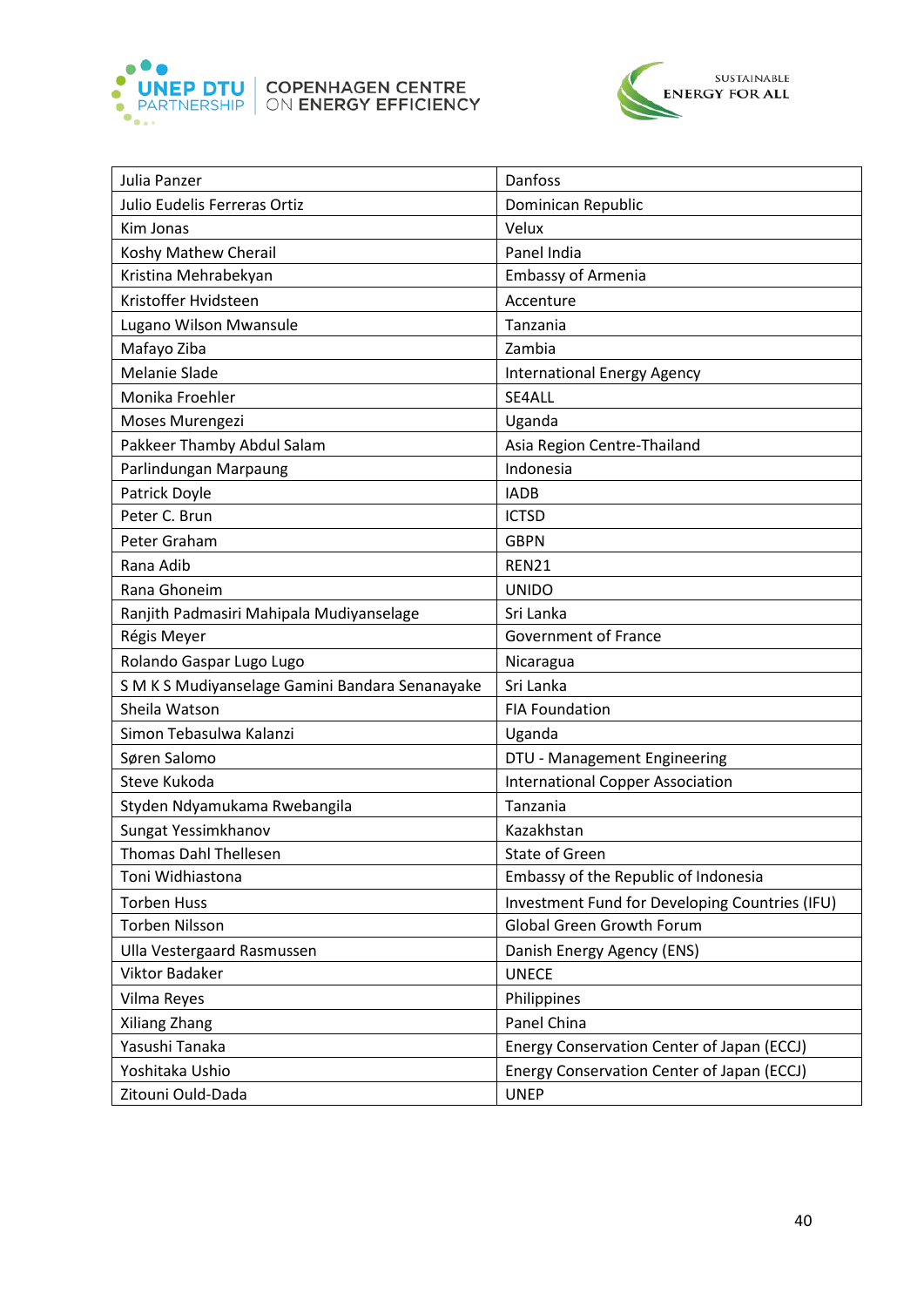



| Julia Panzer                                 | Danfoss                                        |
|----------------------------------------------|------------------------------------------------|
| Julio Eudelis Ferreras Ortiz                 | Dominican Republic                             |
| Kim Jonas                                    | Velux                                          |
| Koshy Mathew Cherail                         | Panel India                                    |
| Kristina Mehrabekyan                         | <b>Embassy of Armenia</b>                      |
| Kristoffer Hvidsteen                         | Accenture                                      |
| Lugano Wilson Mwansule                       | Tanzania                                       |
| Mafayo Ziba                                  | Zambia                                         |
| Melanie Slade                                | <b>International Energy Agency</b>             |
| Monika Froehler                              | SE4ALL                                         |
| Moses Murengezi                              | Uganda                                         |
| Pakkeer Thamby Abdul Salam                   | Asia Region Centre-Thailand                    |
| Parlindungan Marpaung                        | Indonesia                                      |
| Patrick Doyle                                | <b>IADB</b>                                    |
| Peter C. Brun                                | <b>ICTSD</b>                                   |
| Peter Graham                                 | <b>GBPN</b>                                    |
| Rana Adib                                    | <b>REN21</b>                                   |
| Rana Ghoneim                                 | <b>UNIDO</b>                                   |
| Ranjith Padmasiri Mahipala Mudiyanselage     | Sri Lanka                                      |
| Régis Meyer                                  | <b>Government of France</b>                    |
| Rolando Gaspar Lugo Lugo                     | Nicaragua                                      |
| SMKS Mudiyanselage Gamini Bandara Senanayake | Sri Lanka                                      |
| Sheila Watson                                | <b>FIA Foundation</b>                          |
| Simon Tebasulwa Kalanzi                      | Uganda                                         |
| Søren Salomo                                 | DTU - Management Engineering                   |
| Steve Kukoda                                 | <b>International Copper Association</b>        |
| Styden Ndyamukama Rwebangila                 | Tanzania                                       |
| Sungat Yessimkhanov                          | Kazakhstan                                     |
| <b>Thomas Dahl Thellesen</b>                 | <b>State of Green</b>                          |
| Toni Widhiastona                             | Embassy of the Republic of Indonesia           |
| <b>Torben Huss</b>                           | Investment Fund for Developing Countries (IFU) |
| <b>Torben Nilsson</b>                        | Global Green Growth Forum                      |
| Ulla Vestergaard Rasmussen                   | Danish Energy Agency (ENS)                     |
| Viktor Badaker                               | <b>UNECE</b>                                   |
| Vilma Reyes                                  | Philippines                                    |
| Xiliang Zhang                                | Panel China                                    |
| Yasushi Tanaka                               | Energy Conservation Center of Japan (ECCJ)     |
| Yoshitaka Ushio                              | Energy Conservation Center of Japan (ECCJ)     |
| Zitouni Ould-Dada                            | <b>UNEP</b>                                    |